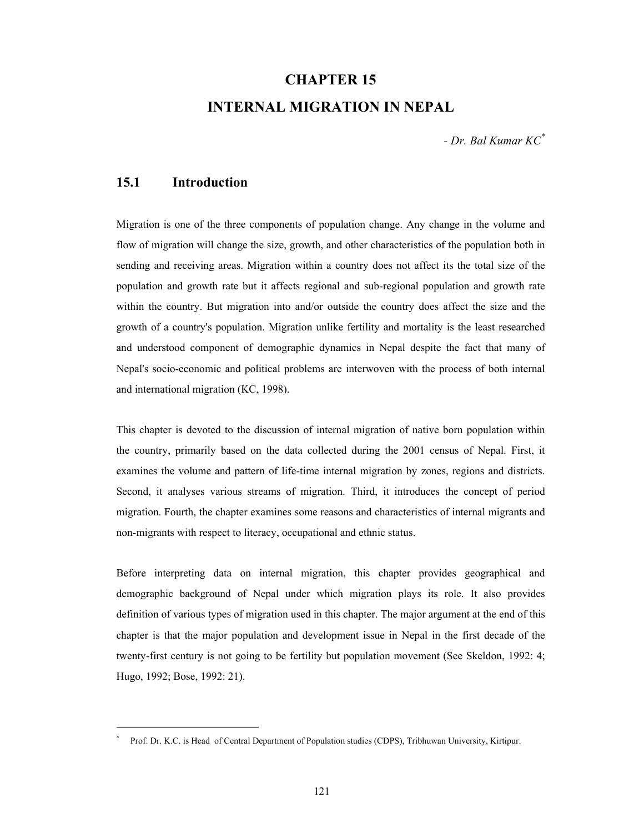# **CHAPTER 15**

## **INTERNAL MIGRATION IN NEPAL**

*- Dr. Bal Kumar KC\**

### **15.1 Introduction**

l

Migration is one of the three components of population change. Any change in the volume and flow of migration will change the size, growth, and other characteristics of the population both in sending and receiving areas. Migration within a country does not affect its the total size of the population and growth rate but it affects regional and sub-regional population and growth rate within the country. But migration into and/or outside the country does affect the size and the growth of a country's population. Migration unlike fertility and mortality is the least researched and understood component of demographic dynamics in Nepal despite the fact that many of Nepal's socio-economic and political problems are interwoven with the process of both internal and international migration (KC, 1998).

This chapter is devoted to the discussion of internal migration of native born population within the country, primarily based on the data collected during the 2001 census of Nepal. First, it examines the volume and pattern of life-time internal migration by zones, regions and districts. Second, it analyses various streams of migration. Third, it introduces the concept of period migration. Fourth, the chapter examines some reasons and characteristics of internal migrants and non-migrants with respect to literacy, occupational and ethnic status.

Before interpreting data on internal migration, this chapter provides geographical and demographic background of Nepal under which migration plays its role. It also provides definition of various types of migration used in this chapter. The major argument at the end of this chapter is that the major population and development issue in Nepal in the first decade of the twenty-first century is not going to be fertility but population movement (See Skeldon, 1992: 4; Hugo, 1992; Bose, 1992: 21).

<sup>\*</sup> Prof. Dr. K.C. is Head of Central Department of Population studies (CDPS), Tribhuwan University, Kirtipur.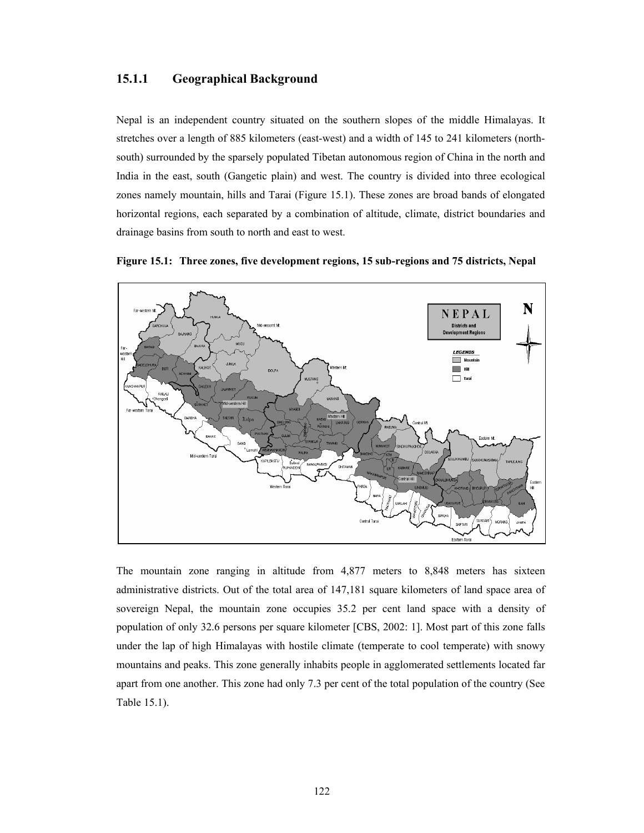#### **15.1.1 Geographical Background**

Nepal is an independent country situated on the southern slopes of the middle Himalayas. It stretches over a length of 885 kilometers (east-west) and a width of 145 to 241 kilometers (northsouth) surrounded by the sparsely populated Tibetan autonomous region of China in the north and India in the east, south (Gangetic plain) and west. The country is divided into three ecological zones namely mountain, hills and Tarai (Figure 15.1). These zones are broad bands of elongated horizontal regions, each separated by a combination of altitude, climate, district boundaries and drainage basins from south to north and east to west.



**Figure 15.1: Three zones, five development regions, 15 sub-regions and 75 districts, Nepal** 

The mountain zone ranging in altitude from 4,877 meters to 8,848 meters has sixteen administrative districts. Out of the total area of 147,181 square kilometers of land space area of sovereign Nepal, the mountain zone occupies 35.2 per cent land space with a density of population of only 32.6 persons per square kilometer [CBS, 2002: 1]. Most part of this zone falls under the lap of high Himalayas with hostile climate (temperate to cool temperate) with snowy mountains and peaks. This zone generally inhabits people in agglomerated settlements located far apart from one another. This zone had only 7.3 per cent of the total population of the country (See Table 15.1).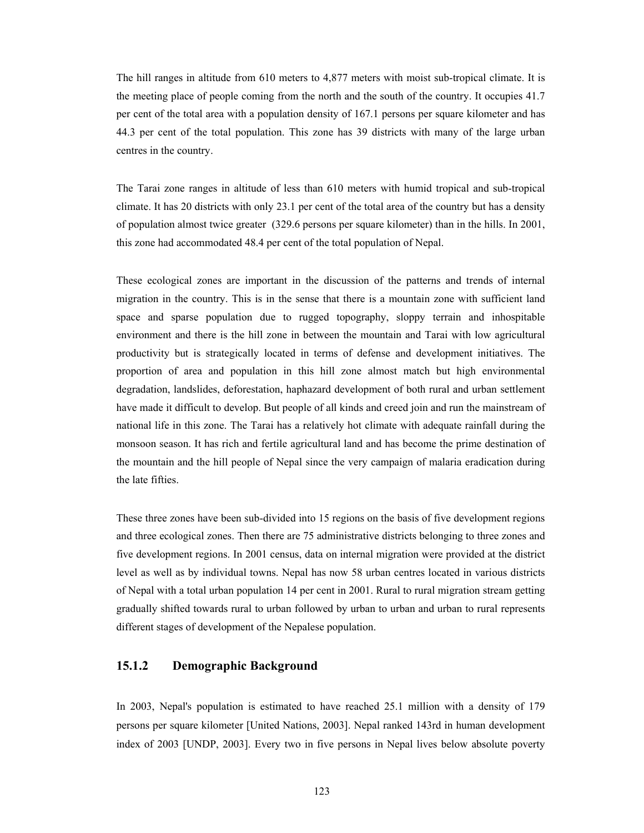The hill ranges in altitude from 610 meters to 4,877 meters with moist sub-tropical climate. It is the meeting place of people coming from the north and the south of the country. It occupies 41.7 per cent of the total area with a population density of 167.1 persons per square kilometer and has 44.3 per cent of the total population. This zone has 39 districts with many of the large urban centres in the country.

The Tarai zone ranges in altitude of less than 610 meters with humid tropical and sub-tropical climate. It has 20 districts with only 23.1 per cent of the total area of the country but has a density of population almost twice greater (329.6 persons per square kilometer) than in the hills. In 2001, this zone had accommodated 48.4 per cent of the total population of Nepal.

These ecological zones are important in the discussion of the patterns and trends of internal migration in the country. This is in the sense that there is a mountain zone with sufficient land space and sparse population due to rugged topography, sloppy terrain and inhospitable environment and there is the hill zone in between the mountain and Tarai with low agricultural productivity but is strategically located in terms of defense and development initiatives. The proportion of area and population in this hill zone almost match but high environmental degradation, landslides, deforestation, haphazard development of both rural and urban settlement have made it difficult to develop. But people of all kinds and creed join and run the mainstream of national life in this zone. The Tarai has a relatively hot climate with adequate rainfall during the monsoon season. It has rich and fertile agricultural land and has become the prime destination of the mountain and the hill people of Nepal since the very campaign of malaria eradication during the late fifties.

These three zones have been sub-divided into 15 regions on the basis of five development regions and three ecological zones. Then there are 75 administrative districts belonging to three zones and five development regions. In 2001 census, data on internal migration were provided at the district level as well as by individual towns. Nepal has now 58 urban centres located in various districts of Nepal with a total urban population 14 per cent in 2001. Rural to rural migration stream getting gradually shifted towards rural to urban followed by urban to urban and urban to rural represents different stages of development of the Nepalese population.

#### **15.1.2 Demographic Background**

In 2003, Nepal's population is estimated to have reached 25.1 million with a density of 179 persons per square kilometer [United Nations, 2003]. Nepal ranked 143rd in human development index of 2003 [UNDP, 2003]. Every two in five persons in Nepal lives below absolute poverty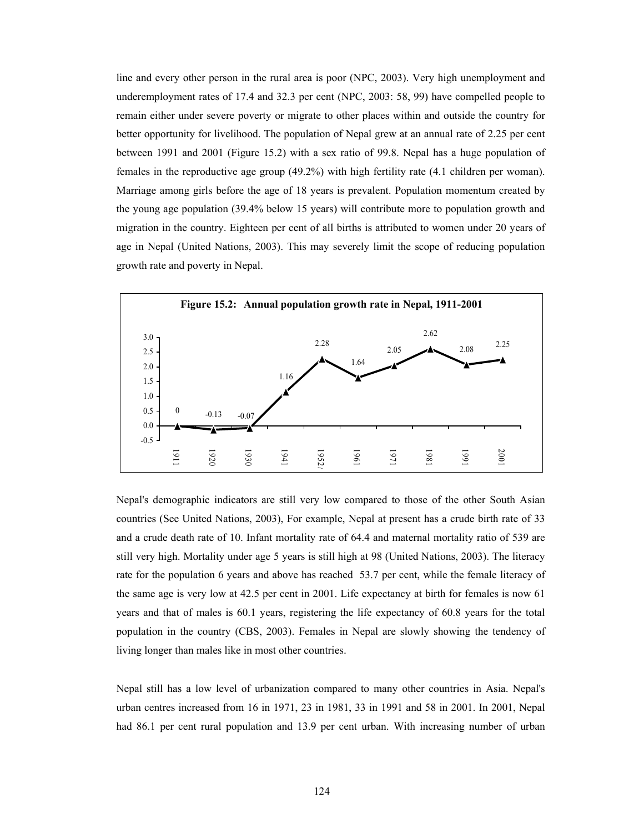line and every other person in the rural area is poor (NPC, 2003). Very high unemployment and underemployment rates of 17.4 and 32.3 per cent (NPC, 2003: 58, 99) have compelled people to remain either under severe poverty or migrate to other places within and outside the country for better opportunity for livelihood. The population of Nepal grew at an annual rate of 2.25 per cent between 1991 and 2001 (Figure 15.2) with a sex ratio of 99.8. Nepal has a huge population of females in the reproductive age group (49.2%) with high fertility rate (4.1 children per woman). Marriage among girls before the age of 18 years is prevalent. Population momentum created by the young age population (39.4% below 15 years) will contribute more to population growth and migration in the country. Eighteen per cent of all births is attributed to women under 20 years of age in Nepal (United Nations, 2003). This may severely limit the scope of reducing population growth rate and poverty in Nepal.



Nepal's demographic indicators are still very low compared to those of the other South Asian countries (See United Nations, 2003), For example, Nepal at present has a crude birth rate of 33 and a crude death rate of 10. Infant mortality rate of 64.4 and maternal mortality ratio of 539 are still very high. Mortality under age 5 years is still high at 98 (United Nations, 2003). The literacy rate for the population 6 years and above has reached 53.7 per cent, while the female literacy of the same age is very low at 42.5 per cent in 2001. Life expectancy at birth for females is now 61 years and that of males is 60.1 years, registering the life expectancy of 60.8 years for the total population in the country (CBS, 2003). Females in Nepal are slowly showing the tendency of living longer than males like in most other countries.

Nepal still has a low level of urbanization compared to many other countries in Asia. Nepal's urban centres increased from 16 in 1971, 23 in 1981, 33 in 1991 and 58 in 2001. In 2001, Nepal had 86.1 per cent rural population and 13.9 per cent urban. With increasing number of urban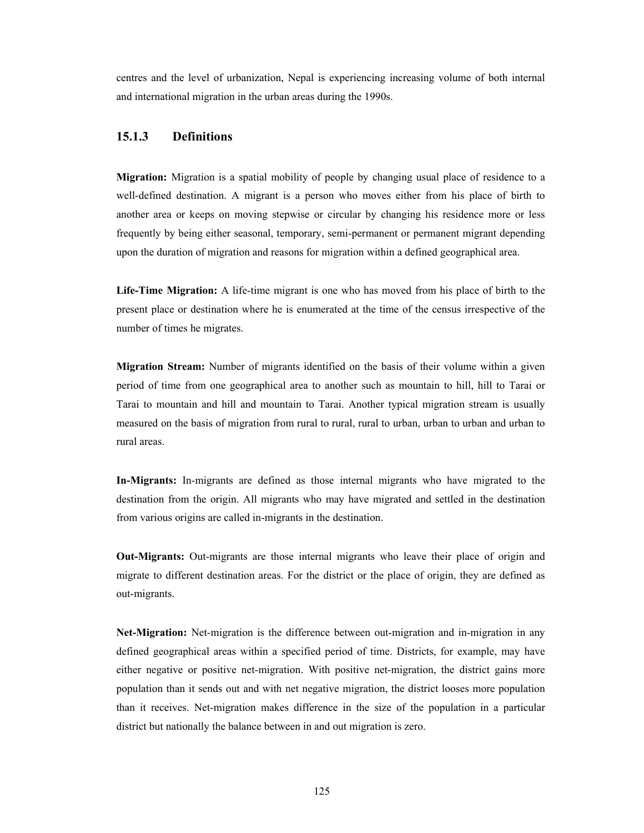centres and the level of urbanization, Nepal is experiencing increasing volume of both internal and international migration in the urban areas during the 1990s.

#### **15.1.3 Definitions**

**Migration:** Migration is a spatial mobility of people by changing usual place of residence to a well-defined destination. A migrant is a person who moves either from his place of birth to another area or keeps on moving stepwise or circular by changing his residence more or less frequently by being either seasonal, temporary, semi-permanent or permanent migrant depending upon the duration of migration and reasons for migration within a defined geographical area.

**Life-Time Migration:** A life-time migrant is one who has moved from his place of birth to the present place or destination where he is enumerated at the time of the census irrespective of the number of times he migrates.

**Migration Stream:** Number of migrants identified on the basis of their volume within a given period of time from one geographical area to another such as mountain to hill, hill to Tarai or Tarai to mountain and hill and mountain to Tarai. Another typical migration stream is usually measured on the basis of migration from rural to rural, rural to urban, urban to urban and urban to rural areas.

**In-Migrants:** In-migrants are defined as those internal migrants who have migrated to the destination from the origin. All migrants who may have migrated and settled in the destination from various origins are called in-migrants in the destination.

**Out-Migrants:** Out-migrants are those internal migrants who leave their place of origin and migrate to different destination areas. For the district or the place of origin, they are defined as out-migrants.

**Net-Migration:** Net-migration is the difference between out-migration and in-migration in any defined geographical areas within a specified period of time. Districts, for example, may have either negative or positive net-migration. With positive net-migration, the district gains more population than it sends out and with net negative migration, the district looses more population than it receives. Net-migration makes difference in the size of the population in a particular district but nationally the balance between in and out migration is zero.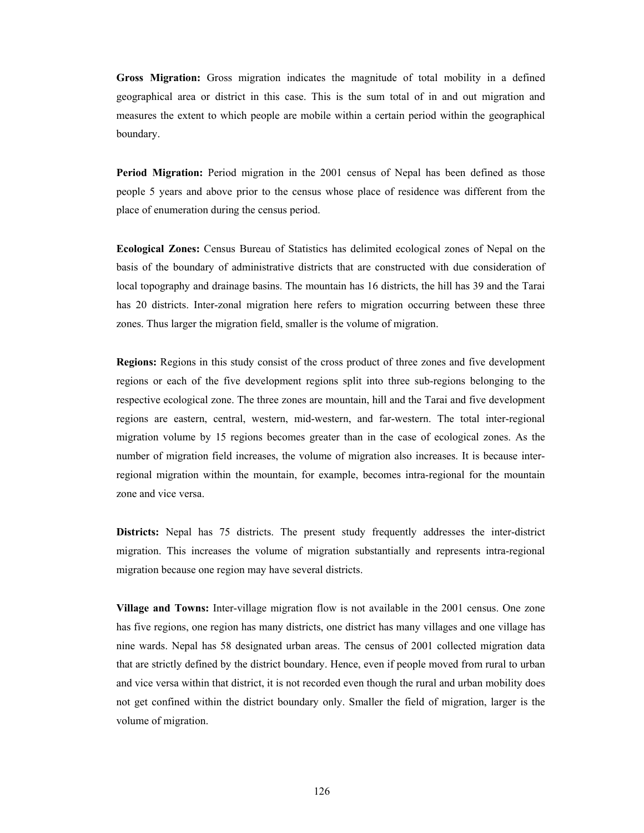**Gross Migration:** Gross migration indicates the magnitude of total mobility in a defined geographical area or district in this case. This is the sum total of in and out migration and measures the extent to which people are mobile within a certain period within the geographical boundary.

**Period Migration:** Period migration in the 2001 census of Nepal has been defined as those people 5 years and above prior to the census whose place of residence was different from the place of enumeration during the census period.

**Ecological Zones:** Census Bureau of Statistics has delimited ecological zones of Nepal on the basis of the boundary of administrative districts that are constructed with due consideration of local topography and drainage basins. The mountain has 16 districts, the hill has 39 and the Tarai has 20 districts. Inter-zonal migration here refers to migration occurring between these three zones. Thus larger the migration field, smaller is the volume of migration.

**Regions:** Regions in this study consist of the cross product of three zones and five development regions or each of the five development regions split into three sub-regions belonging to the respective ecological zone. The three zones are mountain, hill and the Tarai and five development regions are eastern, central, western, mid-western, and far-western. The total inter-regional migration volume by 15 regions becomes greater than in the case of ecological zones. As the number of migration field increases, the volume of migration also increases. It is because interregional migration within the mountain, for example, becomes intra-regional for the mountain zone and vice versa.

**Districts:** Nepal has 75 districts. The present study frequently addresses the inter-district migration. This increases the volume of migration substantially and represents intra-regional migration because one region may have several districts.

**Village and Towns:** Inter-village migration flow is not available in the 2001 census. One zone has five regions, one region has many districts, one district has many villages and one village has nine wards. Nepal has 58 designated urban areas. The census of 2001 collected migration data that are strictly defined by the district boundary. Hence, even if people moved from rural to urban and vice versa within that district, it is not recorded even though the rural and urban mobility does not get confined within the district boundary only. Smaller the field of migration, larger is the volume of migration.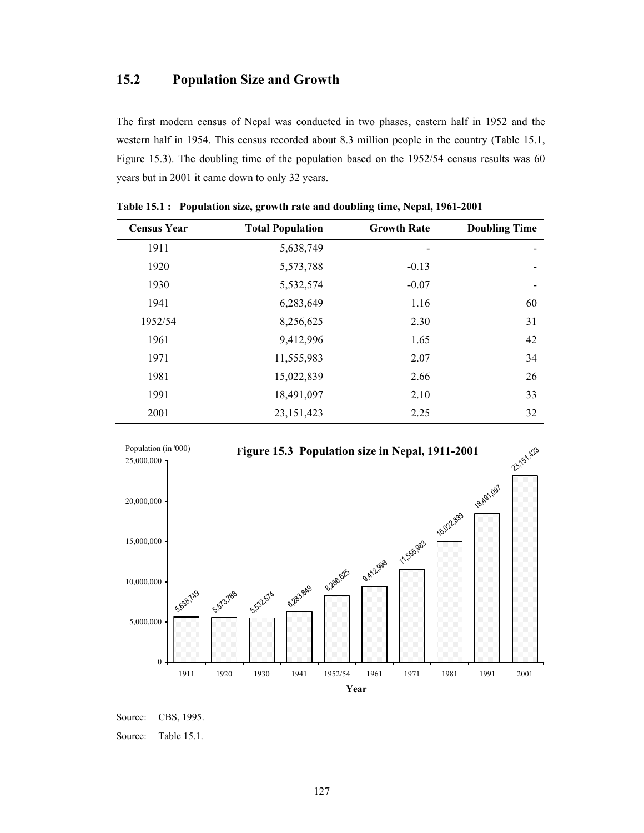## **15.2 Population Size and Growth**

The first modern census of Nepal was conducted in two phases, eastern half in 1952 and the western half in 1954. This census recorded about 8.3 million people in the country (Table 15.1, Figure 15.3). The doubling time of the population based on the 1952/54 census results was 60 years but in 2001 it came down to only 32 years.

| <b>Census Year</b> | <b>Total Population</b> | <b>Growth Rate</b> | <b>Doubling Time</b> |
|--------------------|-------------------------|--------------------|----------------------|
| 1911               | 5,638,749               |                    |                      |
| 1920               | 5,573,788               | $-0.13$            |                      |
| 1930               | 5,532,574               | $-0.07$            |                      |
| 1941               | 6,283,649               | 1.16               | 60                   |
| 1952/54            | 8,256,625               | 2.30               | 31                   |
| 1961               | 9,412,996               | 1.65               | 42                   |
| 1971               | 11,555,983              | 2.07               | 34                   |
| 1981               | 15,022,839              | 2.66               | 26                   |
| 1991               | 18,491,097              | 2.10               | 33                   |
| 2001               | 23, 151, 423            | 2.25               | 32                   |

**Table 15.1 : Population size, growth rate and doubling time, Nepal, 1961-2001** 



Source: CBS, 1995.

Source: Table 15.1.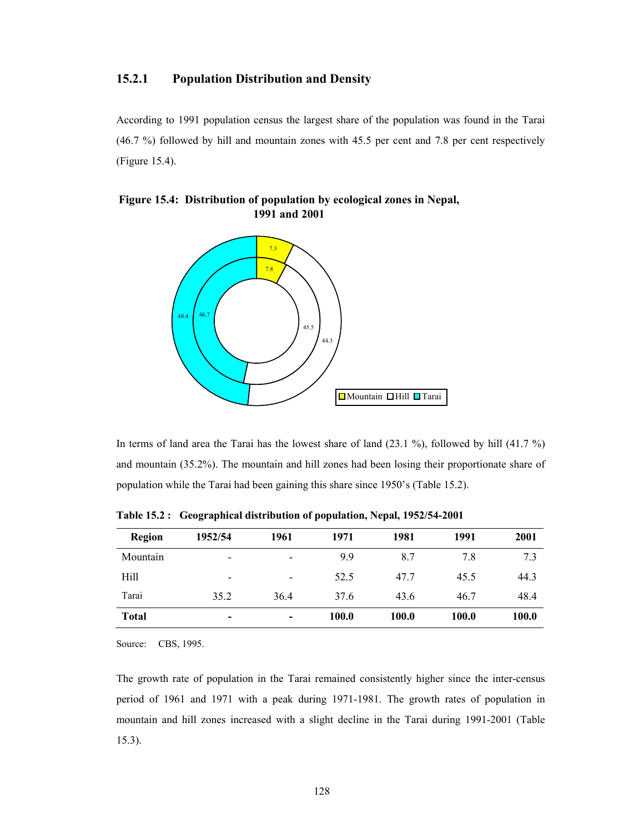#### **15.2.1 Population Distribution and Density**

According to 1991 population census the largest share of the population was found in the Tarai (46.7 %) followed by hill and mountain zones with 45.5 per cent and 7.8 per cent respectively (Figure 15.4).

#### **Figure 15.4: Distribution of population by ecological zones in Nepal, 1991 and 2001**



In terms of land area the Tarai has the lowest share of land (23.1 %), followed by hill (41.7 %) and mountain (35.2%). The mountain and hill zones had been losing their proportionate share of population while the Tarai had been gaining this share since 1950's (Table 15.2).

| <b>Region</b> | 1952/54                  | 1961                     | 1971  | 1981  | 1991  | 2001         |
|---------------|--------------------------|--------------------------|-------|-------|-------|--------------|
| Mountain      | -                        | $\overline{\phantom{0}}$ | 9.9   | 8.7   | 7.8   | 7.3          |
| Hill          | -                        | $\overline{\phantom{a}}$ | 52.5  | 47.7  | 45.5  | 44.3         |
| Tarai         | 35.2                     | 36.4                     | 37.6  | 43.6  | 46.7  | 48.4         |
| <b>Total</b>  | $\overline{\phantom{0}}$ | $\,$                     | 100.0 | 100.0 | 100.0 | <b>100.0</b> |

**Table 15.2 : Geographical distribution of population, Nepal, 1952/54-2001** 

Source: CBS, 1995.

The growth rate of population in the Tarai remained consistently higher since the inter-census period of 1961 and 1971 with a peak during 1971-1981. The growth rates of population in mountain and hill zones increased with a slight decline in the Tarai during 1991-2001 (Table 15.3).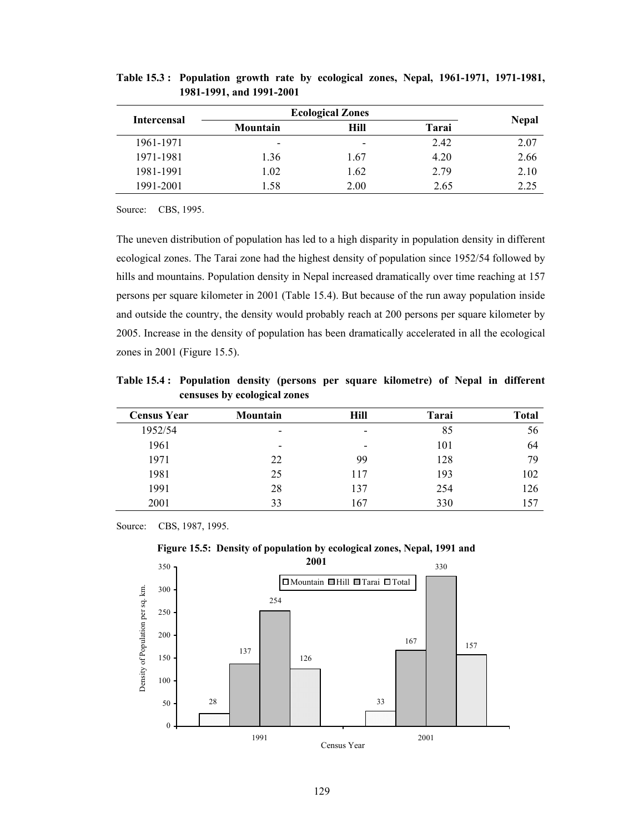|                    | <b>Ecological Zones</b>  |                          |       |              |  |
|--------------------|--------------------------|--------------------------|-------|--------------|--|
| <b>Intercensal</b> | Mountain                 | <b>Hill</b>              | Tarai | <b>Nepal</b> |  |
| 1961-1971          | $\overline{\phantom{a}}$ | $\overline{\phantom{a}}$ | 2.42  | 2.07         |  |
| 1971-1981          | 1.36                     | 1.67                     | 4.20  | 2.66         |  |
| 1981-1991          | 1.02                     | 1.62                     | 2.79  | 2.10         |  |
| 1991-2001          | 1 58                     | 2.00                     | 2.65  | 2.25         |  |

**Table 15.3 : Population growth rate by ecological zones, Nepal, 1961-1971, 1971-1981, 1981-1991, and 1991-2001** 

Source: CBS, 1995.

The uneven distribution of population has led to a high disparity in population density in different ecological zones. The Tarai zone had the highest density of population since 1952/54 followed by hills and mountains. Population density in Nepal increased dramatically over time reaching at 157 persons per square kilometer in 2001 (Table 15.4). But because of the run away population inside and outside the country, the density would probably reach at 200 persons per square kilometer by 2005. Increase in the density of population has been dramatically accelerated in all the ecological zones in 2001 (Figure 15.5).

**Table 15.4 : Population density (persons per square kilometre) of Nepal in different censuses by ecological zones** 

| <b>Census Year</b> | <b>Mountain</b>          | Hill                     | Tarai | <b>Total</b> |
|--------------------|--------------------------|--------------------------|-------|--------------|
| 1952/54            | $\blacksquare$           | $\overline{\phantom{0}}$ | 85    | 56           |
| 1961               | $\overline{\phantom{a}}$ | $\overline{\phantom{0}}$ | 101   | 64           |
| 1971               | 22                       | 99                       | 128   | 79           |
| 1981               | 25                       | 117                      | 193   | 102          |
| 1991               | 28                       | 137                      | 254   | 126          |
| 2001               | 33                       | 167                      | 330   | 157          |

Source: CBS, 1987, 1995.

**Figure 15.5: Density of population by ecological zones, Nepal, 1991 and** 

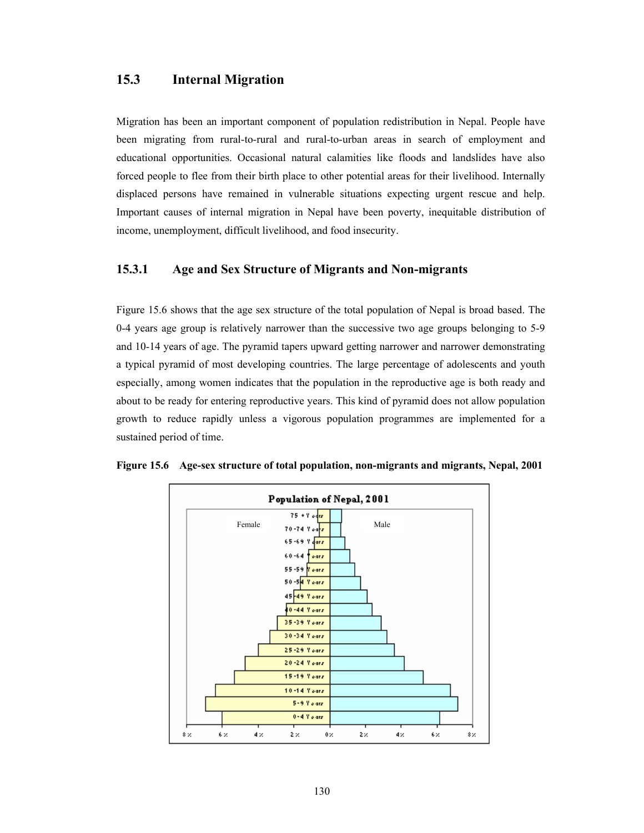## **15.3 Internal Migration**

Migration has been an important component of population redistribution in Nepal. People have been migrating from rural-to-rural and rural-to-urban areas in search of employment and educational opportunities. Occasional natural calamities like floods and landslides have also forced people to flee from their birth place to other potential areas for their livelihood. Internally displaced persons have remained in vulnerable situations expecting urgent rescue and help. Important causes of internal migration in Nepal have been poverty, inequitable distribution of income, unemployment, difficult livelihood, and food insecurity.

#### **15.3.1 Age and Sex Structure of Migrants and Non-migrants**

Figure 15.6 shows that the age sex structure of the total population of Nepal is broad based. The 0-4 years age group is relatively narrower than the successive two age groups belonging to 5-9 and 10-14 years of age. The pyramid tapers upward getting narrower and narrower demonstrating a typical pyramid of most developing countries. The large percentage of adolescents and youth especially, among women indicates that the population in the reproductive age is both ready and about to be ready for entering reproductive years. This kind of pyramid does not allow population growth to reduce rapidly unless a vigorous population programmes are implemented for a sustained period of time.



**Figure 15.6 Age-sex structure of total population, non-migrants and migrants, Nepal, 2001**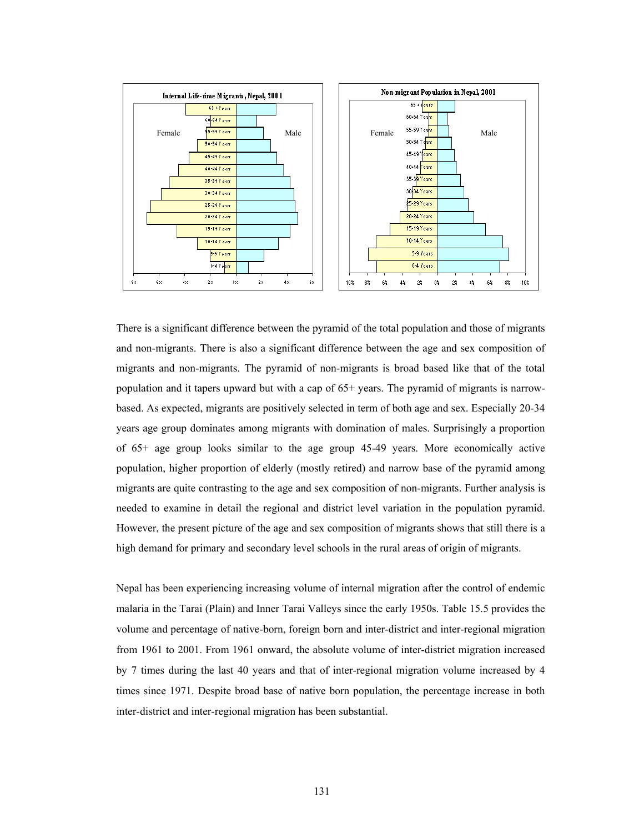

There is a significant difference between the pyramid of the total population and those of migrants and non-migrants. There is also a significant difference between the age and sex composition of migrants and non-migrants. The pyramid of non-migrants is broad based like that of the total population and it tapers upward but with a cap of 65+ years. The pyramid of migrants is narrowbased. As expected, migrants are positively selected in term of both age and sex. Especially 20-34 years age group dominates among migrants with domination of males. Surprisingly a proportion of 65+ age group looks similar to the age group 45-49 years. More economically active population, higher proportion of elderly (mostly retired) and narrow base of the pyramid among migrants are quite contrasting to the age and sex composition of non-migrants. Further analysis is needed to examine in detail the regional and district level variation in the population pyramid. However, the present picture of the age and sex composition of migrants shows that still there is a high demand for primary and secondary level schools in the rural areas of origin of migrants.

Nepal has been experiencing increasing volume of internal migration after the control of endemic malaria in the Tarai (Plain) and Inner Tarai Valleys since the early 1950s. Table 15.5 provides the volume and percentage of native-born, foreign born and inter-district and inter-regional migration from 1961 to 2001. From 1961 onward, the absolute volume of inter-district migration increased by 7 times during the last 40 years and that of inter-regional migration volume increased by 4 times since 1971. Despite broad base of native born population, the percentage increase in both inter-district and inter-regional migration has been substantial.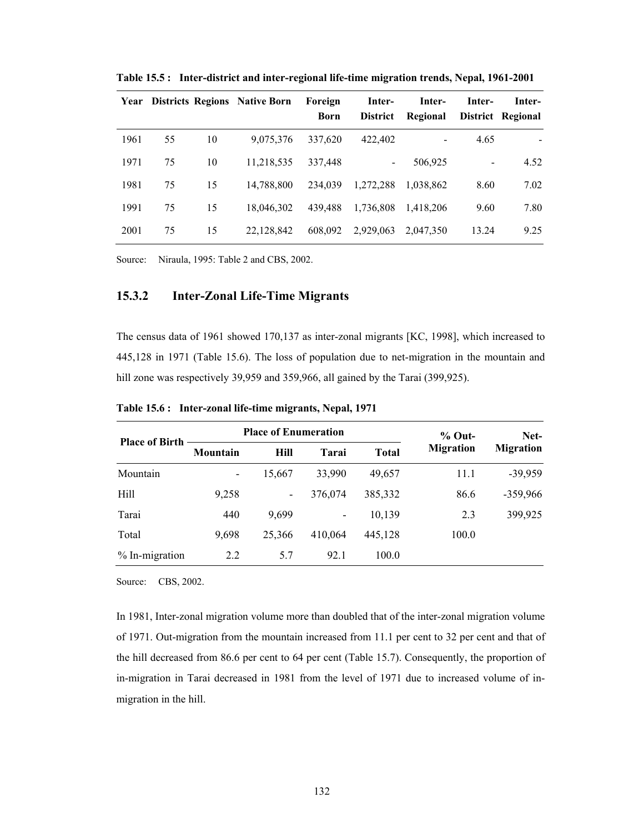| Year |    |    | <b>Districts Regions Native Born</b> | Foreign<br>Born | Inter-<br><b>District</b> | Inter-<br>Regional | Inter- | Inter-<br>District Regional |
|------|----|----|--------------------------------------|-----------------|---------------------------|--------------------|--------|-----------------------------|
| 1961 | 55 | 10 | 9,075,376                            | 337,620         | 422,402                   |                    | 4.65   |                             |
| 1971 | 75 | 10 | 11,218,535                           | 337,448         | $\blacksquare$            | 506,925            |        | 4.52                        |
| 1981 | 75 | 15 | 14,788,800                           | 234,039         | 1,272,288                 | 1.038.862          | 8.60   | 7.02                        |
| 1991 | 75 | 15 | 18,046,302                           | 439,488         | 1,736,808                 | 1.418.206          | 9.60   | 7.80                        |
| 2001 | 75 | 15 | 22.128.842                           | 608,092         | 2,929,063                 | 2.047.350          | 13.24  | 9.25                        |

**Table 15.5 : Inter-district and inter-regional life-time migration trends, Nepal, 1961-2001** 

Source: Niraula, 1995: Table 2 and CBS, 2002.

### **15.3.2 Inter-Zonal Life-Time Migrants**

The census data of 1961 showed 170,137 as inter-zonal migrants [KC, 1998], which increased to 445,128 in 1971 (Table 15.6). The loss of population due to net-migration in the mountain and hill zone was respectively 39,959 and 359,966, all gained by the Tarai (399,925).

| <b>Place of Birth</b> |                          | <b>Place of Enumeration</b> |         |         | $%$ Out-         | Net-             |  |
|-----------------------|--------------------------|-----------------------------|---------|---------|------------------|------------------|--|
|                       | Mountain                 | <b>Hill</b>                 | Tarai   | Total   | <b>Migration</b> | <b>Migration</b> |  |
| Mountain              | $\overline{\phantom{a}}$ | 15,667                      | 33,990  | 49,657  | 11.1             | $-39,959$        |  |
| Hill                  | 9,258                    | -                           | 376,074 | 385,332 | 86.6             | -359,966         |  |
| Tarai                 | 440                      | 9,699                       |         | 10,139  | 2.3              | 399,925          |  |
| Total                 | 9,698                    | 25,366                      | 410.064 | 445,128 | 100.0            |                  |  |
| % In-migration        | 2.2                      | 5.7                         | 92.1    | 100.0   |                  |                  |  |

**Table 15.6 : Inter-zonal life-time migrants, Nepal, 1971** 

Source: CBS, 2002.

In 1981, Inter-zonal migration volume more than doubled that of the inter-zonal migration volume of 1971. Out-migration from the mountain increased from 11.1 per cent to 32 per cent and that of the hill decreased from 86.6 per cent to 64 per cent (Table 15.7). Consequently, the proportion of in-migration in Tarai decreased in 1981 from the level of 1971 due to increased volume of inmigration in the hill.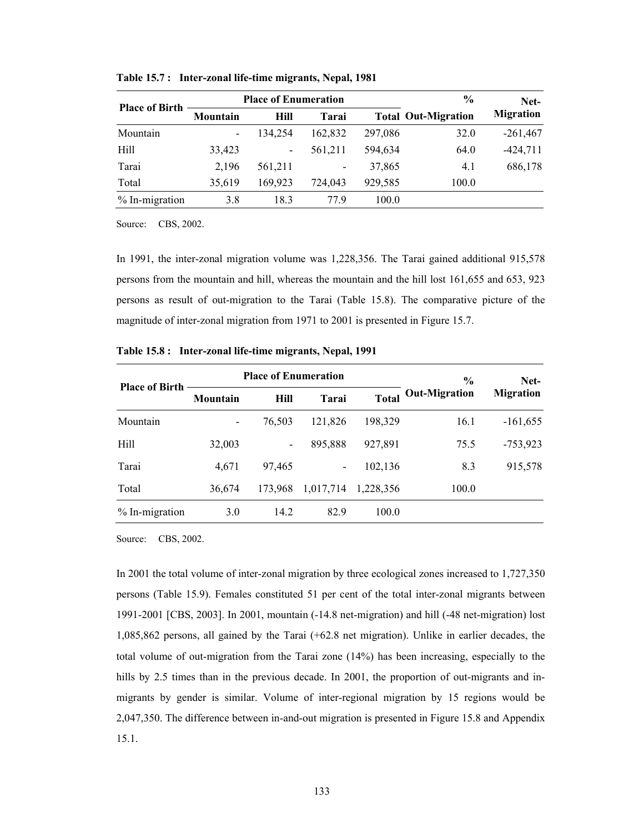|                       |                          | <b>Place of Enumeration</b> |         |         | $\frac{6}{9}$              | Net-             |
|-----------------------|--------------------------|-----------------------------|---------|---------|----------------------------|------------------|
| <b>Place of Birth</b> | Mountain                 | <b>Hill</b>                 | Tarai   |         | <b>Total Out-Migration</b> | <b>Migration</b> |
| Mountain              | $\overline{\phantom{a}}$ | 134,254                     | 162.832 | 297,086 | 32.0                       | $-261,467$       |
| Hill                  | 33,423                   | $\overline{\phantom{a}}$    | 561,211 | 594.634 | 64.0                       | $-424,711$       |
| Tarai                 | 2,196                    | 561,211                     |         | 37,865  | 4.1                        | 686,178          |
| Total                 | 35,619                   | 169,923                     | 724,043 | 929,585 | 100.0                      |                  |
| $% In-migration$      | 3.8                      | 18.3                        | 779     | 100.0   |                            |                  |

**Table 15.7 : Inter-zonal life-time migrants, Nepal, 1981** 

Source: CBS, 2002.

In 1991, the inter-zonal migration volume was 1,228,356. The Tarai gained additional 915,578 persons from the mountain and hill, whereas the mountain and the hill lost 161,655 and 653, 923 persons as result of out-migration to the Tarai (Table 15.8). The comparative picture of the magnitude of inter-zonal migration from 1971 to 2001 is presented in Figure 15.7.

|                       |                 | <b>Place of Enumeration</b> |              |              | $\%$                 | Net-             |  |
|-----------------------|-----------------|-----------------------------|--------------|--------------|----------------------|------------------|--|
| <b>Place of Birth</b> | <b>Mountain</b> | <b>Hill</b>                 | <b>Tarai</b> | <b>Total</b> | <b>Out-Migration</b> | <b>Migration</b> |  |
| Mountain              | -               | 76,503                      | 121,826      | 198,329      | 16.1                 | $-161,655$       |  |
| Hill                  | 32,003          | $\overline{\phantom{a}}$    | 895,888      | 927,891      | 75.5                 | $-753,923$       |  |
| Tarai                 | 4,671           | 97,465                      |              | 102,136      | 8.3                  | 915,578          |  |
| Total                 | 36,674          | 173,968                     | 1,017,714    | 1,228,356    | 100.0                |                  |  |
| % In-migration        | 3.0             | 14.2                        | 82.9         | 100.0        |                      |                  |  |

**Table 15.8 : Inter-zonal life-time migrants, Nepal, 1991** 

Source: CBS, 2002.

In 2001 the total volume of inter-zonal migration by three ecological zones increased to 1,727,350 persons (Table 15.9). Females constituted 51 per cent of the total inter-zonal migrants between 1991-2001 [CBS, 2003]. In 2001, mountain (-14.8 net-migration) and hill (-48 net-migration) lost 1,085,862 persons, all gained by the Tarai (+62.8 net migration). Unlike in earlier decades, the total volume of out-migration from the Tarai zone (14%) has been increasing, especially to the hills by 2.5 times than in the previous decade. In 2001, the proportion of out-migrants and inmigrants by gender is similar. Volume of inter-regional migration by 15 regions would be 2,047,350. The difference between in-and-out migration is presented in Figure 15.8 and Appendix 15.1.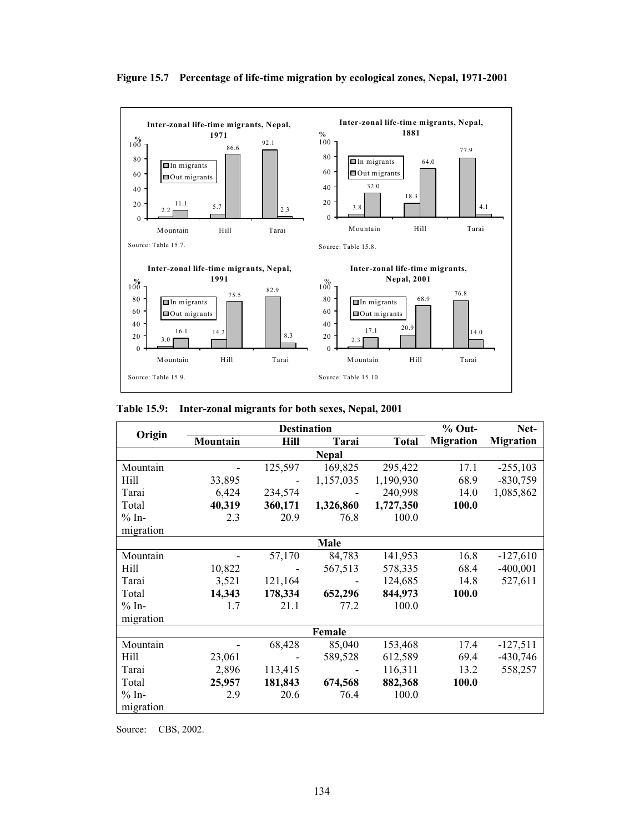

**Figure 15.7 Percentage of life-time migration by ecological zones, Nepal, 1971-2001** 

| Table 15.9: Inter-zonal migrants for both sexes, Nepal, 2001 |  |  |  |
|--------------------------------------------------------------|--|--|--|
|                                                              |  |  |  |

|           |          | <b>Destination</b> |              |              | $%$ Out-         | Net-             |
|-----------|----------|--------------------|--------------|--------------|------------------|------------------|
| Origin    | Mountain | Hill               | Tarai        | <b>Total</b> | <b>Migration</b> | <b>Migration</b> |
|           |          |                    | <b>Nepal</b> |              |                  |                  |
| Mountain  |          | 125,597            | 169,825      | 295,422      | 17.1             | $-255,103$       |
| Hill      | 33,895   |                    | 1,157,035    | 1,190,930    | 68.9             | $-830,759$       |
| Tarai     | 6,424    | 234,574            |              | 240,998      | 14.0             | 1,085,862        |
| Total     | 40,319   | 360,171            | 1,326,860    | 1,727,350    | 100.0            |                  |
| $% In-$   | 2.3      | 20.9               | 76.8         | 100.0        |                  |                  |
| migration |          |                    |              |              |                  |                  |
|           |          |                    | Male         |              |                  |                  |
| Mountain  |          | 57,170             | 84,783       | 141,953      | 16.8             | $-127,610$       |
| Hill      | 10,822   |                    | 567,513      | 578,335      | 68.4             | $-400,001$       |
| Tarai     | 3,521    | 121,164            |              | 124,685      | 14.8             | 527,611          |
| Total     | 14,343   | 178,334            | 652,296      | 844,973      | 100.0            |                  |
| $% In-$   | 1.7      | 21.1               | 77.2         | 100.0        |                  |                  |
| migration |          |                    |              |              |                  |                  |
|           |          |                    | Female       |              |                  |                  |
| Mountain  |          | 68,428             | 85,040       | 153,468      | 17.4             | $-127,511$       |
| Hill      | 23,061   |                    | 589,528      | 612,589      | 69.4             | $-430,746$       |
| Tarai     | 2,896    | 113,415            |              | 116,311      | 13.2             | 558,257          |
| Total     | 25,957   | 181,843            | 674,568      | 882,368      | 100.0            |                  |
| $% In-$   | 2.9      | 20.6               | 76.4         | 100.0        |                  |                  |
| migration |          |                    |              |              |                  |                  |

Source: CBS, 2002.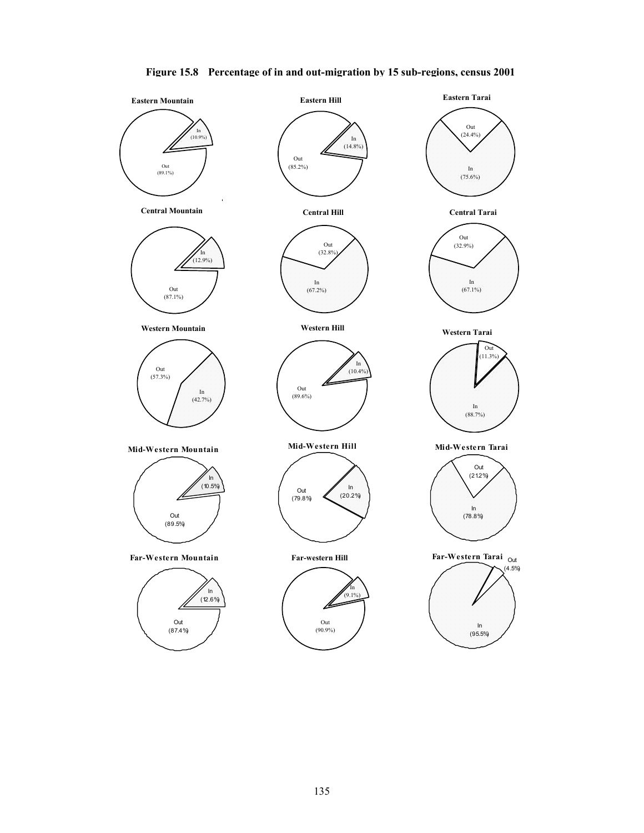

#### **Figure 15.8 Percentage of in and out-migration by 15 sub-regions, census 2001**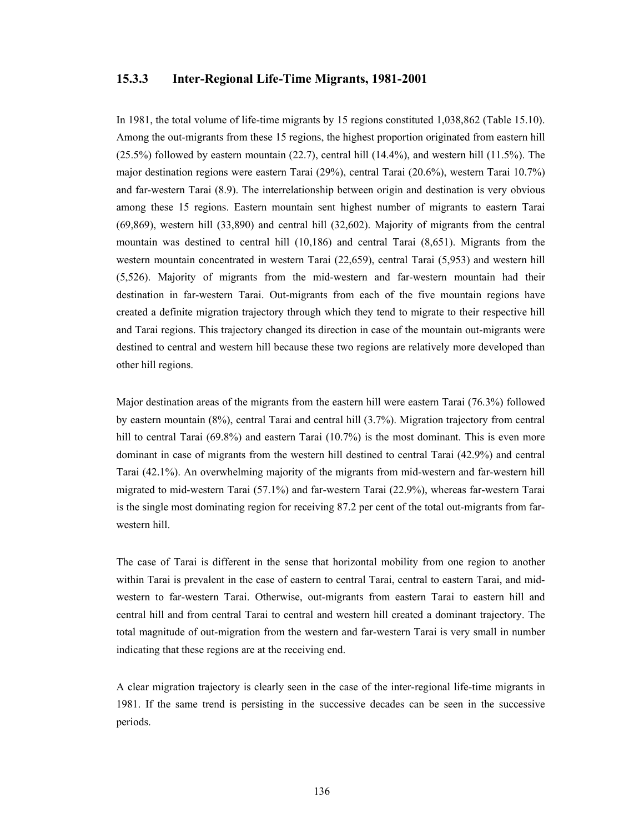#### **15.3.3 Inter-Regional Life-Time Migrants, 1981-2001**

In 1981, the total volume of life-time migrants by 15 regions constituted 1,038,862 (Table 15.10). Among the out-migrants from these 15 regions, the highest proportion originated from eastern hill (25.5%) followed by eastern mountain (22.7), central hill (14.4%), and western hill (11.5%). The major destination regions were eastern Tarai (29%), central Tarai (20.6%), western Tarai 10.7%) and far-western Tarai (8.9). The interrelationship between origin and destination is very obvious among these 15 regions. Eastern mountain sent highest number of migrants to eastern Tarai (69,869), western hill (33,890) and central hill (32,602). Majority of migrants from the central mountain was destined to central hill (10,186) and central Tarai (8,651). Migrants from the western mountain concentrated in western Tarai (22,659), central Tarai (5,953) and western hill (5,526). Majority of migrants from the mid-western and far-western mountain had their destination in far-western Tarai. Out-migrants from each of the five mountain regions have created a definite migration trajectory through which they tend to migrate to their respective hill and Tarai regions. This trajectory changed its direction in case of the mountain out-migrants were destined to central and western hill because these two regions are relatively more developed than other hill regions.

Major destination areas of the migrants from the eastern hill were eastern Tarai (76.3%) followed by eastern mountain (8%), central Tarai and central hill (3.7%). Migration trajectory from central hill to central Tarai (69.8%) and eastern Tarai (10.7%) is the most dominant. This is even more dominant in case of migrants from the western hill destined to central Tarai (42.9%) and central Tarai (42.1%). An overwhelming majority of the migrants from mid-western and far-western hill migrated to mid-western Tarai (57.1%) and far-western Tarai (22.9%), whereas far-western Tarai is the single most dominating region for receiving 87.2 per cent of the total out-migrants from farwestern hill.

The case of Tarai is different in the sense that horizontal mobility from one region to another within Tarai is prevalent in the case of eastern to central Tarai, central to eastern Tarai, and midwestern to far-western Tarai. Otherwise, out-migrants from eastern Tarai to eastern hill and central hill and from central Tarai to central and western hill created a dominant trajectory. The total magnitude of out-migration from the western and far-western Tarai is very small in number indicating that these regions are at the receiving end.

A clear migration trajectory is clearly seen in the case of the inter-regional life-time migrants in 1981. If the same trend is persisting in the successive decades can be seen in the successive periods.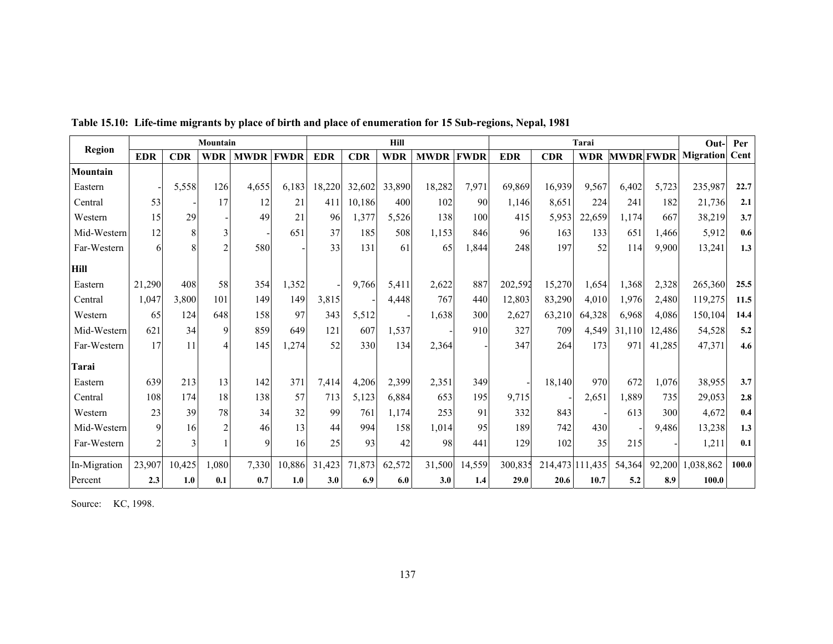|               |            |            | Mountain   |             |             |            |            | Hill       |             |             |            |            | Tarai      |                  |        | Out-                  | Per   |
|---------------|------------|------------|------------|-------------|-------------|------------|------------|------------|-------------|-------------|------------|------------|------------|------------------|--------|-----------------------|-------|
| <b>Region</b> | <b>EDR</b> | <b>CDR</b> | <b>WDR</b> | <b>MWDR</b> | <b>FWDR</b> | <b>EDR</b> | <b>CDR</b> | <b>WDR</b> | <b>MWDR</b> | <b>FWDR</b> | <b>EDR</b> | <b>CDR</b> | <b>WDR</b> | <b>MWDR FWDR</b> |        | <b>Migration</b> Cent |       |
| Mountain      |            |            |            |             |             |            |            |            |             |             |            |            |            |                  |        |                       |       |
| Eastern       |            | 5,558      | 126        | 4,655       | 6,183       | 18,220     | 32,602     | 33,890     | 18,282      | 7,971       | 69,869     | 16,939     | 9,567      | 6,402            | 5,723  | 235,987               | 22.7  |
| Central       | 53         |            | 17         | 12          | 21          | 411        | 10,186     | 400        | 102         | 90          | 1,146      | 8,651      | 224        | 241              | 182    | 21,736                | 2.1   |
| Western       | 15         | 29         |            | 49          | 21          | 96         | 1,377      | 5,526      | 138         | 100         | 415        | 5,953      | 22,659     | 1.174            | 667    | 38,219                | 3.7   |
| Mid-Western   | 12         |            | 3          |             | 651         | 37         | 185        | 508        | 1,153       | 846         | 96         | 163        | 133        | 651              | 1,466  | 5,912                 | 0.6   |
| Far-Western   | 6          |            |            | 580         |             | 33         | 131        | 61         | 65          | 1,844       | 248        | 197        | 52         | 114              | 9,900  | 13,241                | 1.3   |
| <b>Hill</b>   |            |            |            |             |             |            |            |            |             |             |            |            |            |                  |        |                       |       |
| Eastern       | 21,290     | 408        | 58         | 354         | 1,352       |            | 9,766      | 5,411      | 2,622       | 887         | 202,592    | 15,270     | 1,654      | 1,368            | 2,328  | 265,360               | 25.5  |
| Central       | 1,047      | 3,800      | 101        | 149         | 149         | 3,815      |            | 4,448      | 767         | 440         | 12,803     | 83,290     | 4,010      | 1,976            | 2,480  | 119,275               | 11.5  |
| Western       | 65         | 124        | 648        | 158         | 97          | 343        | 5,512      |            | 1,638       | 300         | 2,627      | 63,210     | 64,328     | 6,968            | 4,086  | 150,104               | 14.4  |
| Mid-Western   | 621        | 34         | 9          | 859         | 649         | 121        | 607        | 1,537      |             | 910         | 327        | 709        | 4,549      | 31,110           | 12,486 | 54,528                | 5.2   |
| Far-Western   | 17         | 11         |            | 145         | 1,274       | 52         | 330        | 134        | 2,364       |             | 347        | 264        | 173        | 97 <sup>°</sup>  | 41,285 | 47,371                | 4.6   |
| <b>Tarai</b>  |            |            |            |             |             |            |            |            |             |             |            |            |            |                  |        |                       |       |
| Eastern       | 639        | 213        | 13         | 142         | 371         | 7,414      | 4,206      | 2,399      | 2,351       | 349         |            | 18.140     | 970        | 672              | 1.076  | 38,955                | 3.7   |
| Central       | 108        | 174        | 18         | 138         | 57          | 713        | 5,123      | 6,884      | 653         | 195         | 9,715      |            | 2,651      | 1,889            | 735    | 29,053                | 2.8   |
| Western       | 23         | 39         | 78         | 34          | 32          | 99         | 761        | 1,174      | 253         | 91          | 332        | 843        |            | 613              | 300    | 4,672                 | 0.4   |
| Mid-Western   | 9          | 16         |            | 46          | 13          | 44         | 994        | 158        | 1,014       | 95          | 189        | 742        | 430        |                  | 9,486  | 13,238                | 1.3   |
| Far-Western   |            |            |            | 9           | 16          | 25         | 93         | 42         | 98          | 441         | 129        | 102        | 35         | 215              |        | 1,211                 | 0.1   |
| In-Migration  | 23,907     | 10,425     | 1,080      | 7,330       | 10,886      | 31,423     | 71,873     | 62,572     | 31,500      | 14,559      | 300,835    | 214,473    | 111,435    | 54,364           | 92,200 | 1,038,862             | 100.0 |
| Percent       | 2.3        | 1.0        | 0.1        | 0.7         | 1.0         | 3.0        | 6.9        | 6.0        | 3.0         | 1.4         | 29.0       | 20.6       | 10.7       | 5.2              | 8.9    | 100.0                 |       |

**Table 15.10: Life-time migrants by place of birth and place of enumeration for 15 Sub-regions, Nepal, 1981** 

Source: KC, 1998.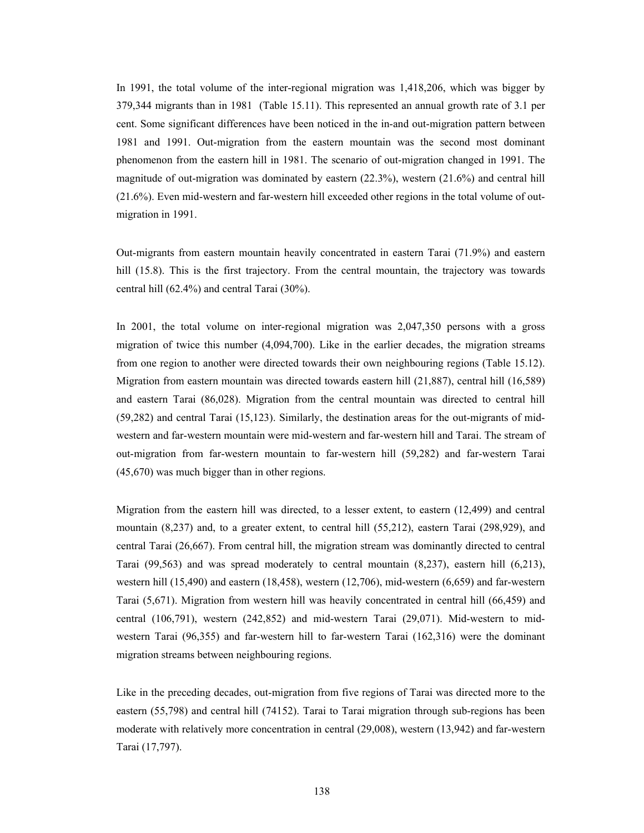In 1991, the total volume of the inter-regional migration was 1,418,206, which was bigger by 379,344 migrants than in 1981 (Table 15.11). This represented an annual growth rate of 3.1 per cent. Some significant differences have been noticed in the in-and out-migration pattern between 1981 and 1991. Out-migration from the eastern mountain was the second most dominant phenomenon from the eastern hill in 1981. The scenario of out-migration changed in 1991. The magnitude of out-migration was dominated by eastern (22.3%), western (21.6%) and central hill (21.6%). Even mid-western and far-western hill exceeded other regions in the total volume of outmigration in 1991.

Out-migrants from eastern mountain heavily concentrated in eastern Tarai (71.9%) and eastern hill (15.8). This is the first trajectory. From the central mountain, the trajectory was towards central hill (62.4%) and central Tarai (30%).

In 2001, the total volume on inter-regional migration was 2,047,350 persons with a gross migration of twice this number (4,094,700). Like in the earlier decades, the migration streams from one region to another were directed towards their own neighbouring regions (Table 15.12). Migration from eastern mountain was directed towards eastern hill (21,887), central hill (16,589) and eastern Tarai (86,028). Migration from the central mountain was directed to central hill (59,282) and central Tarai (15,123). Similarly, the destination areas for the out-migrants of midwestern and far-western mountain were mid-western and far-western hill and Tarai. The stream of out-migration from far-western mountain to far-western hill (59,282) and far-western Tarai (45,670) was much bigger than in other regions.

Migration from the eastern hill was directed, to a lesser extent, to eastern (12,499) and central mountain (8,237) and, to a greater extent, to central hill (55,212), eastern Tarai (298,929), and central Tarai (26,667). From central hill, the migration stream was dominantly directed to central Tarai (99,563) and was spread moderately to central mountain (8,237), eastern hill (6,213), western hill (15,490) and eastern (18,458), western (12,706), mid-western (6,659) and far-western Tarai (5,671). Migration from western hill was heavily concentrated in central hill (66,459) and central (106,791), western (242,852) and mid-western Tarai (29,071). Mid-western to midwestern Tarai (96,355) and far-western hill to far-western Tarai (162,316) were the dominant migration streams between neighbouring regions.

Like in the preceding decades, out-migration from five regions of Tarai was directed more to the eastern (55,798) and central hill (74152). Tarai to Tarai migration through sub-regions has been moderate with relatively more concentration in central (29,008), western (13,942) and far-western Tarai (17,797).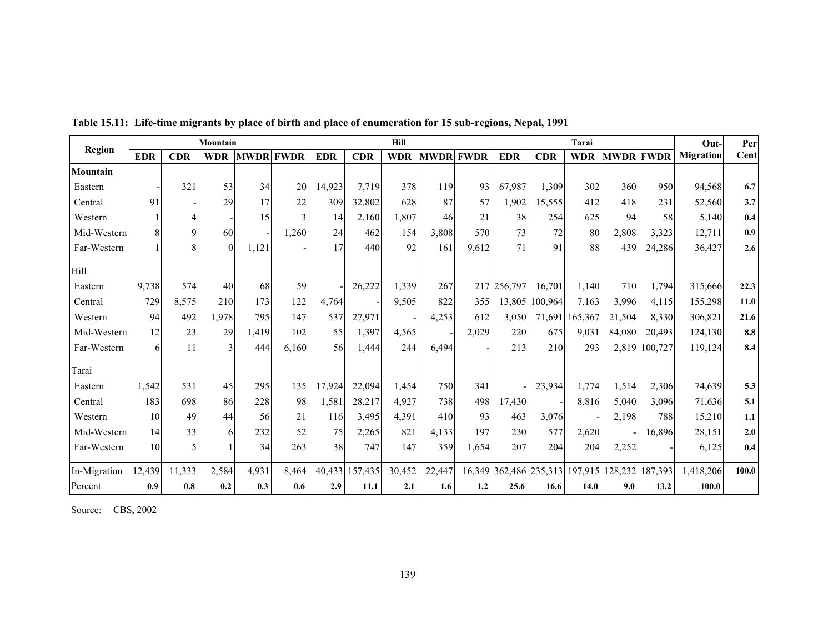|               |            |             | Mountain     |             |        |            |            | Hill       |             |             |             |                 | Tarai      |             |             | Out-             | Per         |
|---------------|------------|-------------|--------------|-------------|--------|------------|------------|------------|-------------|-------------|-------------|-----------------|------------|-------------|-------------|------------------|-------------|
| <b>Region</b> | <b>EDR</b> | <b>CDR</b>  | <b>WDR</b>   | <b>MWDR</b> | l FWDR | <b>EDR</b> | <b>CDR</b> | <b>WDR</b> | <b>MWDR</b> | <b>FWDR</b> | <b>EDR</b>  | <b>CDR</b>      | <b>WDR</b> | <b>MWDR</b> | <b>FWDR</b> | <b>Migration</b> | <b>Cent</b> |
| Mountain      |            |             |              |             |        |            |            |            |             |             |             |                 |            |             |             |                  |             |
| Eastern       |            | 321         | 53           | 34          | 20     | 14,923     | 7,719      | 378        | 119         | 93          | 67,987      | 1,309           | 302        | 360         | 950         | 94,568           | 6.7         |
| Central       | 91         |             | 29           | 17          | 22     | 309        | 32,802     | 628        | 87          | 57          | 1,902       | 15,555          | 412        | 418         | 231         | 52,560           | 3.7         |
| Western       |            |             |              | 15          | 3      | 14         | 2,160      | 1,807      | 46          | 21          | 38          | 254             | 625        | 94          | 58          | 5,140            | 0.4         |
| Mid-Western   |            | $\mathbf Q$ | 60           |             | 1,260  | 24         | 462        | 154        | 3,808       | 570         | 73          | 72              | 80         | 2,808       | 3,323       | 12,711           | 0.9         |
| Far-Western   |            |             | $\Omega$     | 1,121       |        | 17         | 440        | 92         | 161         | 9,612       | 71          | 91              | 88         | 439         | 24,286      | 36,427           | 2.6         |
| Hill          |            |             |              |             |        |            |            |            |             |             |             |                 |            |             |             |                  |             |
| Eastern       | 9,738      | 574         | 40           | 68          | 59     |            | 26,222     | 1,339      | 267         |             | 217 256,797 | 16,701          | 1,140      | 710         | 1,794       | 315,666          | 22.3        |
| Central       | 729        | 8,575       | 210          | 173         | 122    | 4,764      |            | 9,505      | 822         | 355         | 13,805      | 100,964         | 7,163      | 3,996       | 4,115       | 155,298          | 11.0        |
| Western       | 94         | 492         | 1,978        | 795         | 147    | 537        | 27,971     |            | 4,253       | 612         | 3,050       | 71,691          | 65,367     | 21,504      | 8,330       | 306,821          | 21.6        |
| Mid-Western   | 12         | 23          | 29           | 1,419       | 102    | 55         | 1,397      | 4,565      |             | 2,029       | 220         | 675             | 9,031      | 84,080      | 20,493      | 124,130          | $\bf 8.8$   |
| Far-Western   | 6          | 11          | $\mathbf{a}$ | 444         | 6,160  | 56         | 1,444      | 244        | 6,494       |             | 213         | 210             | 293        | 2,819       | 100,727     | 119,124          | 8.4         |
| Tarai         |            |             |              |             |        |            |            |            |             |             |             |                 |            |             |             |                  |             |
| Eastern       | 1,542      | 531         | 45           | 295         | 135    | 17,924     | 22,094     | 1,454      | 750         | 341         |             | 23,934          | 1,774      | 1,514       | 2,306       | 74,639           | 5.3         |
| Central       | 183        | 698         | 86           | 228         | 98     | 1,581      | 28,217     | 4,927      | 738         | 498         | 17,430      |                 | 8,816      | 5,040       | 3,096       | 71,636           | 5.1         |
| Western       | 10         | 49          | 44           | 56          | 21     | 116        | 3,495      | 4,391      | 410         | 93          | 463         | 3,076           |            | 2,198       | 788         | 15,210           | 1.1         |
| Mid-Western   | 14         | 33          | 6            | 232         | 52     | 75         | 2,265      | 821        | 4,133       | 197         | 230         | 577             | 2,620      |             | 16,896      | 28,151           | 2.0         |
| Far-Western   | 10         |             |              | 34          | 263    | 38         | 747        | 147        | 359         | 1,654       | 207         | 204             | 204        | 2,252       |             | 6,125            | 0.4         |
| In-Migration  | 12,439     | 11,333      | 2,584        | 4,931       | 8,464  | 40,433     | 157,435    | 30,452     | 22,447      | 16,349      |             | 362,486 235,313 | 197,915    | 128,232     | 187,393     | 1,418,206        | 100.0       |
| Percent       | 0.9        | 0.8         | 0.2          | 0.3         | 0.6    | 2.9        | 11.1       | 2.1        | 1.6         | 1.2         | 25.6        | 16.6            | 14.0       | 9.0         | 13.2        | 100.0            |             |

**Table 15.11: Life-time migrants by place of birth and place of enumeration for 15 sub-regions, Nepal, 1991** 

Source: CBS, 2002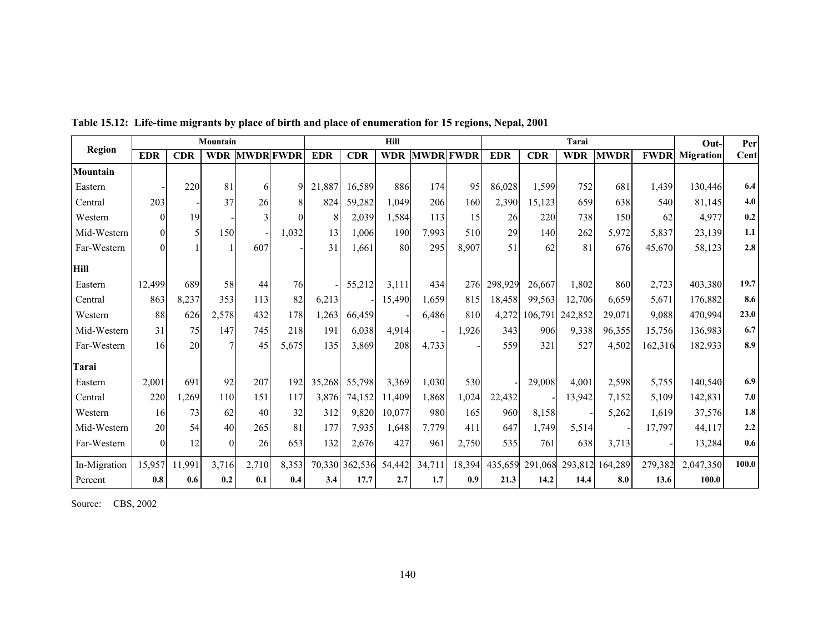|               |            |            | Mountain   |             |             |            |            | Hill       |                  |        |            |            | Tarai      |             |             | Out-             | Per   |
|---------------|------------|------------|------------|-------------|-------------|------------|------------|------------|------------------|--------|------------|------------|------------|-------------|-------------|------------------|-------|
| <b>Region</b> | <b>EDR</b> | <b>CDR</b> | <b>WDR</b> | <b>MWDR</b> | <b>FWDR</b> | <b>EDR</b> | <b>CDR</b> | <b>WDR</b> | <b>MWDR FWDR</b> |        | <b>EDR</b> | <b>CDR</b> | <b>WDR</b> | <b>MWDR</b> | <b>FWDR</b> | <b>Migration</b> | Cent  |
| Mountain      |            |            |            |             |             |            |            |            |                  |        |            |            |            |             |             |                  |       |
| Eastern       |            | 220        | 81         | 6           | $\mathbf Q$ | 21,887     | 16,589     | 886        | 174              | 95     | 86,028     | 1,599      | 752        | 681         | 1,439       | 130,446          | 6.4   |
| Central       | 203        |            | 37         | 26          | 8           | 824        | 59,282     | 1,049      | 206              | 160    | 2,390      | 15,123     | 659        | 638         | 540         | 81,145           | 4.0   |
| Western       | $\Omega$   | 19         |            | 3           | $\Omega$    | 8          | 2,039      | 1,584      | 113              | 15     | 26         | 220        | 738        | 150         | 62          | 4.977            | 0.2   |
| Mid-Western   |            | 5          | 150        |             | 1,032       | 13         | 1,006      | <b>190</b> | 7,993            | 510    | 29         | 140        | 262        | 5,972       | 5,837       | 23,139           | 1.1   |
| Far-Western   | $\Omega$   |            |            | 607         |             | 31         | 1.661      | 80         | 295              | 8,907  | 51         | 62         | 81         | 676         | 45,670      | 58,123           | 2.8   |
| <b>Hill</b>   |            |            |            |             |             |            |            |            |                  |        |            |            |            |             |             |                  |       |
| Eastern       | 12,499     | 689        | 58         | 44          | 76          |            | 55,212     | 3,111      | 434              | 276    | 298,929    | 26,667     | 1,802      | 860         | 2,723       | 403,380          | 19.7  |
| Central       | 863        | 8,237      | 353        | 113         | 82          | 6,213      |            | 15,490     | 1,659            | 815    | 18,458     | 99,563     | 12,706     | 6,659       | 5,671       | 176,882          | 8.6   |
| Western       | 88         | 626        | 2,578      | 432         | 178         | 1,263      | 66,459     |            | 6,486            | 810    | 4,272      | 106,791    | 242,852    | 29,071      | 9,088       | 470,994          | 23.0  |
| Mid-Western   | 31         | 75         | 147        | 745         | 218         | 191        | 6.038      | 4,914      |                  | 1,926  | 343        | 906        | 9,338      | 96,355      | 15,756      | 136,983          | 6.7   |
| Far-Western   | 16         | 20         | 7          | 45          | 5,675       | 135        | 3,869      | 208        | 4,733            |        | 559        | 321        | 527        | 4,502       | 162,316     | 182,933          | 8.9   |
| Tarai         |            |            |            |             |             |            |            |            |                  |        |            |            |            |             |             |                  |       |
| Eastern       | 2,001      | 691        | 92         | 207         | 192         | 35,268     | 55,798     | 3,369      | 1,030            | 530    |            | 29,008     | 4,001      | 2,598       | 5,755       | 140,540          | 6.9   |
| Central       | 220        | 1,269      | 110        | 151         | 117         | 3.876      | 74,152     | 11,409     | 1,868            | 1,024  | 22,432     |            | 13,942     | 7.152       | 5,109       | 142,831          | 7.0   |
| Western       | 16         | 73         | 62         | 40          | 32          | 312        | 9,820      | 10,077     | 980              | 165    | 960        | 8,158      |            | 5,262       | 1,619       | 37,576           | 1.8   |
| Mid-Western   | 20         | 54         | 40         | 265         | 81          | 177        | 7,935      | 1,648      | 7,779            | 411    | 647        | 1,749      | 5,514      |             | 17,797      | 44,117           | 2.2   |
| Far-Western   | $\Omega$   | 12         | $\Omega$   | 26          | 653         | 132        | 2,676      | 427        | 961              | 2,750  | 535        | 761        | 638        | 3,713       |             | 13,284           | 0.6   |
| In-Migration  | 15,957     | 11,991     | 3,716      | 2,710       | 8,353       | 70,330     | 362,536    | 54,442     | 34,711           | 18,394 | 435,659    | 291,068    | 293,812    | 164,289     | 279,382     | 2,047,350        | 100.0 |
| Percent       | 0.8        | 0.6        | 0.2        | 0.1         | 0.4         | 3.4        | 17.7       | 2.7        | 1.7              | 0.9    | 21.3       | 14.2       | 14.4       | 8.0         | 13.6        | 100.0            |       |

**Table 15.12: Life-time migrants by place of birth and place of enumeration for 15 regions, Nepal, 2001** 

Source: CBS, 2002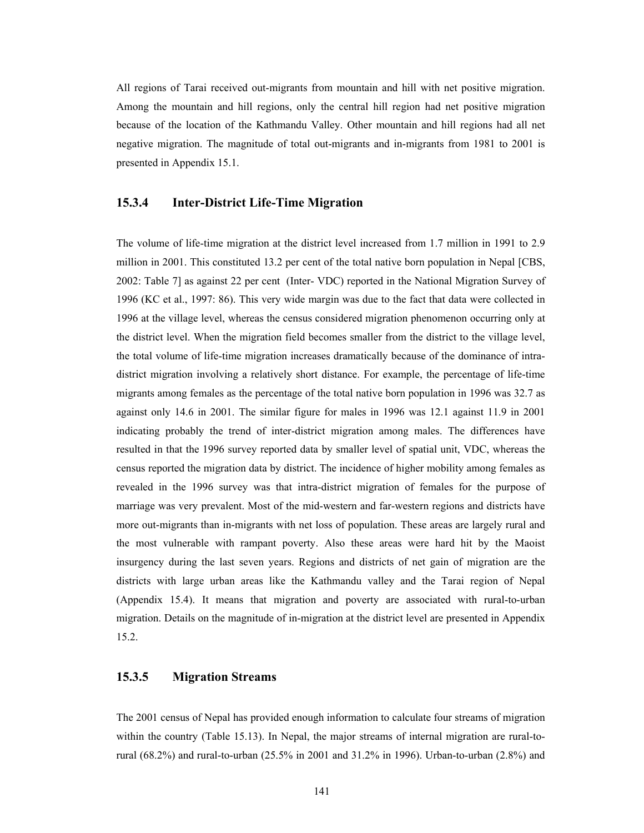All regions of Tarai received out-migrants from mountain and hill with net positive migration. Among the mountain and hill regions, only the central hill region had net positive migration because of the location of the Kathmandu Valley. Other mountain and hill regions had all net negative migration. The magnitude of total out-migrants and in-migrants from 1981 to 2001 is presented in Appendix 15.1.

#### **15.3.4 Inter-District Life-Time Migration**

The volume of life-time migration at the district level increased from 1.7 million in 1991 to 2.9 million in 2001. This constituted 13.2 per cent of the total native born population in Nepal [CBS, 2002: Table 7] as against 22 per cent (Inter- VDC) reported in the National Migration Survey of 1996 (KC et al., 1997: 86). This very wide margin was due to the fact that data were collected in 1996 at the village level, whereas the census considered migration phenomenon occurring only at the district level. When the migration field becomes smaller from the district to the village level, the total volume of life-time migration increases dramatically because of the dominance of intradistrict migration involving a relatively short distance. For example, the percentage of life-time migrants among females as the percentage of the total native born population in 1996 was 32.7 as against only 14.6 in 2001. The similar figure for males in 1996 was 12.1 against 11.9 in 2001 indicating probably the trend of inter-district migration among males. The differences have resulted in that the 1996 survey reported data by smaller level of spatial unit, VDC, whereas the census reported the migration data by district. The incidence of higher mobility among females as revealed in the 1996 survey was that intra-district migration of females for the purpose of marriage was very prevalent. Most of the mid-western and far-western regions and districts have more out-migrants than in-migrants with net loss of population. These areas are largely rural and the most vulnerable with rampant poverty. Also these areas were hard hit by the Maoist insurgency during the last seven years. Regions and districts of net gain of migration are the districts with large urban areas like the Kathmandu valley and the Tarai region of Nepal (Appendix 15.4). It means that migration and poverty are associated with rural-to-urban migration. Details on the magnitude of in-migration at the district level are presented in Appendix 15.2.

#### **15.3.5 Migration Streams**

The 2001 census of Nepal has provided enough information to calculate four streams of migration within the country (Table 15.13). In Nepal, the major streams of internal migration are rural-torural (68.2%) and rural-to-urban (25.5% in 2001 and 31.2% in 1996). Urban-to-urban (2.8%) and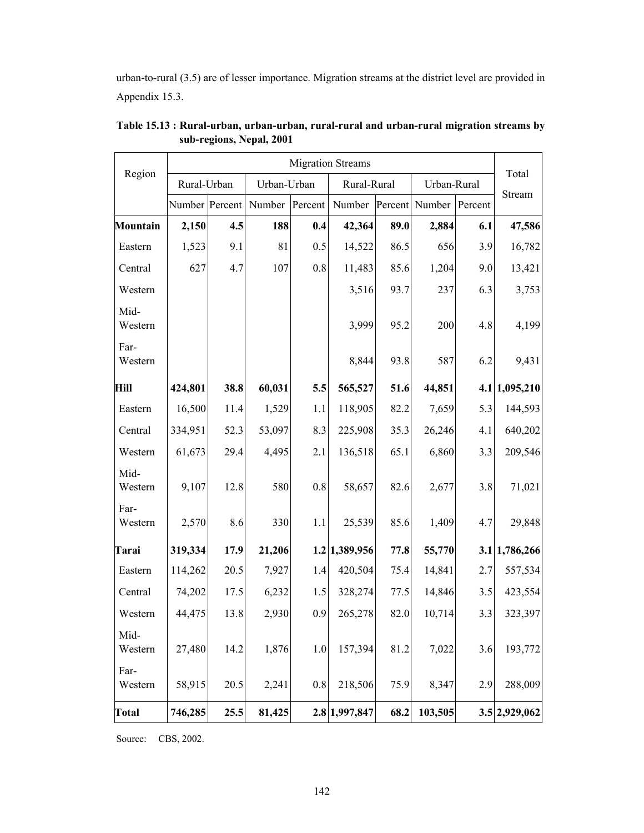urban-to-rural (3.5) are of lesser importance. Migration streams at the district level are provided in Appendix 15.3.

|                 |                |      |             |         | <b>Migration Streams</b> |         |             |         |               |
|-----------------|----------------|------|-------------|---------|--------------------------|---------|-------------|---------|---------------|
| Region          | Rural-Urban    |      | Urban-Urban |         | Rural-Rural              |         | Urban-Rural |         | Total         |
|                 | Number Percent |      | Number      | Percent | Number                   | Percent | Number      | Percent | Stream        |
| <b>Mountain</b> | 2,150          | 4.5  | 188         | 0.4     | 42,364                   | 89.0    | 2,884       | 6.1     | 47,586        |
| Eastern         | 1,523          | 9.1  | 81          | 0.5     | 14,522                   | 86.5    | 656         | 3.9     | 16,782        |
| Central         | 627            | 4.7  | 107         | 0.8     | 11,483                   | 85.6    | 1,204       | 9.0     | 13,421        |
| Western         |                |      |             |         | 3,516                    | 93.7    | 237         | 6.3     | 3,753         |
| Mid-<br>Western |                |      |             |         | 3,999                    | 95.2    | 200         | 4.8     | 4,199         |
| Far-<br>Western |                |      |             |         | 8,844                    | 93.8    | 587         | 6.2     | 9,431         |
| <b>Hill</b>     | 424,801        | 38.8 | 60,031      | 5.5     | 565,527                  | 51.6    | 44,851      |         | 4.1 1,095,210 |
| Eastern         | 16,500         | 11.4 | 1,529       | 1.1     | 118,905                  | 82.2    | 7,659       | 5.3     | 144,593       |
| Central         | 334,951        | 52.3 | 53,097      | 8.3     | 225,908                  | 35.3    | 26,246      | 4.1     | 640,202       |
| Western         | 61,673         | 29.4 | 4,495       | 2.1     | 136,518                  | 65.1    | 6,860       | 3.3     | 209,546       |
| Mid-<br>Western | 9,107          | 12.8 | 580         | 0.8     | 58,657                   | 82.6    | 2,677       | 3.8     | 71,021        |
| Far-<br>Western | 2,570          | 8.6  | 330         | 1.1     | 25,539                   | 85.6    | 1,409       | 4.7     | 29,848        |
| Tarai           | 319,334        | 17.9 | 21,206      |         | 1.2 1,389,956            | 77.8    | 55,770      |         | 3.1 1,786,266 |
| Eastern         | 114,262        | 20.5 | 7,927       | 1.4     | 420,504                  | 75.4    | 14,841      | 2.7     | 557,534       |
| Central         | 74,202         | 17.5 | 6,232       | 1.5     | 328,274                  | 77.5    | 14,846      | 3.5     | 423,554       |
| Western         | 44,475         | 13.8 | 2,930       | 0.9     | 265,278                  | 82.0    | 10,714      | 3.3     | 323,397       |
| Mid-<br>Western | 27,480         | 14.2 | 1,876       | $1.0\,$ | 157,394                  | 81.2    | 7,022       | 3.6     | 193,772       |
| Far-<br>Western | 58,915         | 20.5 | 2,241       | 0.8     | 218,506                  | 75.9    | 8,347       | 2.9     | 288,009       |
| <b>Total</b>    | 746,285        | 25.5 | 81,425      |         | 2.8 1,997,847            | 68.2    | 103,505     |         | 3.5 2,929,062 |

**Table 15.13 : Rural-urban, urban-urban, rural-rural and urban-rural migration streams by sub-regions, Nepal, 2001** 

Source: CBS, 2002.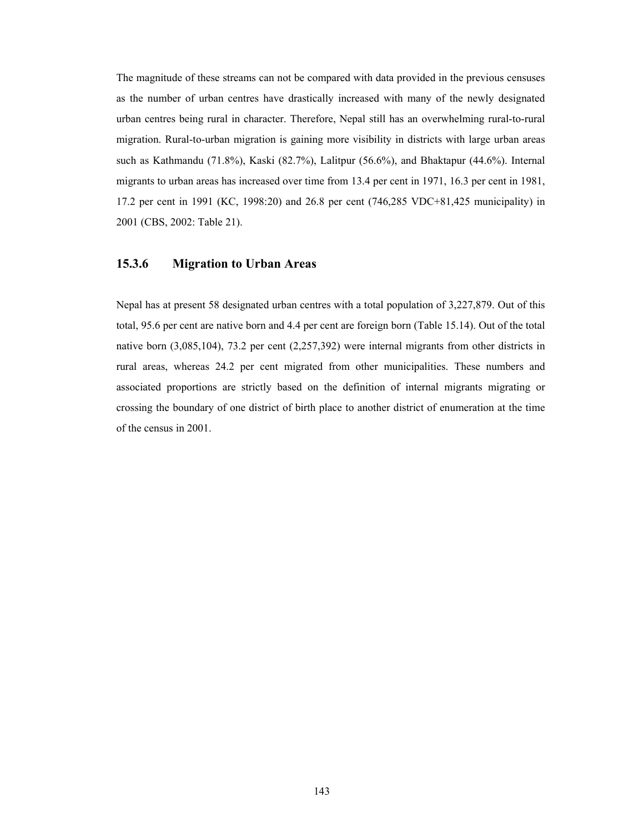The magnitude of these streams can not be compared with data provided in the previous censuses as the number of urban centres have drastically increased with many of the newly designated urban centres being rural in character. Therefore, Nepal still has an overwhelming rural-to-rural migration. Rural-to-urban migration is gaining more visibility in districts with large urban areas such as Kathmandu (71.8%), Kaski (82.7%), Lalitpur (56.6%), and Bhaktapur (44.6%). Internal migrants to urban areas has increased over time from 13.4 per cent in 1971, 16.3 per cent in 1981, 17.2 per cent in 1991 (KC, 1998:20) and 26.8 per cent (746,285 VDC+81,425 municipality) in 2001 (CBS, 2002: Table 21).

#### **15.3.6 Migration to Urban Areas**

Nepal has at present 58 designated urban centres with a total population of 3,227,879. Out of this total, 95.6 per cent are native born and 4.4 per cent are foreign born (Table 15.14). Out of the total native born (3,085,104), 73.2 per cent (2,257,392) were internal migrants from other districts in rural areas, whereas 24.2 per cent migrated from other municipalities. These numbers and associated proportions are strictly based on the definition of internal migrants migrating or crossing the boundary of one district of birth place to another district of enumeration at the time of the census in 2001.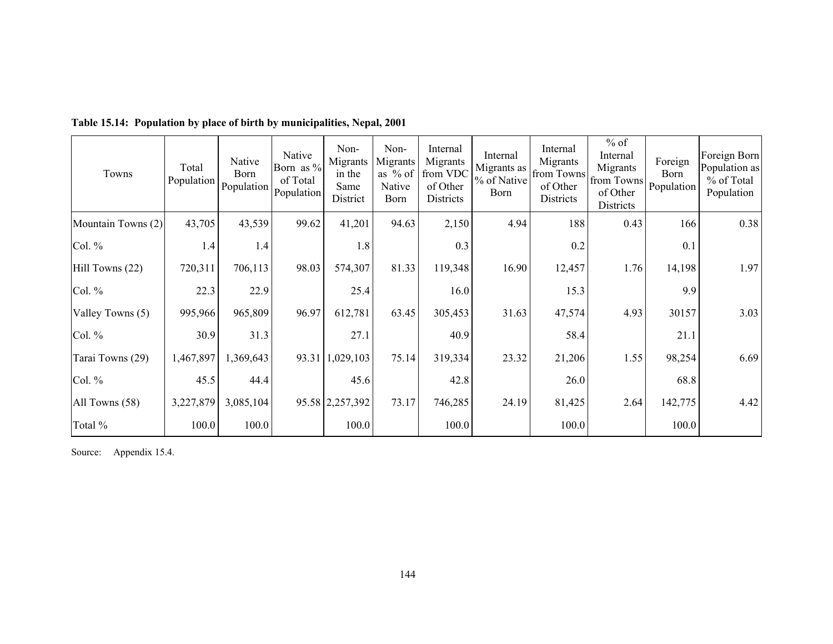| Towns              | Total<br>Population | Native<br><b>Born</b><br>Population | Native<br>Born as %<br>of Total<br>Population | Non-<br>Migrants<br>in the<br>Same<br>District | Non-<br>Migrants<br>as % of<br>Native<br><b>Born</b> | Internal<br>Migrants<br>from VDC<br>of Other<br>Districts | Internal<br>Migrants as<br>% of Native<br><b>B</b> orn | Internal<br>Migrants<br>from Towns<br>of Other<br>Districts | $%$ of<br>Internal<br>Migrants<br>from Towns<br>of Other<br>Districts | Foreign<br>Born<br>Population | Foreign Born<br>Population as<br>% of Total<br>Population |
|--------------------|---------------------|-------------------------------------|-----------------------------------------------|------------------------------------------------|------------------------------------------------------|-----------------------------------------------------------|--------------------------------------------------------|-------------------------------------------------------------|-----------------------------------------------------------------------|-------------------------------|-----------------------------------------------------------|
| Mountain Towns (2) | 43,705              | 43,539                              | 99.62                                         | 41,201                                         | 94.63                                                | 2,150                                                     | 4.94                                                   | 188                                                         | 0.43                                                                  | 166                           | 0.38                                                      |
| Col. %             | 1.4                 | 1.4                                 |                                               | 1.8                                            |                                                      | 0.3                                                       |                                                        | 0.2                                                         |                                                                       | 0.1                           |                                                           |
| Hill Towns (22)    | 720,311             | 706,113                             | 98.03                                         | 574,307                                        | 81.33                                                | 119,348                                                   | 16.90                                                  | 12,457                                                      | 1.76                                                                  | 14,198                        | 1.97                                                      |
| Col. %             | 22.3                | 22.9                                |                                               | 25.4                                           |                                                      | 16.0                                                      |                                                        | 15.3                                                        |                                                                       | 9.9                           |                                                           |
| Valley Towns (5)   | 995,966             | 965,809                             | 96.97                                         | 612,781                                        | 63.45                                                | 305,453                                                   | 31.63                                                  | 47,574                                                      | 4.93                                                                  | 30157                         | 3.03                                                      |
| Col. %             | 30.9                | 31.3                                |                                               | 27.1                                           |                                                      | 40.9                                                      |                                                        | 58.4                                                        |                                                                       | 21.1                          |                                                           |
| Tarai Towns (29)   | 1,467,897           | 1,369,643                           |                                               | 93.31 1,029,103                                | 75.14                                                | 319,334                                                   | 23.32                                                  | 21,206                                                      | 1.55                                                                  | 98,254                        | 6.69                                                      |
| Col. $%$           | 45.5                | 44.4                                |                                               | 45.6                                           |                                                      | 42.8                                                      |                                                        | 26.0                                                        |                                                                       | 68.8                          |                                                           |
| All Towns (58)     | 3,227,879           | 3,085,104                           |                                               | 95.58 2,257,392                                | 73.17                                                | 746,285                                                   | 24.19                                                  | 81,425                                                      | 2.64                                                                  | 142,775                       | 4.42                                                      |
| Total %            | 100.0               | 100.0                               |                                               | 100.0                                          |                                                      | 100.0                                                     |                                                        | 100.0                                                       |                                                                       | 100.0                         |                                                           |

**Table 15.14: Population by place of birth by municipalities, Nepal, 2001** 

Source: Appendix 15.4.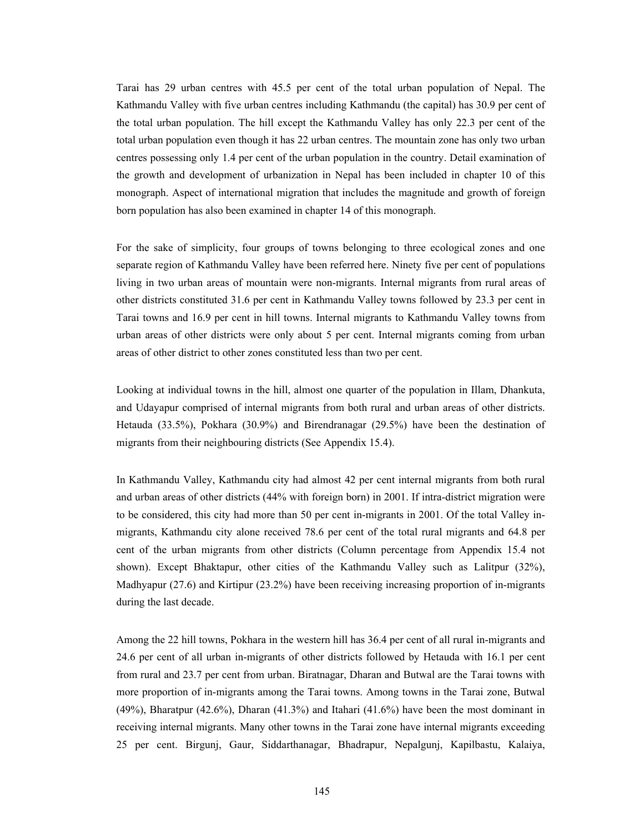Tarai has 29 urban centres with 45.5 per cent of the total urban population of Nepal. The Kathmandu Valley with five urban centres including Kathmandu (the capital) has 30.9 per cent of the total urban population. The hill except the Kathmandu Valley has only 22.3 per cent of the total urban population even though it has 22 urban centres. The mountain zone has only two urban centres possessing only 1.4 per cent of the urban population in the country. Detail examination of the growth and development of urbanization in Nepal has been included in chapter 10 of this monograph. Aspect of international migration that includes the magnitude and growth of foreign born population has also been examined in chapter 14 of this monograph.

For the sake of simplicity, four groups of towns belonging to three ecological zones and one separate region of Kathmandu Valley have been referred here. Ninety five per cent of populations living in two urban areas of mountain were non-migrants. Internal migrants from rural areas of other districts constituted 31.6 per cent in Kathmandu Valley towns followed by 23.3 per cent in Tarai towns and 16.9 per cent in hill towns. Internal migrants to Kathmandu Valley towns from urban areas of other districts were only about 5 per cent. Internal migrants coming from urban areas of other district to other zones constituted less than two per cent.

Looking at individual towns in the hill, almost one quarter of the population in Illam, Dhankuta, and Udayapur comprised of internal migrants from both rural and urban areas of other districts. Hetauda (33.5%), Pokhara (30.9%) and Birendranagar (29.5%) have been the destination of migrants from their neighbouring districts (See Appendix 15.4).

In Kathmandu Valley, Kathmandu city had almost 42 per cent internal migrants from both rural and urban areas of other districts (44% with foreign born) in 2001. If intra-district migration were to be considered, this city had more than 50 per cent in-migrants in 2001. Of the total Valley inmigrants, Kathmandu city alone received 78.6 per cent of the total rural migrants and 64.8 per cent of the urban migrants from other districts (Column percentage from Appendix 15.4 not shown). Except Bhaktapur, other cities of the Kathmandu Valley such as Lalitpur (32%), Madhyapur (27.6) and Kirtipur (23.2%) have been receiving increasing proportion of in-migrants during the last decade.

Among the 22 hill towns, Pokhara in the western hill has 36.4 per cent of all rural in-migrants and 24.6 per cent of all urban in-migrants of other districts followed by Hetauda with 16.1 per cent from rural and 23.7 per cent from urban. Biratnagar, Dharan and Butwal are the Tarai towns with more proportion of in-migrants among the Tarai towns. Among towns in the Tarai zone, Butwal (49%), Bharatpur (42.6%), Dharan (41.3%) and Itahari (41.6%) have been the most dominant in receiving internal migrants. Many other towns in the Tarai zone have internal migrants exceeding 25 per cent. Birgunj, Gaur, Siddarthanagar, Bhadrapur, Nepalgunj, Kapilbastu, Kalaiya,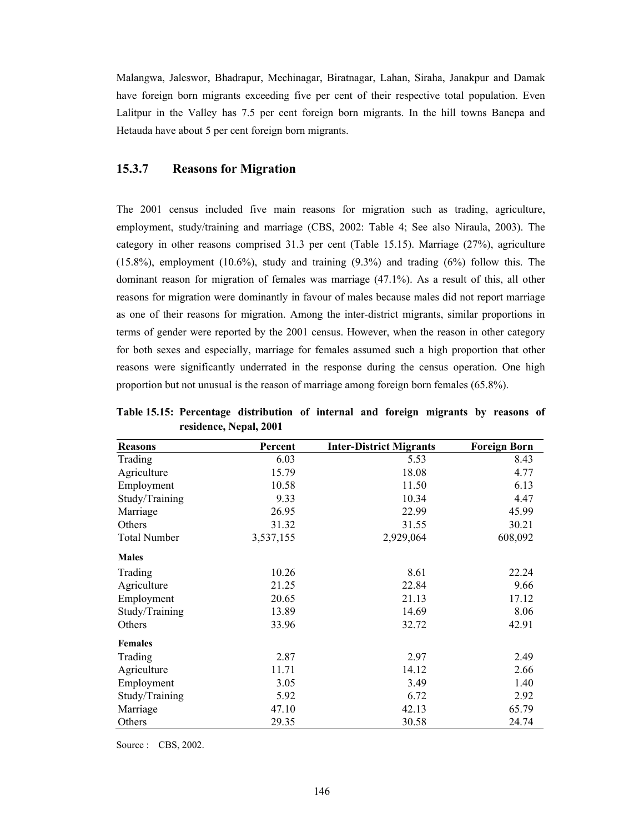Malangwa, Jaleswor, Bhadrapur, Mechinagar, Biratnagar, Lahan, Siraha, Janakpur and Damak have foreign born migrants exceeding five per cent of their respective total population. Even Lalitpur in the Valley has 7.5 per cent foreign born migrants. In the hill towns Banepa and Hetauda have about 5 per cent foreign born migrants.

#### **15.3.7 Reasons for Migration**

The 2001 census included five main reasons for migration such as trading, agriculture, employment, study/training and marriage (CBS, 2002: Table 4; See also Niraula, 2003). The category in other reasons comprised 31.3 per cent (Table 15.15). Marriage (27%), agriculture  $(15.8\%)$ , employment  $(10.6\%)$ , study and training  $(9.3\%)$  and trading  $(6\%)$  follow this. The dominant reason for migration of females was marriage (47.1%). As a result of this, all other reasons for migration were dominantly in favour of males because males did not report marriage as one of their reasons for migration. Among the inter-district migrants, similar proportions in terms of gender were reported by the 2001 census. However, when the reason in other category for both sexes and especially, marriage for females assumed such a high proportion that other reasons were significantly underrated in the response during the census operation. One high proportion but not unusual is the reason of marriage among foreign born females (65.8%).

| Table 15.15: Percentage distribution of internal and foreign migrants by reasons of |                        |  |  |  |  |
|-------------------------------------------------------------------------------------|------------------------|--|--|--|--|
|                                                                                     | residence, Nepal, 2001 |  |  |  |  |

| <b>Reasons</b>      | Percent   | <b>Inter-District Migrants</b> | <b>Foreign Born</b> |
|---------------------|-----------|--------------------------------|---------------------|
| Trading             | 6.03      | 5.53                           | 8.43                |
| Agriculture         | 15.79     | 18.08                          | 4.77                |
| Employment          | 10.58     | 11.50                          | 6.13                |
| Study/Training      | 9.33      | 10.34                          | 4.47                |
| Marriage            | 26.95     | 22.99                          | 45.99               |
| Others              | 31.32     | 31.55                          | 30.21               |
| <b>Total Number</b> | 3,537,155 | 2,929,064                      | 608,092             |
| <b>Males</b>        |           |                                |                     |
| Trading             | 10.26     | 8.61                           | 22.24               |
| Agriculture         | 21.25     | 22.84                          | 9.66                |
| Employment          | 20.65     | 21.13                          | 17.12               |
| Study/Training      | 13.89     | 14.69                          | 8.06                |
| Others              | 33.96     | 32.72                          | 42.91               |
| <b>Females</b>      |           |                                |                     |
| Trading             | 2.87      | 2.97                           | 2.49                |
| Agriculture         | 11.71     | 14.12                          | 2.66                |
| Employment          | 3.05      | 3.49                           | 1.40                |
| Study/Training      | 5.92      | 6.72                           | 2.92                |
| Marriage            | 47.10     | 42.13                          | 65.79               |
| Others              | 29.35     | 30.58                          | 24.74               |

Source : CBS, 2002.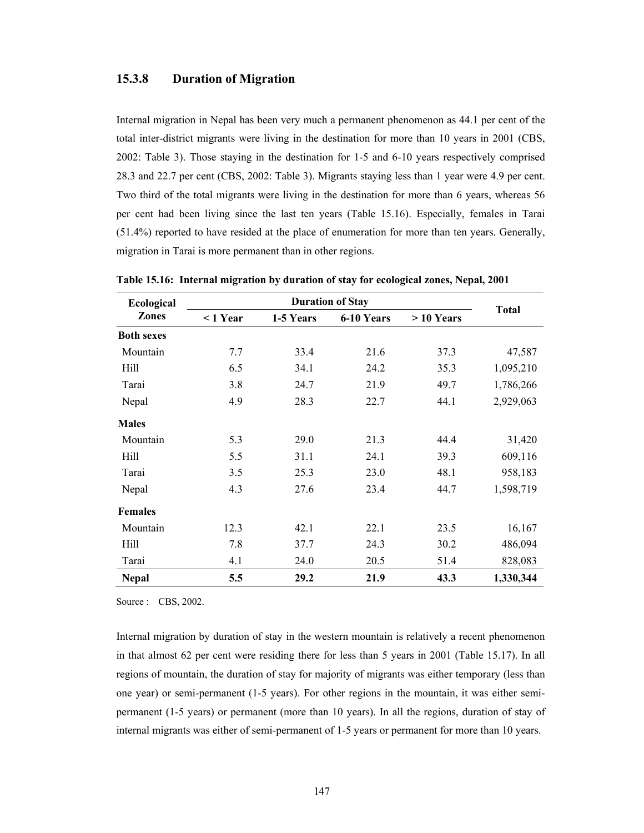#### **15.3.8 Duration of Migration**

Internal migration in Nepal has been very much a permanent phenomenon as 44.1 per cent of the total inter-district migrants were living in the destination for more than 10 years in 2001 (CBS, 2002: Table 3). Those staying in the destination for 1-5 and 6-10 years respectively comprised 28.3 and 22.7 per cent (CBS, 2002: Table 3). Migrants staying less than 1 year were 4.9 per cent. Two third of the total migrants were living in the destination for more than 6 years, whereas 56 per cent had been living since the last ten years (Table 15.16). Especially, females in Tarai (51.4%) reported to have resided at the place of enumeration for more than ten years. Generally, migration in Tarai is more permanent than in other regions.

| <b>Ecological</b> |            |           | <b>Duration of Stay</b> |             |              |
|-------------------|------------|-----------|-------------------------|-------------|--------------|
| <b>Zones</b>      | $<$ 1 Year | 1-5 Years | 6-10 Years              | $>10$ Years | <b>Total</b> |
| <b>Both sexes</b> |            |           |                         |             |              |
| Mountain          | 7.7        | 33.4      | 21.6                    | 37.3        | 47,587       |
| Hill              | 6.5        | 34.1      | 24.2                    | 35.3        | 1,095,210    |
| Tarai             | 3.8        | 24.7      | 21.9                    | 49.7        | 1,786,266    |
| Nepal             | 4.9        | 28.3      | 22.7                    | 44.1        | 2,929,063    |
| <b>Males</b>      |            |           |                         |             |              |
| Mountain          | 5.3        | 29.0      | 21.3                    | 44.4        | 31,420       |
| Hill              | 5.5        | 31.1      | 24.1                    | 39.3        | 609,116      |
| Tarai             | 3.5        | 25.3      | 23.0                    | 48.1        | 958,183      |
| Nepal             | 4.3        | 27.6      | 23.4                    | 44.7        | 1,598,719    |
| <b>Females</b>    |            |           |                         |             |              |
| Mountain          | 12.3       | 42.1      | 22.1                    | 23.5        | 16,167       |
| Hill              | 7.8        | 37.7      | 24.3                    | 30.2        | 486,094      |
| Tarai             | 4.1        | 24.0      | 20.5                    | 51.4        | 828,083      |
| <b>Nepal</b>      | 5.5        | 29.2      | 21.9                    | 43.3        | 1,330,344    |

**Table 15.16: Internal migration by duration of stay for ecological zones, Nepal, 2001** 

Source : CBS, 2002.

Internal migration by duration of stay in the western mountain is relatively a recent phenomenon in that almost 62 per cent were residing there for less than 5 years in 2001 (Table 15.17). In all regions of mountain, the duration of stay for majority of migrants was either temporary (less than one year) or semi-permanent (1-5 years). For other regions in the mountain, it was either semipermanent (1-5 years) or permanent (more than 10 years). In all the regions, duration of stay of internal migrants was either of semi-permanent of 1-5 years or permanent for more than 10 years.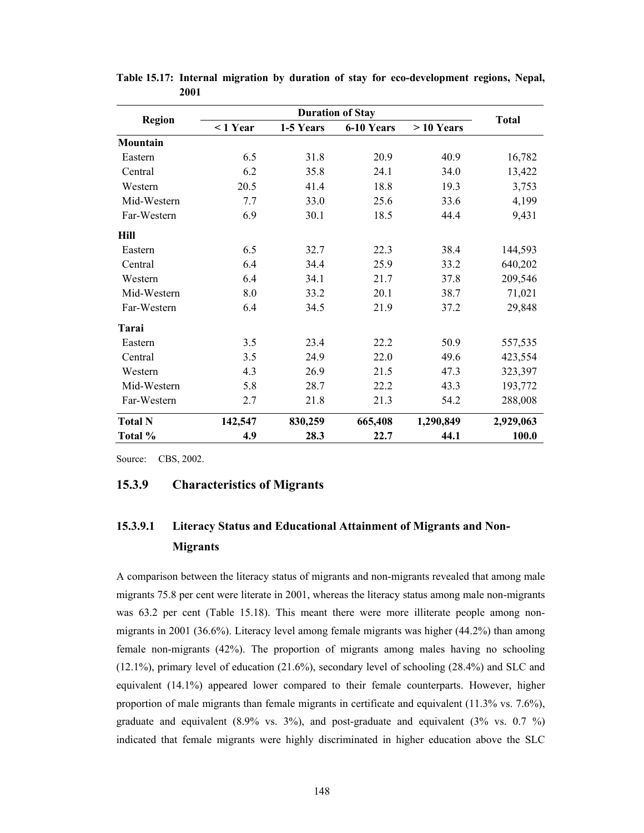|                 |            |           | <b>Duration of Stay</b> |             | <b>Total</b> |  |  |
|-----------------|------------|-----------|-------------------------|-------------|--------------|--|--|
| <b>Region</b>   | $< 1$ Year | 1-5 Years | 6-10 Years              | $>10$ Years |              |  |  |
| <b>Mountain</b> |            |           |                         |             |              |  |  |
| Eastern         | 6.5        | 31.8      | 20.9                    | 40.9        | 16,782       |  |  |
| Central         | 6.2        | 35.8      | 24.1                    | 34.0        | 13,422       |  |  |
| Western         | 20.5       | 41.4      | 18.8                    | 19.3        | 3,753        |  |  |
| Mid-Western     | 7.7        | 33.0      | 25.6                    | 33.6        | 4,199        |  |  |
| Far-Western     | 6.9        | 30.1      | 18.5                    | 44.4        | 9,431        |  |  |
| Hill            |            |           |                         |             |              |  |  |
| Eastern         | 6.5        | 32.7      | 22.3                    | 38.4        | 144,593      |  |  |
| Central         | 6.4        | 34.4      | 25.9                    | 33.2        | 640,202      |  |  |
| Western         | 6.4        | 34.1      | 21.7                    | 37.8        | 209,546      |  |  |
| Mid-Western     | 8.0        | 33.2      | 20.1                    | 38.7        | 71,021       |  |  |
| Far-Western     | 6.4        | 34.5      | 21.9                    | 37.2        | 29,848       |  |  |
| Tarai           |            |           |                         |             |              |  |  |
| Eastern         | 3.5        | 23.4      | 22.2                    | 50.9        | 557,535      |  |  |
| Central         | 3.5        | 24.9      | 22.0                    | 49.6        | 423,554      |  |  |
| Western         | 4.3        | 26.9      | 21.5                    | 47.3        | 323,397      |  |  |
| Mid-Western     | 5.8        | 28.7      | 22.2                    | 43.3        | 193,772      |  |  |
| Far-Western     | 2.7        | 21.8      | 21.3                    | 54.2        | 288,008      |  |  |
| <b>Total N</b>  | 142,547    | 830,259   | 665,408                 | 1,290,849   | 2,929,063    |  |  |
| Total %         | 4.9        | 28.3      | 22.7                    | 44.1        | 100.0        |  |  |

**Table 15.17: Internal migration by duration of stay for eco-development regions, Nepal, 2001** 

Source: CBS, 2002.

#### **15.3.9 Characteristics of Migrants**

# **15.3.9.1 Literacy Status and Educational Attainment of Migrants and Non-Migrants**

A comparison between the literacy status of migrants and non-migrants revealed that among male migrants 75.8 per cent were literate in 2001, whereas the literacy status among male non-migrants was 63.2 per cent (Table 15.18). This meant there were more illiterate people among nonmigrants in 2001 (36.6%). Literacy level among female migrants was higher (44.2%) than among female non-migrants (42%). The proportion of migrants among males having no schooling (12.1%), primary level of education (21.6%), secondary level of schooling (28.4%) and SLC and equivalent (14.1%) appeared lower compared to their female counterparts. However, higher proportion of male migrants than female migrants in certificate and equivalent (11.3% vs. 7.6%), graduate and equivalent (8.9% vs. 3%), and post-graduate and equivalent (3% vs. 0.7 %) indicated that female migrants were highly discriminated in higher education above the SLC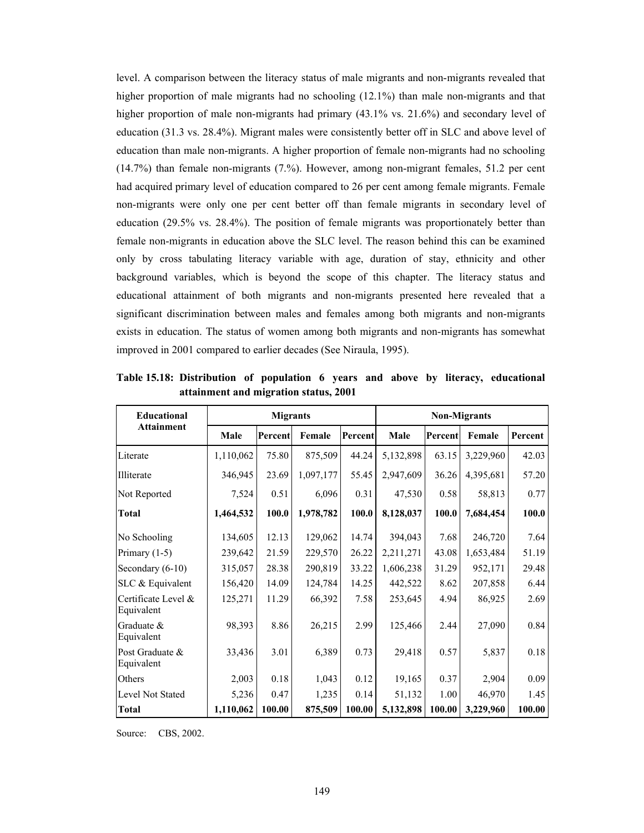level. A comparison between the literacy status of male migrants and non-migrants revealed that higher proportion of male migrants had no schooling  $(12.1\%)$  than male non-migrants and that higher proportion of male non-migrants had primary (43.1% vs. 21.6%) and secondary level of education (31.3 vs. 28.4%). Migrant males were consistently better off in SLC and above level of education than male non-migrants. A higher proportion of female non-migrants had no schooling (14.7%) than female non-migrants (7.%). However, among non-migrant females, 51.2 per cent had acquired primary level of education compared to 26 per cent among female migrants. Female non-migrants were only one per cent better off than female migrants in secondary level of education (29.5% vs. 28.4%). The position of female migrants was proportionately better than female non-migrants in education above the SLC level. The reason behind this can be examined only by cross tabulating literacy variable with age, duration of stay, ethnicity and other background variables, which is beyond the scope of this chapter. The literacy status and educational attainment of both migrants and non-migrants presented here revealed that a significant discrimination between males and females among both migrants and non-migrants exists in education. The status of women among both migrants and non-migrants has somewhat improved in 2001 compared to earlier decades (See Niraula, 1995).

| <b>Educational</b>                |           | <b>Migrants</b> |           |         | <b>Non-Migrants</b> |         |           |         |  |  |
|-----------------------------------|-----------|-----------------|-----------|---------|---------------------|---------|-----------|---------|--|--|
| <b>Attainment</b>                 | Male      | Percent         | Female    | Percent | Male                | Percent | Female    | Percent |  |  |
| Literate                          | 1,110,062 | 75.80           | 875,509   | 44.24   | 5,132,898           | 63.15   | 3,229,960 | 42.03   |  |  |
| Illiterate                        | 346,945   | 23.69           | 1,097,177 | 55.45   | 2,947,609           | 36.26   | 4,395,681 | 57.20   |  |  |
| Not Reported                      | 7,524     | 0.51            | 6,096     | 0.31    | 47,530              | 0.58    | 58,813    | 0.77    |  |  |
| Total                             | 1,464,532 | 100.0           | 1,978,782 | 100.0   | 8,128,037           | 100.0   | 7,684,454 | 100.0   |  |  |
| No Schooling                      | 134,605   | 12.13           | 129,062   | 14.74   | 394,043             | 7.68    | 246,720   | 7.64    |  |  |
| Primary $(1-5)$                   | 239,642   | 21.59           | 229,570   | 26.22   | 2,211,271           | 43.08   | 1,653,484 | 51.19   |  |  |
| Secondary $(6-10)$                | 315,057   | 28.38           | 290,819   | 33.22   | 1,606,238           | 31.29   | 952,171   | 29.48   |  |  |
| SLC & Equivalent                  | 156,420   | 14.09           | 124,784   | 14.25   | 442,522             | 8.62    | 207,858   | 6.44    |  |  |
| Certificate Level &<br>Equivalent | 125,271   | 11.29           | 66,392    | 7.58    | 253,645             | 4.94    | 86,925    | 2.69    |  |  |
| Graduate &<br>Equivalent          | 98,393    | 8.86            | 26,215    | 2.99    | 125,466             | 2.44    | 27,090    | 0.84    |  |  |
| Post Graduate &<br>Equivalent     | 33,436    | 3.01            | 6,389     | 0.73    | 29,418              | 0.57    | 5,837     | 0.18    |  |  |
| Others                            | 2,003     | 0.18            | 1,043     | 0.12    | 19,165              | 0.37    | 2,904     | 0.09    |  |  |
| Level Not Stated                  | 5,236     | 0.47            | 1,235     | 0.14    | 51,132              | 1.00    | 46,970    | 1.45    |  |  |
| <b>Total</b>                      | 1,110,062 | 100.00          | 875,509   | 100.00  | 5,132,898           | 100.00  | 3,229,960 | 100.00  |  |  |

**Table 15.18: Distribution of population 6 years and above by literacy, educational attainment and migration status, 2001** 

Source: CBS, 2002.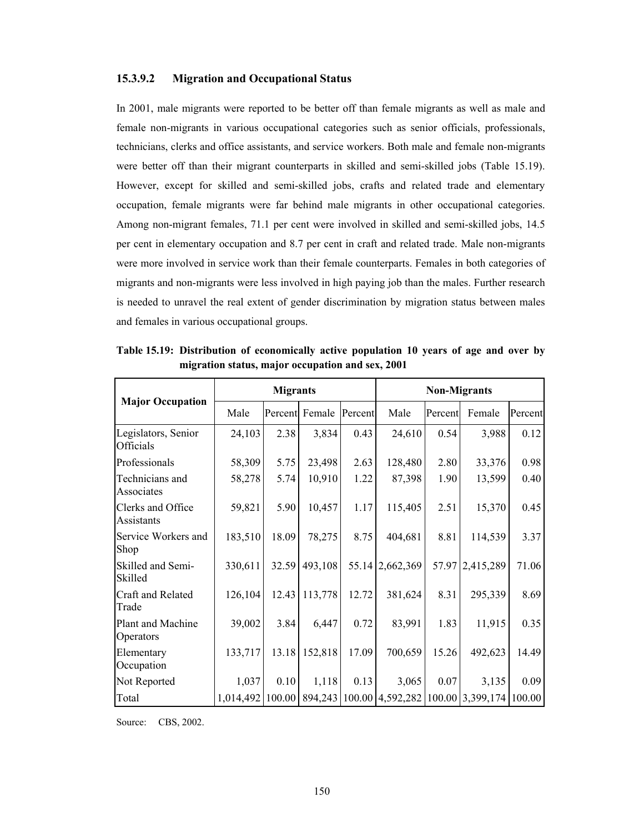#### **15.3.9.2 Migration and Occupational Status**

In 2001, male migrants were reported to be better off than female migrants as well as male and female non-migrants in various occupational categories such as senior officials, professionals, technicians, clerks and office assistants, and service workers. Both male and female non-migrants were better off than their migrant counterparts in skilled and semi-skilled jobs (Table 15.19). However, except for skilled and semi-skilled jobs, crafts and related trade and elementary occupation, female migrants were far behind male migrants in other occupational categories. Among non-migrant females, 71.1 per cent were involved in skilled and semi-skilled jobs, 14.5 per cent in elementary occupation and 8.7 per cent in craft and related trade. Male non-migrants were more involved in service work than their female counterparts. Females in both categories of migrants and non-migrants were less involved in high paying job than the males. Further research is needed to unravel the real extent of gender discrimination by migration status between males and females in various occupational groups.

|                                  |         | <b>Migrants</b> |         |         | <b>Non-Migrants</b>                                                             |         |           |         |  |
|----------------------------------|---------|-----------------|---------|---------|---------------------------------------------------------------------------------|---------|-----------|---------|--|
| <b>Major Occupation</b>          | Male    | Percent         | Female  | Percent | Male                                                                            | Percent | Female    | Percent |  |
| Legislators, Senior<br>Officials | 24,103  | 2.38            | 3,834   | 0.43    | 24,610                                                                          | 0.54    | 3,988     | 0.12    |  |
| Professionals                    | 58,309  | 5.75            | 23,498  | 2.63    | 128,480                                                                         | 2.80    | 33,376    | 0.98    |  |
| Technicians and<br>Associates    | 58,278  | 5.74            | 10,910  | 1.22    | 87,398                                                                          | 1.90    | 13,599    | 0.40    |  |
| Clerks and Office<br>Assistants  | 59,821  | 5.90            | 10,457  | 1.17    | 115,405                                                                         | 2.51    | 15,370    | 0.45    |  |
| Service Workers and<br>Shop      | 183,510 | 18.09           | 78,275  | 8.75    | 404,681                                                                         | 8.81    | 114,539   | 3.37    |  |
| Skilled and Semi-<br>Skilled     | 330,611 | 32.59           | 493,108 |         | 55.14 2,662,369                                                                 | 57.97   | 2,415,289 | 71.06   |  |
| Craft and Related<br>Trade       | 126,104 | 12.43           | 113,778 | 12.72   | 381,624                                                                         | 8.31    | 295,339   | 8.69    |  |
| Plant and Machine<br>Operators   | 39,002  | 3.84            | 6,447   | 0.72    | 83,991                                                                          | 1.83    | 11,915    | 0.35    |  |
| Elementary<br>Occupation         | 133,717 | 13.18           | 152,818 | 17.09   | 700,659                                                                         | 15.26   | 492,623   | 14.49   |  |
| Not Reported                     | 1,037   | 0.10            | 1,118   | 0.13    | 3,065                                                                           | 0.07    | 3,135     | 0.09    |  |
| Total                            |         |                 |         |         | 1,014,492   100.00   894,243   100.00   4,592,282   100.00   3,399,174   100.00 |         |           |         |  |

**Table 15.19: Distribution of economically active population 10 years of age and over by migration status, major occupation and sex, 2001** 

Source: CBS, 2002.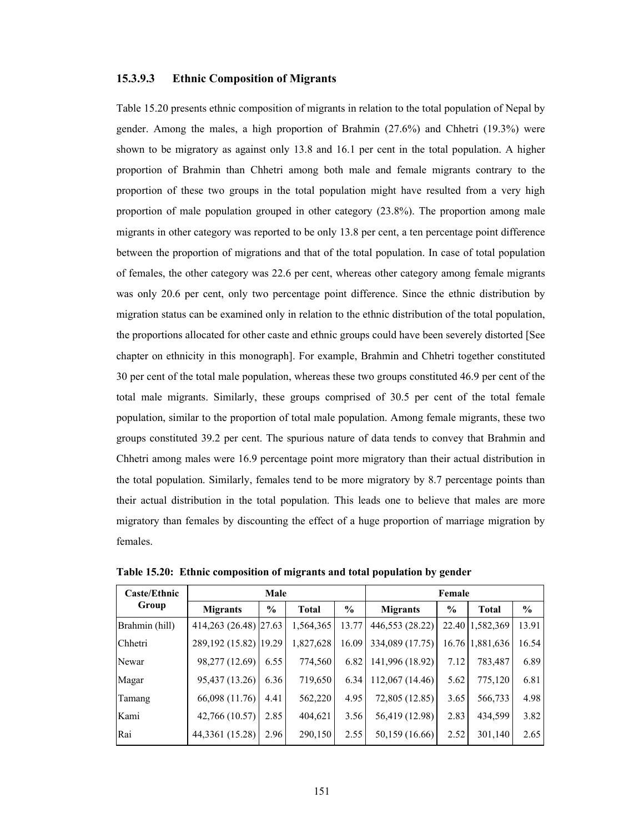#### **15.3.9.3 Ethnic Composition of Migrants**

Table 15.20 presents ethnic composition of migrants in relation to the total population of Nepal by gender. Among the males, a high proportion of Brahmin (27.6%) and Chhetri (19.3%) were shown to be migratory as against only 13.8 and 16.1 per cent in the total population. A higher proportion of Brahmin than Chhetri among both male and female migrants contrary to the proportion of these two groups in the total population might have resulted from a very high proportion of male population grouped in other category (23.8%). The proportion among male migrants in other category was reported to be only 13.8 per cent, a ten percentage point difference between the proportion of migrations and that of the total population. In case of total population of females, the other category was 22.6 per cent, whereas other category among female migrants was only 20.6 per cent, only two percentage point difference. Since the ethnic distribution by migration status can be examined only in relation to the ethnic distribution of the total population, the proportions allocated for other caste and ethnic groups could have been severely distorted [See chapter on ethnicity in this monograph]. For example, Brahmin and Chhetri together constituted 30 per cent of the total male population, whereas these two groups constituted 46.9 per cent of the total male migrants. Similarly, these groups comprised of 30.5 per cent of the total female population, similar to the proportion of total male population. Among female migrants, these two groups constituted 39.2 per cent. The spurious nature of data tends to convey that Brahmin and Chhetri among males were 16.9 percentage point more migratory than their actual distribution in the total population. Similarly, females tend to be more migratory by 8.7 percentage points than their actual distribution in the total population. This leads one to believe that males are more migratory than females by discounting the effect of a huge proportion of marriage migration by females.

| <b>Caste/Ethnic</b> |                        | Male                 |           | Female        |                 |      |                 |               |
|---------------------|------------------------|----------------------|-----------|---------------|-----------------|------|-----------------|---------------|
| Group               | <b>Migrants</b>        | $\%$<br><b>Total</b> |           | $\frac{6}{9}$ | <b>Migrants</b> | $\%$ | <b>Total</b>    | $\frac{6}{6}$ |
| Brahmin (hill)      | 414,263 (26.48) 27.63  |                      | 1,564,365 | 13.77         | 446,553 (28.22) |      | 22.40 1,582,369 | 13.91         |
| Chhetri             | 289, 192 (15.82) 19.29 |                      | 1,827,628 | 16.09         | 334,089 (17.75) |      | 16.76 1.881,636 | 16.54         |
| Newar               | 98,277 (12.69)         | 6.55                 | 774,560   | 6.82          | 141,996 (18.92) | 7.12 | 783,487         | 6.89          |
| Magar               | 95,437 (13.26)         | 6.36                 | 719,650   | 6.34          | 112,067 (14.46) | 5.62 | 775,120         | 6.81          |
| Tamang              | 66,098 (11.76)         | 4.41                 | 562,220   | 4.95          | 72,805 (12.85)  | 3.65 | 566,733         | 4.98          |
| Kami                | 42,766 (10.57)         | 2.85                 | 404,621   | 3.56          | 56,419 (12.98)  | 2.83 | 434,599         | 3.82          |
| Rai                 | 44,3361 (15.28)        | 2.96                 | 290,150   | 2.55          | 50,159 (16.66)  | 2.52 | 301,140         | 2.65          |

**Table 15.20: Ethnic composition of migrants and total population by gender**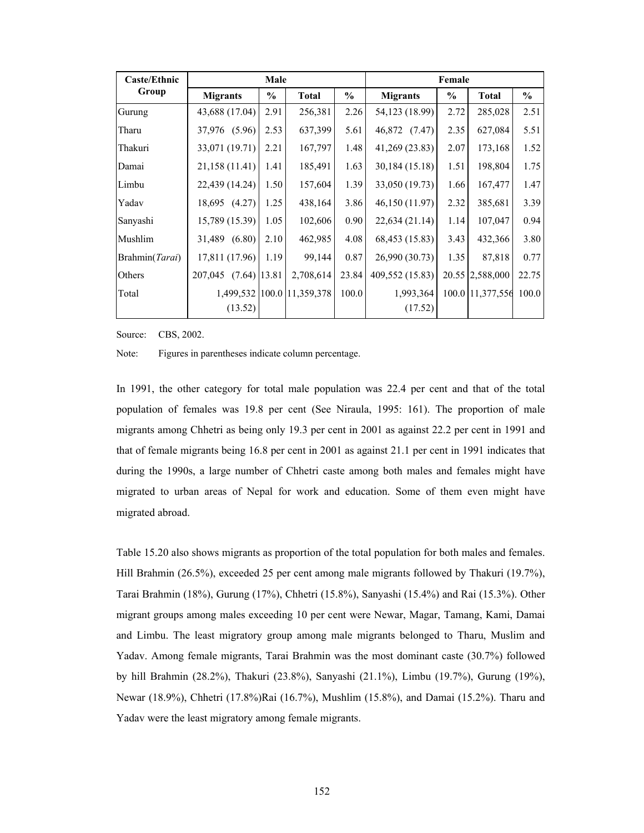| <b>Caste/Ethnic</b> |                           | Male |                  |               |                      | Female |                  |       |
|---------------------|---------------------------|------|------------------|---------------|----------------------|--------|------------------|-------|
| Group               | <b>Migrants</b>           | $\%$ | <b>Total</b>     | $\frac{0}{0}$ | <b>Migrants</b>      | $\%$   | <b>Total</b>     | $\%$  |
| Gurung              | 43,688 (17.04)            | 2.91 | 256,381          | 2.26          | 54,123 (18.99)       | 2.72   | 285,028          | 2.51  |
| Tharu               | 37,976 (5.96)             | 2.53 | 637,399          | 5.61          | 46,872 (7.47)        | 2.35   | 627,084          | 5.51  |
| Thakuri             | 33,071 (19.71)            | 2.21 | 167,797          | 1.48          | 41,269 (23.83)       | 2.07   | 173,168          | 1.52  |
| Damai               | 21,158(11.41)             | 1.41 | 185,491          | 1.63          | 30,184 (15.18)       | 1.51   | 198,804          | 1.75  |
| Limbu               | 22,439(14.24)             | 1.50 | 157,604          | 1.39          | 33,050 (19.73)       | 1.66   | 167,477          | 1.47  |
| Yadav               | 18,695 (4.27)             | 1.25 | 438,164          | 3.86          | 46,150 (11.97)       | 2.32   | 385,681          | 3.39  |
| Sanyashi            | 15,789 (15.39)            | 1.05 | 102,606          | 0.90          | 22,634(21.14)        | 1.14   | 107,047          | 0.94  |
| Mushlim             | 31,489 (6.80)             | 2.10 | 462,985          | 4.08          | 68,453 (15.83)       | 3.43   | 432,366          | 3.80  |
| Brahmin(Tarai)      | 17,811 (17.96)            | 1.19 | 99,144           | 0.87          | 26,990 (30.73)       | 1.35   | 87,818           | 0.77  |
| Others              | 207,045<br>$(7.64)$ 13.81 |      | 2,708,614        | 23.84         | 409,552 (15.83)      |        | 20.55 2,588,000  | 22.75 |
| Total               | 1,499,532<br>(13.52)      |      | 100.0 11,359,378 | 100.0         | 1,993,364<br>(17.52) |        | 100.0 11,377,556 | 100.0 |

Source: CBS, 2002.

Note: Figures in parentheses indicate column percentage.

In 1991, the other category for total male population was 22.4 per cent and that of the total population of females was 19.8 per cent (See Niraula, 1995: 161). The proportion of male migrants among Chhetri as being only 19.3 per cent in 2001 as against 22.2 per cent in 1991 and that of female migrants being 16.8 per cent in 2001 as against 21.1 per cent in 1991 indicates that during the 1990s, a large number of Chhetri caste among both males and females might have migrated to urban areas of Nepal for work and education. Some of them even might have migrated abroad.

Table 15.20 also shows migrants as proportion of the total population for both males and females. Hill Brahmin (26.5%), exceeded 25 per cent among male migrants followed by Thakuri (19.7%), Tarai Brahmin (18%), Gurung (17%), Chhetri (15.8%), Sanyashi (15.4%) and Rai (15.3%). Other migrant groups among males exceeding 10 per cent were Newar, Magar, Tamang, Kami, Damai and Limbu. The least migratory group among male migrants belonged to Tharu, Muslim and Yadav. Among female migrants, Tarai Brahmin was the most dominant caste (30.7%) followed by hill Brahmin (28.2%), Thakuri (23.8%), Sanyashi (21.1%), Limbu (19.7%), Gurung (19%), Newar (18.9%), Chhetri (17.8%)Rai (16.7%), Mushlim (15.8%), and Damai (15.2%). Tharu and Yadav were the least migratory among female migrants.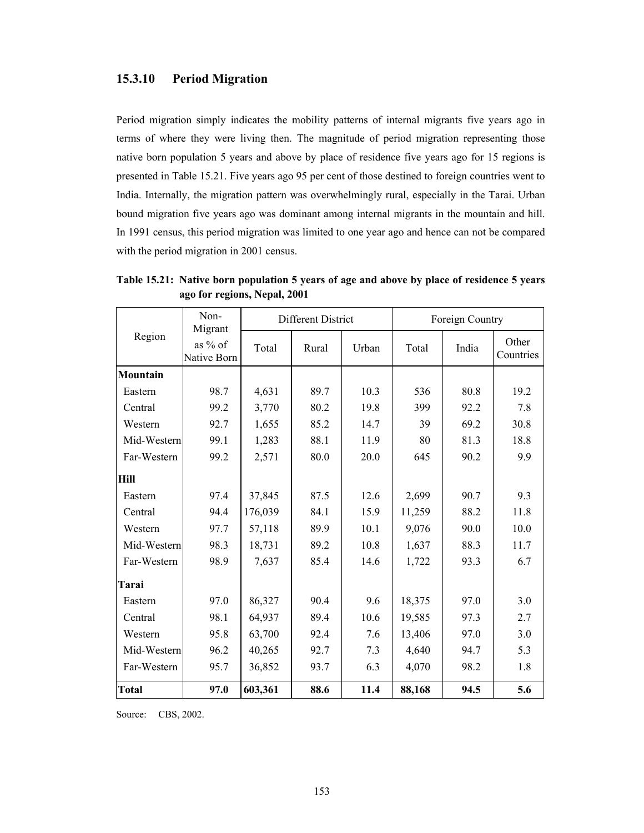#### **15.3.10 Period Migration**

Period migration simply indicates the mobility patterns of internal migrants five years ago in terms of where they were living then. The magnitude of period migration representing those native born population 5 years and above by place of residence five years ago for 15 regions is presented in Table 15.21. Five years ago 95 per cent of those destined to foreign countries went to India. Internally, the migration pattern was overwhelmingly rural, especially in the Tarai. Urban bound migration five years ago was dominant among internal migrants in the mountain and hill. In 1991 census, this period migration was limited to one year ago and hence can not be compared with the period migration in 2001 census.

|                 | Non-<br>Migrant        |         | Different District |       |        | Foreign Country |                    |
|-----------------|------------------------|---------|--------------------|-------|--------|-----------------|--------------------|
| Region          | as % of<br>Native Born | Total   | Rural              | Urban | Total  | India           | Other<br>Countries |
| <b>Mountain</b> |                        |         |                    |       |        |                 |                    |
| Eastern         | 98.7                   | 4,631   | 89.7               | 10.3  | 536    | 80.8            | 19.2               |
| Central         | 99.2                   | 3,770   | 80.2               | 19.8  | 399    | 92.2            | 7.8                |
| Western         | 92.7                   | 1,655   | 85.2               | 14.7  | 39     | 69.2            | 30.8               |
| Mid-Western     | 99.1                   | 1,283   | 88.1               | 11.9  | 80     | 81.3            | 18.8               |
| Far-Western     | 99.2                   | 2,571   | 80.0               | 20.0  | 645    | 90.2            | 9.9                |
| Hill            |                        |         |                    |       |        |                 |                    |
| Eastern         | 97.4                   | 37,845  | 87.5               | 12.6  | 2,699  | 90.7            | 9.3                |
| Central         | 94.4                   | 176,039 | 84.1               | 15.9  | 11,259 | 88.2            | 11.8               |
| Western         | 97.7                   | 57,118  | 89.9               | 10.1  | 9,076  | 90.0            | 10.0               |
| Mid-Western     | 98.3                   | 18,731  | 89.2               | 10.8  | 1,637  | 88.3            | 11.7               |
| Far-Western     | 98.9                   | 7,637   | 85.4               | 14.6  | 1,722  | 93.3            | 6.7                |
| Tarai           |                        |         |                    |       |        |                 |                    |
| Eastern         | 97.0                   | 86,327  | 90.4               | 9.6   | 18,375 | 97.0            | 3.0                |
| Central         | 98.1                   | 64,937  | 89.4               | 10.6  | 19,585 | 97.3            | 2.7                |
| Western         | 95.8                   | 63,700  | 92.4               | 7.6   | 13,406 | 97.0            | 3.0                |
| Mid-Western     | 96.2                   | 40,265  | 92.7               | 7.3   | 4,640  | 94.7            | 5.3                |
| Far-Western     | 95.7                   | 36,852  | 93.7               | 6.3   | 4,070  | 98.2            | 1.8                |
| <b>Total</b>    | 97.0                   | 603,361 | 88.6               | 11.4  | 88,168 | 94.5            | 5.6                |

**Table 15.21: Native born population 5 years of age and above by place of residence 5 years ago for regions, Nepal, 2001** 

Source: CBS, 2002.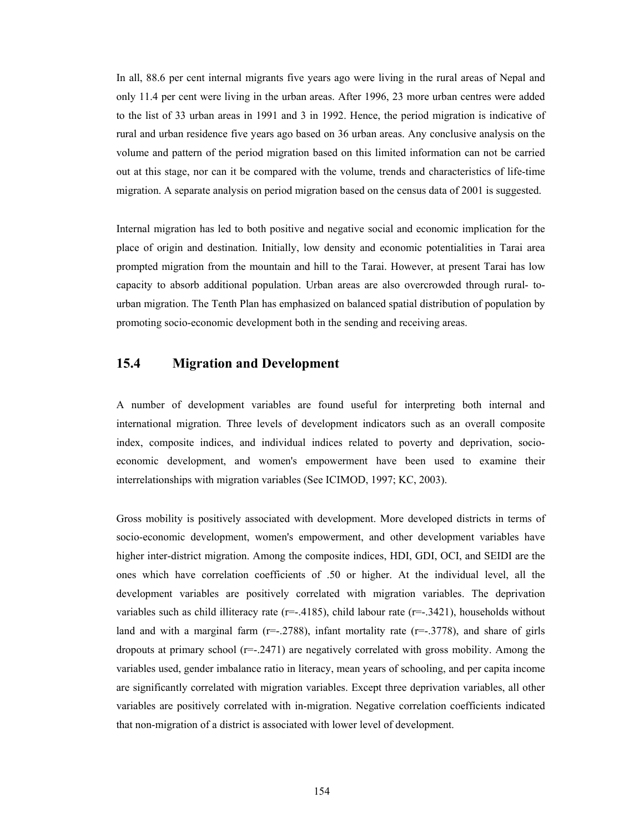In all, 88.6 per cent internal migrants five years ago were living in the rural areas of Nepal and only 11.4 per cent were living in the urban areas. After 1996, 23 more urban centres were added to the list of 33 urban areas in 1991 and 3 in 1992. Hence, the period migration is indicative of rural and urban residence five years ago based on 36 urban areas. Any conclusive analysis on the volume and pattern of the period migration based on this limited information can not be carried out at this stage, nor can it be compared with the volume, trends and characteristics of life-time migration. A separate analysis on period migration based on the census data of 2001 is suggested.

Internal migration has led to both positive and negative social and economic implication for the place of origin and destination. Initially, low density and economic potentialities in Tarai area prompted migration from the mountain and hill to the Tarai. However, at present Tarai has low capacity to absorb additional population. Urban areas are also overcrowded through rural- tourban migration. The Tenth Plan has emphasized on balanced spatial distribution of population by promoting socio-economic development both in the sending and receiving areas.

## **15.4 Migration and Development**

A number of development variables are found useful for interpreting both internal and international migration. Three levels of development indicators such as an overall composite index, composite indices, and individual indices related to poverty and deprivation, socioeconomic development, and women's empowerment have been used to examine their interrelationships with migration variables (See ICIMOD, 1997; KC, 2003).

Gross mobility is positively associated with development. More developed districts in terms of socio-economic development, women's empowerment, and other development variables have higher inter-district migration. Among the composite indices, HDI, GDI, OCI, and SEIDI are the ones which have correlation coefficients of .50 or higher. At the individual level, all the development variables are positively correlated with migration variables. The deprivation variables such as child illiteracy rate ( $r=-.4185$ ), child labour rate ( $r=-.3421$ ), households without land and with a marginal farm  $(r=-2788)$ , infant mortality rate  $(r=-3778)$ , and share of girls dropouts at primary school  $(r=-.2471)$  are negatively correlated with gross mobility. Among the variables used, gender imbalance ratio in literacy, mean years of schooling, and per capita income are significantly correlated with migration variables. Except three deprivation variables, all other variables are positively correlated with in-migration. Negative correlation coefficients indicated that non-migration of a district is associated with lower level of development.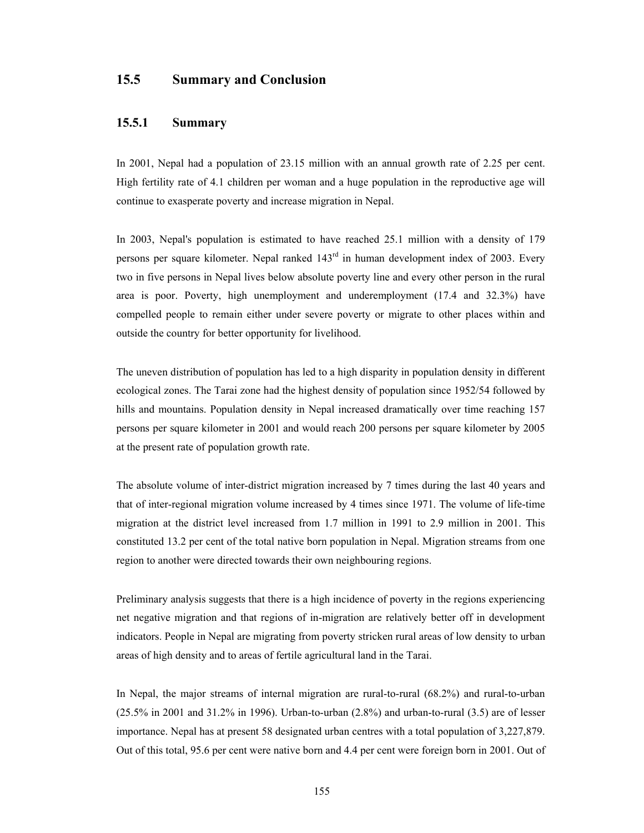## **15.5 Summary and Conclusion**

#### **15.5.1 Summary**

In 2001, Nepal had a population of 23.15 million with an annual growth rate of 2.25 per cent. High fertility rate of 4.1 children per woman and a huge population in the reproductive age will continue to exasperate poverty and increase migration in Nepal.

In 2003, Nepal's population is estimated to have reached 25.1 million with a density of 179 persons per square kilometer. Nepal ranked 143rd in human development index of 2003. Every two in five persons in Nepal lives below absolute poverty line and every other person in the rural area is poor. Poverty, high unemployment and underemployment (17.4 and 32.3%) have compelled people to remain either under severe poverty or migrate to other places within and outside the country for better opportunity for livelihood.

The uneven distribution of population has led to a high disparity in population density in different ecological zones. The Tarai zone had the highest density of population since 1952/54 followed by hills and mountains. Population density in Nepal increased dramatically over time reaching 157 persons per square kilometer in 2001 and would reach 200 persons per square kilometer by 2005 at the present rate of population growth rate.

The absolute volume of inter-district migration increased by 7 times during the last 40 years and that of inter-regional migration volume increased by 4 times since 1971. The volume of life-time migration at the district level increased from 1.7 million in 1991 to 2.9 million in 2001. This constituted 13.2 per cent of the total native born population in Nepal. Migration streams from one region to another were directed towards their own neighbouring regions.

Preliminary analysis suggests that there is a high incidence of poverty in the regions experiencing net negative migration and that regions of in-migration are relatively better off in development indicators. People in Nepal are migrating from poverty stricken rural areas of low density to urban areas of high density and to areas of fertile agricultural land in the Tarai.

In Nepal, the major streams of internal migration are rural-to-rural (68.2%) and rural-to-urban (25.5% in 2001 and 31.2% in 1996). Urban-to-urban (2.8%) and urban-to-rural (3.5) are of lesser importance. Nepal has at present 58 designated urban centres with a total population of 3,227,879. Out of this total, 95.6 per cent were native born and 4.4 per cent were foreign born in 2001. Out of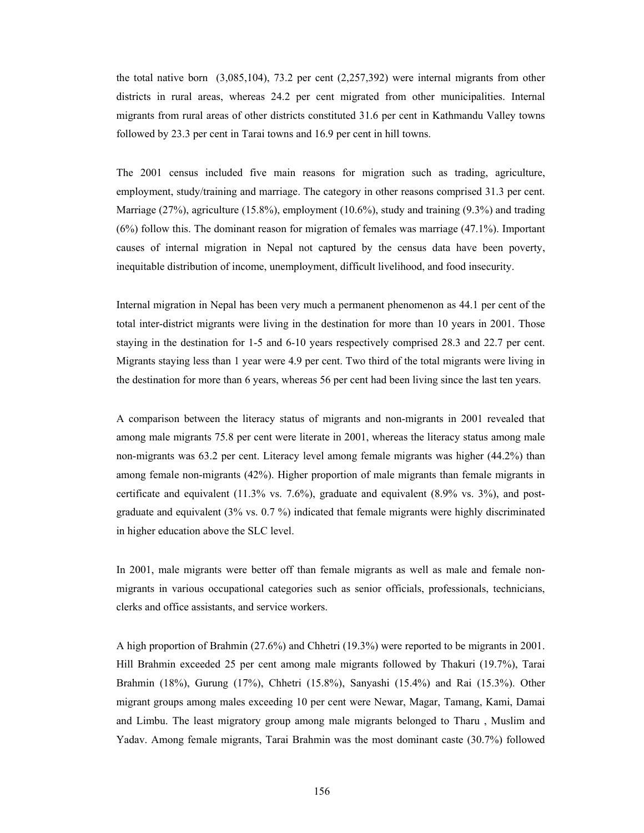the total native born (3,085,104), 73.2 per cent (2,257,392) were internal migrants from other districts in rural areas, whereas 24.2 per cent migrated from other municipalities. Internal migrants from rural areas of other districts constituted 31.6 per cent in Kathmandu Valley towns followed by 23.3 per cent in Tarai towns and 16.9 per cent in hill towns.

The 2001 census included five main reasons for migration such as trading, agriculture, employment, study/training and marriage. The category in other reasons comprised 31.3 per cent. Marriage (27%), agriculture (15.8%), employment (10.6%), study and training (9.3%) and trading (6%) follow this. The dominant reason for migration of females was marriage (47.1%). Important causes of internal migration in Nepal not captured by the census data have been poverty, inequitable distribution of income, unemployment, difficult livelihood, and food insecurity.

Internal migration in Nepal has been very much a permanent phenomenon as 44.1 per cent of the total inter-district migrants were living in the destination for more than 10 years in 2001. Those staying in the destination for 1-5 and 6-10 years respectively comprised 28.3 and 22.7 per cent. Migrants staying less than 1 year were 4.9 per cent. Two third of the total migrants were living in the destination for more than 6 years, whereas 56 per cent had been living since the last ten years.

A comparison between the literacy status of migrants and non-migrants in 2001 revealed that among male migrants 75.8 per cent were literate in 2001, whereas the literacy status among male non-migrants was 63.2 per cent. Literacy level among female migrants was higher (44.2%) than among female non-migrants (42%). Higher proportion of male migrants than female migrants in certificate and equivalent (11.3% vs. 7.6%), graduate and equivalent (8.9% vs. 3%), and postgraduate and equivalent (3% vs. 0.7 %) indicated that female migrants were highly discriminated in higher education above the SLC level.

In 2001, male migrants were better off than female migrants as well as male and female nonmigrants in various occupational categories such as senior officials, professionals, technicians, clerks and office assistants, and service workers.

A high proportion of Brahmin (27.6%) and Chhetri (19.3%) were reported to be migrants in 2001. Hill Brahmin exceeded 25 per cent among male migrants followed by Thakuri (19.7%), Tarai Brahmin (18%), Gurung (17%), Chhetri (15.8%), Sanyashi (15.4%) and Rai (15.3%). Other migrant groups among males exceeding 10 per cent were Newar, Magar, Tamang, Kami, Damai and Limbu. The least migratory group among male migrants belonged to Tharu , Muslim and Yadav. Among female migrants, Tarai Brahmin was the most dominant caste (30.7%) followed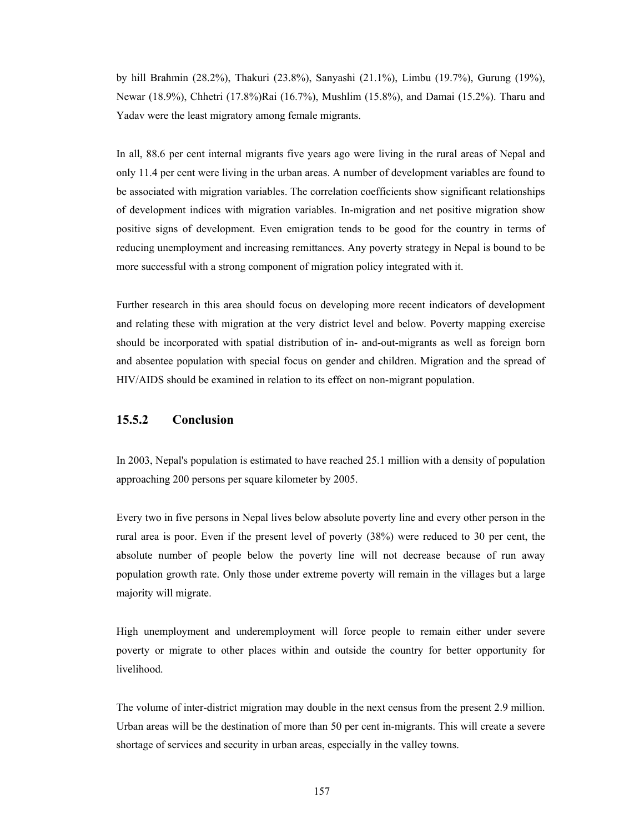by hill Brahmin (28.2%), Thakuri (23.8%), Sanyashi (21.1%), Limbu (19.7%), Gurung (19%), Newar (18.9%), Chhetri (17.8%)Rai (16.7%), Mushlim (15.8%), and Damai (15.2%). Tharu and Yadav were the least migratory among female migrants.

In all, 88.6 per cent internal migrants five years ago were living in the rural areas of Nepal and only 11.4 per cent were living in the urban areas. A number of development variables are found to be associated with migration variables. The correlation coefficients show significant relationships of development indices with migration variables. In-migration and net positive migration show positive signs of development. Even emigration tends to be good for the country in terms of reducing unemployment and increasing remittances. Any poverty strategy in Nepal is bound to be more successful with a strong component of migration policy integrated with it.

Further research in this area should focus on developing more recent indicators of development and relating these with migration at the very district level and below. Poverty mapping exercise should be incorporated with spatial distribution of in- and-out-migrants as well as foreign born and absentee population with special focus on gender and children. Migration and the spread of HIV/AIDS should be examined in relation to its effect on non-migrant population.

#### **15.5.2 Conclusion**

In 2003, Nepal's population is estimated to have reached 25.1 million with a density of population approaching 200 persons per square kilometer by 2005.

Every two in five persons in Nepal lives below absolute poverty line and every other person in the rural area is poor. Even if the present level of poverty (38%) were reduced to 30 per cent, the absolute number of people below the poverty line will not decrease because of run away population growth rate. Only those under extreme poverty will remain in the villages but a large majority will migrate.

High unemployment and underemployment will force people to remain either under severe poverty or migrate to other places within and outside the country for better opportunity for livelihood.

The volume of inter-district migration may double in the next census from the present 2.9 million. Urban areas will be the destination of more than 50 per cent in-migrants. This will create a severe shortage of services and security in urban areas, especially in the valley towns.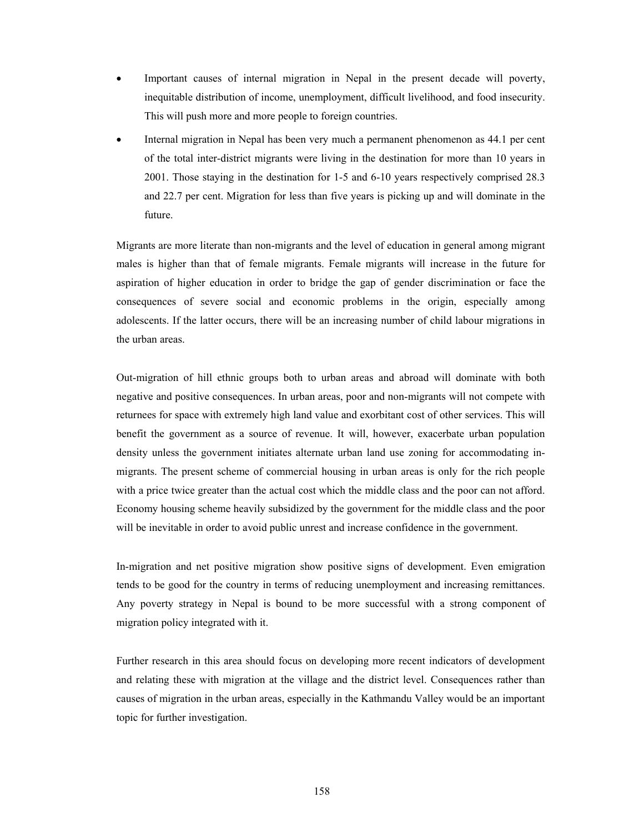- Important causes of internal migration in Nepal in the present decade will poverty, inequitable distribution of income, unemployment, difficult livelihood, and food insecurity. This will push more and more people to foreign countries.
- Internal migration in Nepal has been very much a permanent phenomenon as 44.1 per cent of the total inter-district migrants were living in the destination for more than 10 years in 2001. Those staying in the destination for 1-5 and 6-10 years respectively comprised 28.3 and 22.7 per cent. Migration for less than five years is picking up and will dominate in the future.

Migrants are more literate than non-migrants and the level of education in general among migrant males is higher than that of female migrants. Female migrants will increase in the future for aspiration of higher education in order to bridge the gap of gender discrimination or face the consequences of severe social and economic problems in the origin, especially among adolescents. If the latter occurs, there will be an increasing number of child labour migrations in the urban areas.

Out-migration of hill ethnic groups both to urban areas and abroad will dominate with both negative and positive consequences. In urban areas, poor and non-migrants will not compete with returnees for space with extremely high land value and exorbitant cost of other services. This will benefit the government as a source of revenue. It will, however, exacerbate urban population density unless the government initiates alternate urban land use zoning for accommodating inmigrants. The present scheme of commercial housing in urban areas is only for the rich people with a price twice greater than the actual cost which the middle class and the poor can not afford. Economy housing scheme heavily subsidized by the government for the middle class and the poor will be inevitable in order to avoid public unrest and increase confidence in the government.

In-migration and net positive migration show positive signs of development. Even emigration tends to be good for the country in terms of reducing unemployment and increasing remittances. Any poverty strategy in Nepal is bound to be more successful with a strong component of migration policy integrated with it.

Further research in this area should focus on developing more recent indicators of development and relating these with migration at the village and the district level. Consequences rather than causes of migration in the urban areas, especially in the Kathmandu Valley would be an important topic for further investigation.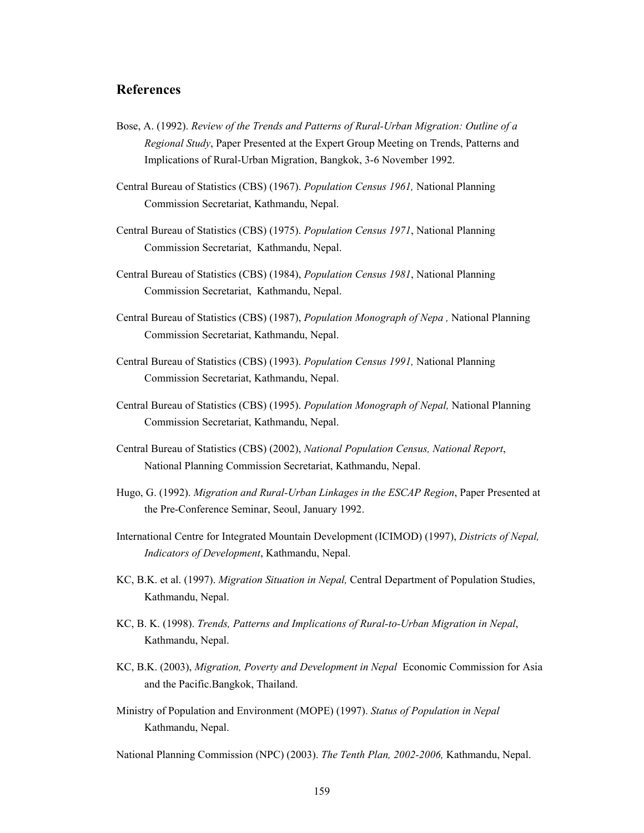## **References**

- Bose, A. (1992). *Review of the Trends and Patterns of Rural-Urban Migration: Outline of a Regional Study*, Paper Presented at the Expert Group Meeting on Trends, Patterns and Implications of Rural-Urban Migration, Bangkok, 3-6 November 1992.
- Central Bureau of Statistics (CBS) (1967). *Population Census 1961,* National Planning Commission Secretariat, Kathmandu, Nepal.
- Central Bureau of Statistics (CBS) (1975). *Population Census 1971*, National Planning Commission Secretariat, Kathmandu, Nepal.
- Central Bureau of Statistics (CBS) (1984), *Population Census 1981*, National Planning Commission Secretariat, Kathmandu, Nepal.
- Central Bureau of Statistics (CBS) (1987), *Population Monograph of Nepa ,* National Planning Commission Secretariat, Kathmandu, Nepal.
- Central Bureau of Statistics (CBS) (1993). *Population Census 1991,* National Planning Commission Secretariat, Kathmandu, Nepal.
- Central Bureau of Statistics (CBS) (1995). *Population Monograph of Nepal,* National Planning Commission Secretariat, Kathmandu, Nepal.
- Central Bureau of Statistics (CBS) (2002), *National Population Census, National Report*, National Planning Commission Secretariat, Kathmandu, Nepal.
- Hugo, G. (1992). *Migration and Rural-Urban Linkages in the ESCAP Region*, Paper Presented at the Pre-Conference Seminar, Seoul, January 1992.
- International Centre for Integrated Mountain Development (ICIMOD) (1997), *Districts of Nepal, Indicators of Development*, Kathmandu, Nepal.
- KC, B.K. et al. (1997). *Migration Situation in Nepal,* Central Department of Population Studies, Kathmandu, Nepal.
- KC, B. K. (1998). *Trends, Patterns and Implications of Rural-to-Urban Migration in Nepal*, Kathmandu, Nepal.
- KC, B.K. (2003), *Migration, Poverty and Development in Nepal* Economic Commission for Asia and the Pacific.Bangkok, Thailand.
- Ministry of Population and Environment (MOPE) (1997). *Status of Population in Nepal* Kathmandu, Nepal.
- National Planning Commission (NPC) (2003). *The Tenth Plan, 2002-2006,* Kathmandu, Nepal.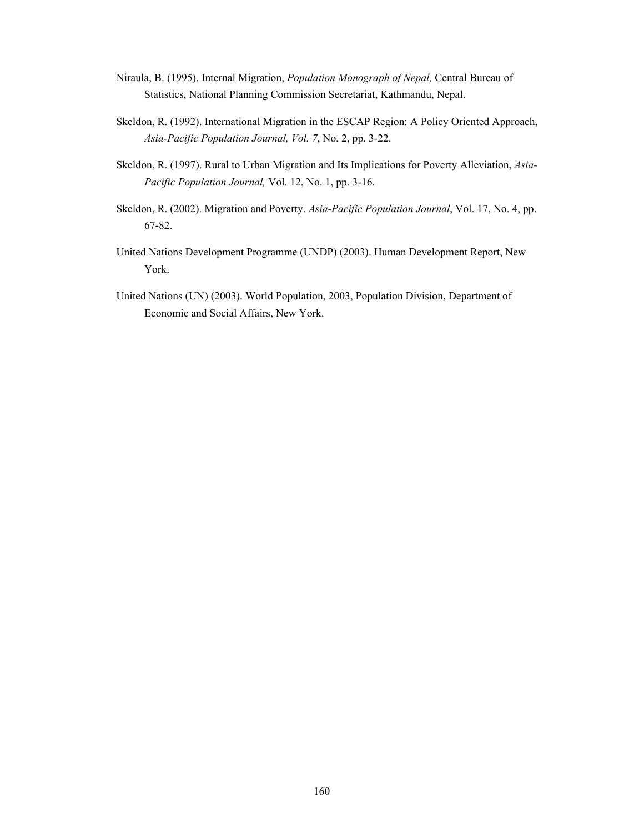- Niraula, B. (1995). Internal Migration, *Population Monograph of Nepal,* Central Bureau of Statistics, National Planning Commission Secretariat, Kathmandu, Nepal.
- Skeldon, R. (1992). International Migration in the ESCAP Region: A Policy Oriented Approach, *Asia-Pacific Population Journal, Vol. 7*, No. 2, pp. 3-22.
- Skeldon, R. (1997). Rural to Urban Migration and Its Implications for Poverty Alleviation, *Asia-Pacific Population Journal,* Vol. 12, No. 1, pp. 3-16.
- Skeldon, R. (2002). Migration and Poverty. *Asia-Pacific Population Journal*, Vol. 17, No. 4, pp. 67-82.
- United Nations Development Programme (UNDP) (2003). Human Development Report, New York.
- United Nations (UN) (2003). World Population, 2003, Population Division, Department of Economic and Social Affairs, New York.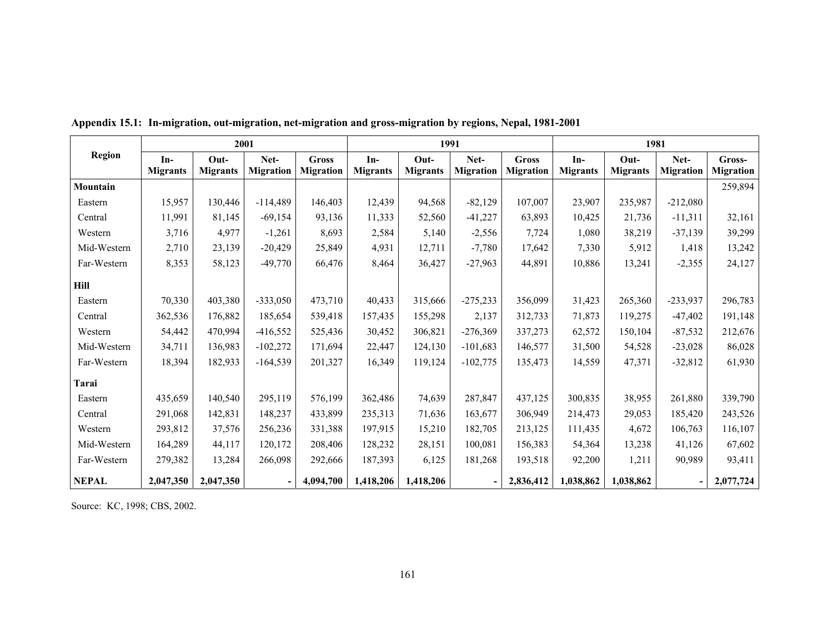|               |                 | 2001            |                  |                  |                 | 1991            |                  |                  | 1981            |                 |                  |                  |  |
|---------------|-----------------|-----------------|------------------|------------------|-----------------|-----------------|------------------|------------------|-----------------|-----------------|------------------|------------------|--|
| <b>Region</b> | In-             | $Out-$          | Net-             | <b>Gross</b>     | In-             | $Out-$          | Net-             | <b>Gross</b>     | In-             | Out-            | Net-             | Gross-           |  |
|               | <b>Migrants</b> | <b>Migrants</b> | <b>Migration</b> | <b>Migration</b> | <b>Migrants</b> | <b>Migrants</b> | <b>Migration</b> | <b>Migration</b> | <b>Migrants</b> | <b>Migrants</b> | <b>Migration</b> | <b>Migration</b> |  |
| Mountain      |                 |                 |                  |                  |                 |                 |                  |                  |                 |                 |                  | 259,894          |  |
| Eastern       | 15,957          | 130,446         | $-114,489$       | 146,403          | 12,439          | 94,568          | $-82,129$        | 107,007          | 23,907          | 235,987         | $-212,080$       |                  |  |
| Central       | 11,991          | 81,145          | $-69,154$        | 93,136           | 11,333          | 52,560          | $-41,227$        | 63,893           | 10.425          | 21,736          | $-11,311$        | 32,161           |  |
| Western       | 3,716           | 4,977           | $-1,261$         | 8,693            | 2,584           | 5,140           | $-2,556$         | 7,724            | 1,080           | 38,219          | $-37,139$        | 39,299           |  |
| Mid-Western   | 2,710           | 23,139          | $-20,429$        | 25,849           | 4,931           | 12,711          | $-7,780$         | 17,642           | 7,330           | 5,912           | 1,418            | 13,242           |  |
| Far-Western   | 8,353           | 58,123          | $-49,770$        | 66,476           | 8,464           | 36,427          | $-27,963$        | 44,891           | 10,886          | 13,241          | $-2,355$         | 24,127           |  |
| Hill          |                 |                 |                  |                  |                 |                 |                  |                  |                 |                 |                  |                  |  |
| Eastern       | 70,330          | 403,380         | $-333,050$       | 473,710          | 40,433          | 315,666         | $-275,233$       | 356,099          | 31,423          | 265,360         | $-233,937$       | 296,783          |  |
| Central       | 362,536         | 176,882         | 185,654          | 539,418          | 157,435         | 155,298         | 2,137            | 312,733          | 71,873          | 119,275         | $-47,402$        | 191,148          |  |
| Western       | 54,442          | 470,994         | $-416,552$       | 525,436          | 30,452          | 306,821         | $-276,369$       | 337,273          | 62,572          | 150,104         | $-87,532$        | 212,676          |  |
| Mid-Western   | 34,711          | 136,983         | $-102,272$       | 171,694          | 22,447          | 124,130         | $-101,683$       | 146,577          | 31,500          | 54,528          | $-23,028$        | 86,028           |  |
| Far-Western   | 18,394          | 182,933         | $-164,539$       | 201,327          | 16,349          | 119,124         | $-102,775$       | 135,473          | 14,559          | 47,371          | $-32,812$        | 61,930           |  |
| Tarai         |                 |                 |                  |                  |                 |                 |                  |                  |                 |                 |                  |                  |  |
| Eastern       | 435,659         | 140,540         | 295,119          | 576,199          | 362,486         | 74,639          | 287,847          | 437,125          | 300,835         | 38,955          | 261,880          | 339,790          |  |
| Central       | 291,068         | 142,831         | 148,237          | 433,899          | 235,313         | 71,636          | 163,677          | 306,949          | 214,473         | 29,053          | 185,420          | 243,526          |  |
| Western       | 293,812         | 37,576          | 256,236          | 331,388          | 197,915         | 15,210          | 182,705          | 213,125          | 111,435         | 4,672           | 106,763          | 116,107          |  |
| Mid-Western   | 164,289         | 44,117          | 120,172          | 208,406          | 128,232         | 28,151          | 100,081          | 156,383          | 54,364          | 13,238          | 41,126           | 67,602           |  |
| Far-Western   | 279,382         | 13,284          | 266,098          | 292,666          | 187,393         | 6,125           | 181,268          | 193,518          | 92,200          | 1,211           | 90,989           | 93,411           |  |
| <b>NEPAL</b>  | 2,047,350       | 2,047,350       |                  | 4,094,700        | 1,418,206       | 1,418,206       |                  | 2,836,412        | 1,038,862       | 1,038,862       | ۰.               | 2,077,724        |  |

**Appendix 15.1: In-migration, out-migration, net-migration and gross-migration by regions, Nepal, 1981-2001** 

Source: KC, 1998; CBS, 2002.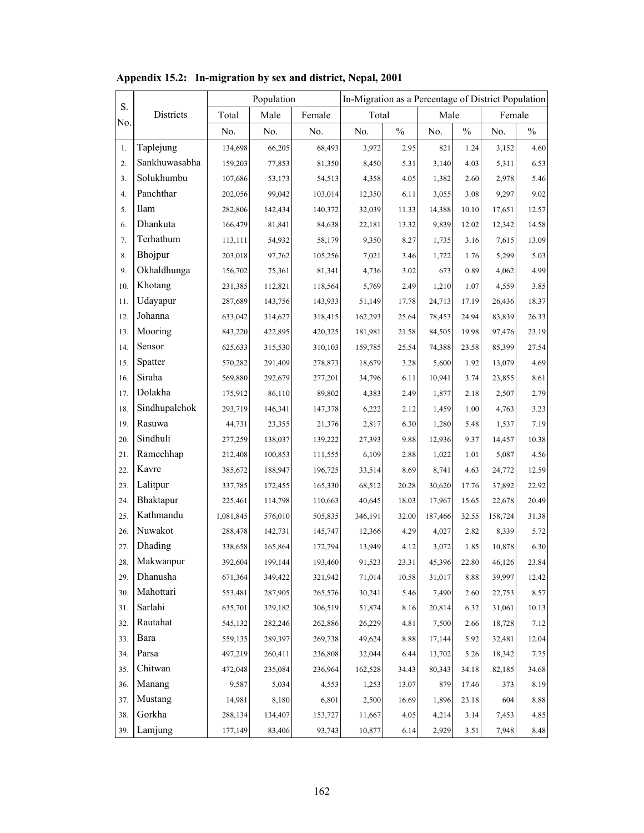| S.  |               |           | Population |         |         |       |         | In-Migration as a Percentage of District Population |         |               |
|-----|---------------|-----------|------------|---------|---------|-------|---------|-----------------------------------------------------|---------|---------------|
| No. | Districts     | Total     | Male       | Female  | Total   |       | Male    |                                                     | Female  |               |
|     |               | No.       | No.        | No.     | No.     | $\%$  | No.     | $\%$                                                | No.     | $\frac{0}{0}$ |
| 1.  | Taplejung     | 134,698   | 66,205     | 68,493  | 3,972   | 2.95  | 821     | 1.24                                                | 3,152   | 4.60          |
| 2.  | Sankhuwasabha | 159,203   | 77,853     | 81,350  | 8,450   | 5.31  | 3,140   | 4.03                                                | 5,311   | 6.53          |
| 3.  | Solukhumbu    | 107,686   | 53,173     | 54,513  | 4,358   | 4.05  | 1,382   | 2.60                                                | 2,978   | 5.46          |
| 4.  | Panchthar     | 202,056   | 99,042     | 103,014 | 12,350  | 6.11  | 3,055   | 3.08                                                | 9,297   | 9.02          |
| 5.  | <b>Ilam</b>   | 282,806   | 142,434    | 140,372 | 32,039  | 11.33 | 14,388  | 10.10                                               | 17,651  | 12.57         |
| 6.  | Dhankuta      | 166,479   | 81,841     | 84,638  | 22,181  | 13.32 | 9,839   | 12.02                                               | 12,342  | 14.58         |
| 7.  | Terhathum     | 113,111   | 54,932     | 58,179  | 9,350   | 8.27  | 1,735   | 3.16                                                | 7,615   | 13.09         |
| 8.  | Bhojpur       | 203,018   | 97,762     | 105,256 | 7,021   | 3.46  | 1,722   | 1.76                                                | 5,299   | 5.03          |
| 9.  | Okhaldhunga   | 156,702   | 75,361     | 81,341  | 4,736   | 3.02  | 673     | 0.89                                                | 4,062   | 4.99          |
| 10. | Khotang       | 231,385   | 112,821    | 118,564 | 5,769   | 2.49  | 1,210   | 1.07                                                | 4,559   | 3.85          |
| 11. | Udayapur      | 287,689   | 143,756    | 143,933 | 51,149  | 17.78 | 24,713  | 17.19                                               | 26,436  | 18.37         |
| 12. | Johanna       | 633,042   | 314,627    | 318,415 | 162,293 | 25.64 | 78,453  | 24.94                                               | 83,839  | 26.33         |
| 13. | Mooring       | 843,220   | 422,895    | 420,325 | 181,981 | 21.58 | 84,505  | 19.98                                               | 97,476  | 23.19         |
| 14. | Sensor        | 625,633   | 315,530    | 310,103 | 159,785 | 25.54 | 74,388  | 23.58                                               | 85,399  | 27.54         |
| 15. | Spatter       | 570,282   | 291,409    | 278,873 | 18,679  | 3.28  | 5,600   | 1.92                                                | 13,079  | 4.69          |
| 16. | Siraha        | 569,880   | 292,679    | 277,201 | 34,796  | 6.11  | 10,941  | 3.74                                                | 23,855  | 8.61          |
| 17. | Dolakha       | 175,912   | 86,110     | 89,802  | 4,383   | 2.49  | 1,877   | 2.18                                                | 2,507   | 2.79          |
| 18. | Sindhupalchok | 293,719   | 146,341    | 147,378 | 6,222   | 2.12  | 1,459   | 1.00                                                | 4,763   | 3.23          |
| 19. | Rasuwa        | 44,731    | 23,355     | 21,376  | 2,817   | 6.30  | 1,280   | 5.48                                                | 1,537   | 7.19          |
| 20. | Sindhuli      | 277,259   | 138,037    | 139,222 | 27,393  | 9.88  | 12,936  | 9.37                                                | 14,457  | 10.38         |
| 21. | Ramechhap     | 212,408   | 100,853    | 111,555 | 6,109   | 2.88  | 1,022   | 1.01                                                | 5,087   | 4.56          |
| 22. | Kavre         | 385,672   | 188,947    | 196,725 | 33,514  | 8.69  | 8,741   | 4.63                                                | 24,772  | 12.59         |
| 23. | Lalitpur      | 337,785   | 172,455    | 165,330 | 68,512  | 20.28 | 30,620  | 17.76                                               | 37,892  | 22.92         |
| 24. | Bhaktapur     | 225,461   | 114,798    | 110,663 | 40,645  | 18.03 | 17,967  | 15.65                                               | 22,678  | 20.49         |
| 25. | Kathmandu     | 1,081,845 | 576,010    | 505,835 | 346,191 | 32.00 | 187,466 | 32.55                                               | 158,724 | 31.38         |
| 26. | Nuwakot       | 288,478   | 142,731    | 145,747 | 12,366  | 4.29  | 4,027   | 2.82                                                | 8,339   | 5.72          |
| 27. | Dhading       | 338,658   | 165,864    | 172,794 | 13,949  | 4.12  | 3,072   | 1.85                                                | 10,878  | 6.30          |
| 28. | Makwanpur     | 392,604   | 199,144    | 193,460 | 91,523  | 23.31 | 45,396  | 22.80                                               | 46,126  | 23.84         |
| 29. | Dhanusha      | 671,364   | 349,422    | 321,942 | 71,014  | 10.58 | 31,017  | 8.88                                                | 39,997  | 12.42         |
| 30. | Mahottari     | 553,481   | 287,905    | 265,576 | 30,241  | 5.46  | 7,490   | 2.60                                                | 22,753  | 8.57          |
| 31. | Sarlahi       | 635,701   | 329,182    | 306,519 | 51,874  | 8.16  | 20,814  | 6.32                                                | 31,061  | 10.13         |
| 32. | Rautahat      | 545,132   | 282,246    | 262,886 | 26,229  | 4.81  | 7,500   | 2.66                                                | 18,728  | 7.12          |
| 33. | Bara          | 559,135   | 289,397    | 269,738 | 49,624  | 8.88  | 17,144  | 5.92                                                | 32,481  | 12.04         |
| 34. | Parsa         | 497,219   | 260,411    | 236,808 | 32,044  | 6.44  | 13,702  | 5.26                                                | 18,342  | 7.75          |
| 35. | Chitwan       | 472,048   | 235,084    | 236,964 | 162,528 | 34.43 | 80,343  | 34.18                                               | 82,185  | 34.68         |
| 36. | Manang        | 9,587     | 5,034      | 4,553   | 1,253   | 13.07 | 879     | 17.46                                               | 373     | 8.19          |
| 37. | Mustang       | 14,981    | 8,180      | 6,801   | 2,500   | 16.69 | 1,896   | 23.18                                               | 604     | $8.88\,$      |
| 38. | Gorkha        | 288,134   | 134,407    | 153,727 | 11,667  | 4.05  | 4,214   | 3.14                                                | 7,453   | 4.85          |
| 39. | Lamjung       | 177,149   | 83,406     | 93,743  | 10,877  | 6.14  | 2,929   | 3.51                                                | 7,948   | 8.48          |

## **Appendix 15.2: In-migration by sex and district, Nepal, 2001**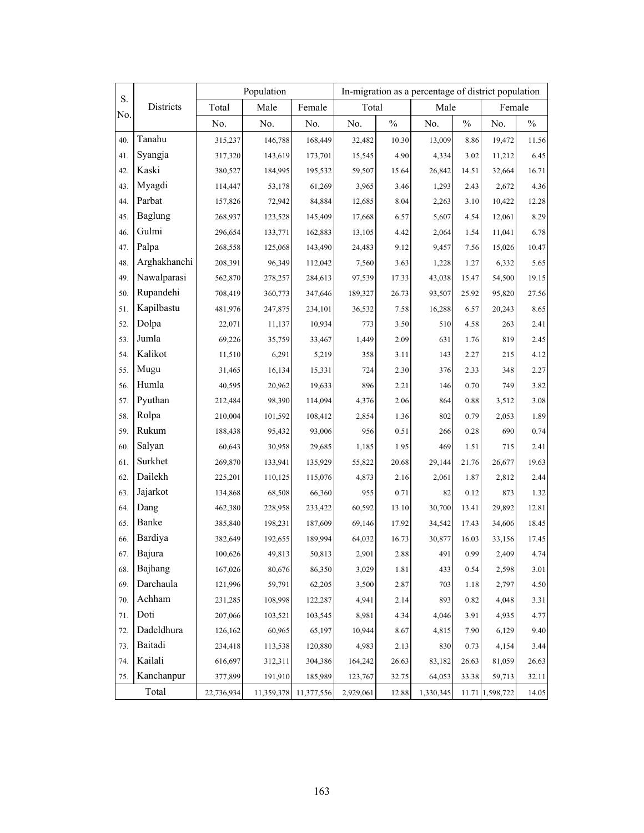| S.  |              |            | Population |                       |           |          |           |       | In-migration as a percentage of district population |       |  |
|-----|--------------|------------|------------|-----------------------|-----------|----------|-----------|-------|-----------------------------------------------------|-------|--|
| No. | Districts    | Total      | Male       | Female                | Total     |          | Male      |       | Female                                              |       |  |
|     |              | No.        | No.        | No.                   | No.       | $\%$     | No.       | $\%$  | No.                                                 | $\%$  |  |
| 40. | Tanahu       | 315,237    | 146,788    | 168,449               | 32,482    | 10.30    | 13,009    | 8.86  | 19,472                                              | 11.56 |  |
| 41. | Syangja      | 317,320    | 143,619    | 173,701               | 15,545    | 4.90     | 4,334     | 3.02  | 11,212                                              | 6.45  |  |
| 42. | Kaski        | 380,527    | 184,995    | 195,532               | 59,507    | 15.64    | 26,842    | 14.51 | 32,664                                              | 16.71 |  |
| 43. | Myagdi       | 114,447    | 53,178     | 61,269                | 3,965     | 3.46     | 1,293     | 2.43  | 2,672                                               | 4.36  |  |
| 44. | Parbat       | 157,826    | 72,942     | 84,884                | 12,685    | 8.04     | 2,263     | 3.10  | 10,422                                              | 12.28 |  |
| 45. | Baglung      | 268,937    | 123,528    | 145,409               | 17,668    | 6.57     | 5,607     | 4.54  | 12,061                                              | 8.29  |  |
| 46. | Gulmi        | 296,654    | 133,771    | 162,883               | 13,105    | 4.42     | 2,064     | 1.54  | 11,041                                              | 6.78  |  |
| 47. | Palpa        | 268,558    | 125,068    | 143,490               | 24,483    | 9.12     | 9,457     | 7.56  | 15,026                                              | 10.47 |  |
| 48. | Arghakhanchi | 208,391    | 96,349     | 112,042               | 7,560     | 3.63     | 1,228     | 1.27  | 6,332                                               | 5.65  |  |
| 49. | Nawalparasi  | 562,870    | 278,257    | 284,613               | 97,539    | 17.33    | 43,038    | 15.47 | 54,500                                              | 19.15 |  |
| 50. | Rupandehi    | 708,419    | 360,773    | 347,646               | 189,327   | 26.73    | 93,507    | 25.92 | 95,820                                              | 27.56 |  |
| 51. | Kapilbastu   | 481,976    | 247,875    | 234,101               | 36,532    | 7.58     | 16,288    | 6.57  | 20,243                                              | 8.65  |  |
| 52. | Dolpa        | 22,071     | 11,137     | 10,934                | 773       | 3.50     | 510       | 4.58  | 263                                                 | 2.41  |  |
| 53. | Jumla        | 69,226     | 35,759     | 33,467                | 1,449     | 2.09     | 631       | 1.76  | 819                                                 | 2.45  |  |
| 54. | Kalikot      | 11,510     | 6,291      | 5,219                 | 358       | 3.11     | 143       | 2.27  | 215                                                 | 4.12  |  |
| 55. | Mugu         | 31,465     | 16,134     | 15,331                | 724       | 2.30     | 376       | 2.33  | 348                                                 | 2.27  |  |
| 56. | Humla        | 40,595     | 20,962     | 19,633                | 896       | 2.21     | 146       | 0.70  | 749                                                 | 3.82  |  |
| 57. | Pyuthan      | 212,484    | 98,390     | 114,094               | 4,376     | 2.06     | 864       | 0.88  | 3,512                                               | 3.08  |  |
| 58. | Rolpa        | 210,004    | 101,592    | 108,412               | 2,854     | 1.36     | 802       | 0.79  | 2,053                                               | 1.89  |  |
| 59. | Rukum        | 188,438    | 95,432     | 93,006                | 956       | 0.51     | 266       | 0.28  | 690                                                 | 0.74  |  |
| 60. | Salyan       | 60,643     | 30,958     | 29,685                | 1,185     | 1.95     | 469       | 1.51  | 715                                                 | 2.41  |  |
| 61. | Surkhet      | 269,870    | 133,941    | 135,929               | 55,822    | 20.68    | 29,144    | 21.76 | 26,677                                              | 19.63 |  |
| 62. | Dailekh      | 225,201    | 110,125    | 115,076               | 4,873     | 2.16     | 2,061     | 1.87  | 2,812                                               | 2.44  |  |
| 63. | Jajarkot     | 134,868    | 68,508     | 66,360                | 955       | 0.71     | 82        | 0.12  | 873                                                 | 1.32  |  |
| 64. | Dang         | 462,380    | 228,958    | 233,422               | 60,592    | 13.10    | 30,700    | 13.41 | 29,892                                              | 12.81 |  |
| 65. | Banke        | 385,840    | 198,231    | 187,609               | 69,146    | 17.92    | 34,542    | 17.43 | 34,606                                              | 18.45 |  |
| 66. | Bardiya      | 382,649    | 192,655    | 189,994               | 64,032    | 16.73    | 30,877    | 16.03 | 33,156                                              | 17.45 |  |
| 67. | Bajura       | 100,626    | 49,813     | 50,813                | 2,901     | $2.88\,$ | 491       | 0.99  | 2,409                                               | 4.74  |  |
| 68. | Bajhang      | 167,026    | 80,676     | 86,350                | 3,029     | 1.81     | 433       | 0.54  | 2,598                                               | 3.01  |  |
| 69. | Darchaula    | 121,996    | 59,791     | 62,205                | 3,500     | 2.87     | 703       | 1.18  | 2,797                                               | 4.50  |  |
| 70. | Achham       | 231,285    | 108,998    | 122,287               | 4,941     | 2.14     | 893       | 0.82  | 4,048                                               | 3.31  |  |
| 71. | Doti         | 207,066    | 103,521    | 103,545               | 8,981     | 4.34     | 4,046     | 3.91  | 4,935                                               | 4.77  |  |
| 72. | Dadeldhura   | 126,162    | 60,965     | 65,197                | 10,944    | 8.67     | 4,815     | 7.90  | 6,129                                               | 9.40  |  |
| 73. | Baitadi      | 234,418    | 113,538    | 120,880               | 4,983     | 2.13     | 830       | 0.73  | 4,154                                               | 3.44  |  |
| 74. | Kailali      | 616,697    | 312,311    | 304,386               | 164,242   | 26.63    | 83,182    | 26.63 | 81,059                                              | 26.63 |  |
| 75. | Kanchanpur   | 377,899    | 191,910    | 185,989               | 123,767   | 32.75    | 64,053    | 33.38 | 59,713                                              | 32.11 |  |
|     | Total        | 22,736,934 |            | 11,359,378 11,377,556 | 2,929,061 | 12.88    | 1,330,345 |       | 11.71 1,598,722                                     | 14.05 |  |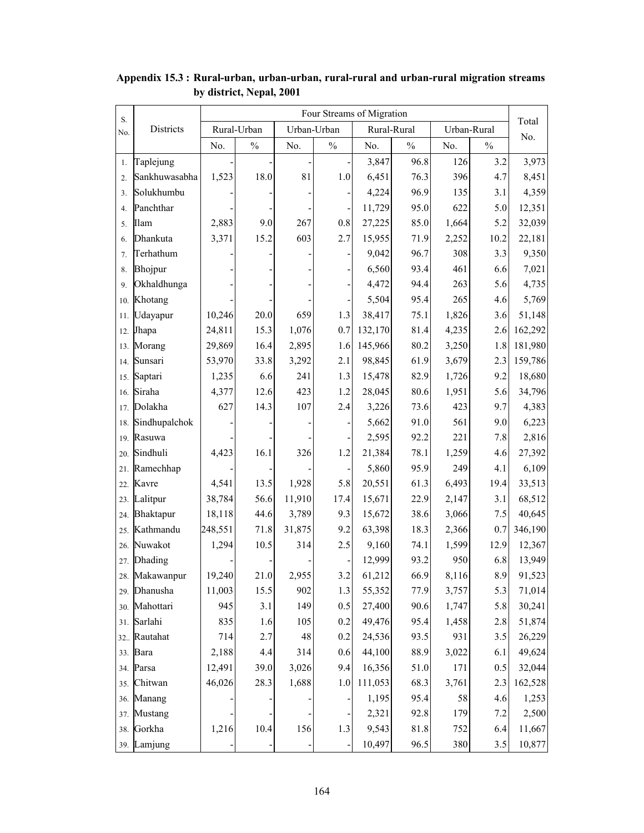| S.  |               | Four Streams of Migration |               |        |               |         |             |       |               |              |
|-----|---------------|---------------------------|---------------|--------|---------------|---------|-------------|-------|---------------|--------------|
| No. | Districts     |                           | Rural-Urban   |        | Urban-Urban   |         | Rural-Rural |       | Urban-Rural   | Total<br>No. |
|     |               | No.                       | $\frac{0}{0}$ | No.    | $\frac{0}{0}$ | No.     | $\%$        | No.   | $\frac{0}{0}$ |              |
| 1.  | Taplejung     |                           |               |        |               | 3,847   | 96.8        | 126   | 3.2           | 3,973        |
| 2.  | Sankhuwasabha | 1,523                     | 18.0          | 81     | 1.0           | 6,451   | 76.3        | 396   | 4.7           | 8,451        |
| 3.  | Solukhumbu    |                           |               |        |               | 4,224   | 96.9        | 135   | 3.1           | 4,359        |
| 4.  | Panchthar     |                           |               |        |               | 11,729  | 95.0        | 622   | 5.0           | 12,351       |
| 5.  | Ilam          | 2,883                     | 9.0           | 267    | 0.8           | 27,225  | 85.0        | 1,664 | 5.2           | 32,039       |
| 6.  | Dhankuta      | 3,371                     | 15.2          | 603    | 2.7           | 15,955  | 71.9        | 2,252 | 10.2          | 22,181       |
| 7.  | Terhathum     |                           |               |        |               | 9,042   | 96.7        | 308   | 3.3           | 9,350        |
| 8.  | Bhojpur       |                           |               |        |               | 6,560   | 93.4        | 461   | 6.6           | 7,021        |
| 9.  | Okhaldhunga   |                           |               |        |               | 4,472   | 94.4        | 263   | 5.6           | 4,735        |
| 10. | Khotang       |                           |               |        |               | 5,504   | 95.4        | 265   | 4.6           | 5,769        |
| 11. | Udayapur      | 10,246                    | 20.0          | 659    | 1.3           | 38,417  | 75.1        | 1,826 | 3.6           | 51,148       |
| 12. | Jhapa         | 24,811                    | 15.3          | 1,076  | 0.7           | 132,170 | 81.4        | 4,235 | 2.6           | 162,292      |
| 13. | Morang        | 29,869                    | 16.4          | 2,895  | 1.6           | 145,966 | 80.2        | 3,250 | 1.8           | 181,980      |
| 14. | Sunsari       | 53,970                    | 33.8          | 3,292  | 2.1           | 98,845  | 61.9        | 3,679 | 2.3           | 159,786      |
| 15. | Saptari       | 1,235                     | 6.6           | 241    | 1.3           | 15,478  | 82.9        | 1,726 | 9.2           | 18,680       |
| 16. | Siraha        | 4,377                     | 12.6          | 423    | 1.2           | 28,045  | 80.6        | 1,951 | 5.6           | 34,796       |
| 17. | Dolakha       | 627                       | 14.3          | 107    | 2.4           | 3,226   | 73.6        | 423   | 9.7           | 4,383        |
| 18. | Sindhupalchok |                           |               |        |               | 5,662   | 91.0        | 561   | 9.0           | 6,223        |
| 19. | Rasuwa        |                           |               |        |               | 2,595   | 92.2        | 221   | 7.8           | 2,816        |
| 20. | Sindhuli      | 4,423                     | 16.1          | 326    | 1.2           | 21,384  | 78.1        | 1,259 | 4.6           | 27,392       |
| 21. | Ramechhap     |                           |               |        |               | 5,860   | 95.9        | 249   | 4.1           | 6,109        |
| 22. | Kavre         | 4,541                     | 13.5          | 1,928  | 5.8           | 20,551  | 61.3        | 6,493 | 19.4          | 33,513       |
| 23. | Lalitpur      | 38,784                    | 56.6          | 11,910 | 17.4          | 15,671  | 22.9        | 2,147 | 3.1           | 68,512       |
| 24. | Bhaktapur     | 18,118                    | 44.6          | 3,789  | 9.3           | 15,672  | 38.6        | 3,066 | 7.5           | 40,645       |
| 25. | Kathmandu     | 248,551                   | 71.8          | 31,875 | 9.2           | 63,398  | 18.3        | 2,366 | 0.7           | 346,190      |
| 26. | Nuwakot       | 1,294                     | 10.5          | 314    | 2.5           | 9,160   | 74.1        | 1,599 | 12.9          | 12,367       |
| 27. | Dhading       |                           |               |        |               | 12,999  | 93.2        | 950   | 6.8           | 13,949       |
| 28. | Makawanpur    | 19,240                    | 21.0          | 2,955  | 3.2           | 61,212  | 66.9        | 8,116 | $8.9\,$       | 91,523       |
|     | 29. Dhanusha  | 11,003                    | 15.5          | 902    | 1.3           | 55,352  | 77.9        | 3,757 | 5.3           | 71,014       |
| 30. | Mahottari     | 945                       | 3.1           | 149    | 0.5           | 27,400  | 90.6        | 1,747 | 5.8           | 30,241       |
| 31. | Sarlahi       | 835                       | 1.6           | 105    | 0.2           | 49,476  | 95.4        | 1,458 | 2.8           | 51,874       |
|     | 32. Rautahat  | 714                       | 2.7           | 48     | 0.2           | 24,536  | 93.5        | 931   | 3.5           | 26,229       |
|     | 33. Bara      | 2,188                     | 4.4           | 314    | 0.6           | 44,100  | 88.9        | 3,022 | 6.1           | 49,624       |
|     | 34. Parsa     | 12,491                    | 39.0          | 3,026  | 9.4           | 16,356  | 51.0        | 171   | 0.5           | 32,044       |
| 35. | Chitwan       | 46,026                    | 28.3          | 1,688  | 1.0           | 111,053 | 68.3        | 3,761 | 2.3           | 162,528      |
| 36. | Manang        |                           |               |        |               | 1,195   | 95.4        | 58    | 4.6           | 1,253        |
| 37. | Mustang       |                           |               |        |               | 2,321   | 92.8        | 179   | 7.2           | 2,500        |
| 38. | Gorkha        | 1,216                     | 10.4          | 156    | 1.3           | 9,543   | 81.8        | 752   | 6.4           | 11,667       |
|     | 39. Lamjung   |                           |               |        |               | 10,497  | 96.5        | 380   | 3.5           | 10,877       |

**Appendix 15.3 : Rural-urban, urban-urban, rural-rural and urban-rural migration streams by district, Nepal, 2001**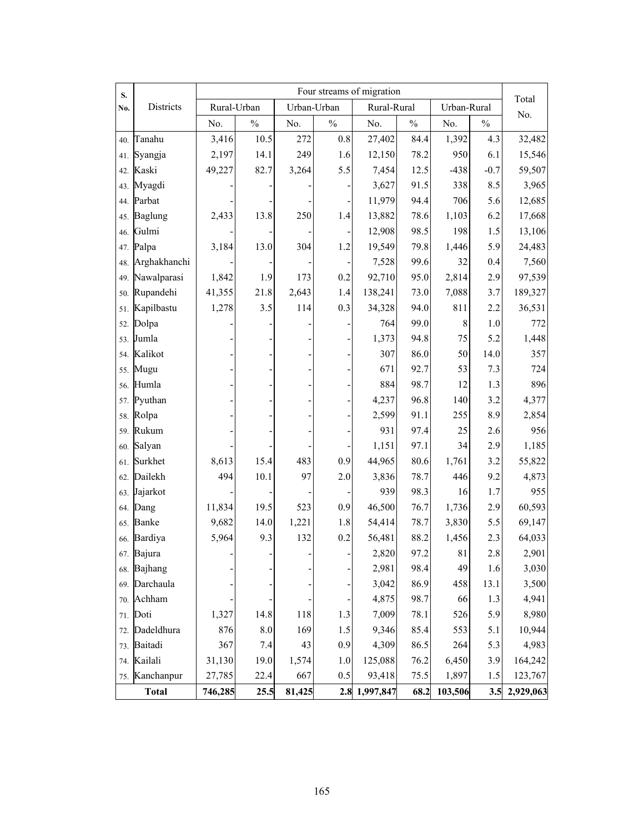| S.  |                | Four streams of migration |                    |             |               |               |               |             |               |              |  |
|-----|----------------|---------------------------|--------------------|-------------|---------------|---------------|---------------|-------------|---------------|--------------|--|
| No. | Districts      | Rural-Urban               |                    | Urban-Urban |               | Rural-Rural   |               | Urban-Rural |               | Total<br>No. |  |
|     |                | No.                       | $\frac{0}{0}$      | No.         | $\frac{0}{0}$ | No.           | $\frac{0}{0}$ | No.         | $\frac{0}{0}$ |              |  |
| 40. | Tanahu         | 3,416                     | 10.5               | 272         | $0.8\,$       | 27,402        | 84.4          | 1,392       | 4.3           | 32,482       |  |
| 41. | Syangja        | 2,197                     | 14.1               | 249         | 1.6           | 12,150        | 78.2          | 950         | 6.1           | 15,546       |  |
| 42. | Kaski          | 49,227                    | 82.7               | 3,264       | 5.5           | 7,454         | 12.5          | $-438$      | $-0.7$        | 59,507       |  |
| 43. | Myagdi         |                           |                    |             |               | 3,627         | 91.5          | 338         | 8.5           | 3,965        |  |
| 44. | Parbat         |                           |                    |             |               | 11,979        | 94.4          | 706         | 5.6           | 12,685       |  |
| 45. | <b>Baglung</b> | 2,433                     | 13.8               | 250         | 1.4           | 13,882        | 78.6          | 1,103       | 6.2           | 17,668       |  |
| 46. | Gulmi          |                           |                    |             |               | 12,908        | 98.5          | 198         | 1.5           | 13,106       |  |
| 47. | Palpa          | 3,184                     | 13.0               | 304         | 1.2           | 19,549        | 79.8          | 1,446       | 5.9           | 24,483       |  |
| 48. | Arghakhanchi   |                           |                    |             |               | 7,528         | 99.6          | 32          | 0.4           | 7,560        |  |
| 49. | Nawalparasi    | 1,842                     | 1.9                | 173         | 0.2           | 92,710        | 95.0          | 2,814       | 2.9           | 97,539       |  |
| 50. | Rupandehi      | 41,355                    | 21.8               | 2,643       | 1.4           | 138,241       | 73.0          | 7,088       | 3.7           | 189,327      |  |
| 51. | Kapilbastu     | 1,278                     | 3.5                | 114         | 0.3           | 34,328        | 94.0          | 811         | 2.2           | 36,531       |  |
| 52. | Dolpa          |                           |                    |             |               | 764           | 99.0          | 8           | 1.0           | 772          |  |
| 53. | Jumla          |                           |                    |             |               | 1,373         | 94.8          | 75          | 5.2           | 1,448        |  |
| 54. | Kalikot        |                           |                    |             |               | 307           | 86.0          | 50          | 14.0          | 357          |  |
| 55. | Mugu           |                           |                    |             |               | 671           | 92.7          | 53          | 7.3           | 724          |  |
| 56. | Humla          |                           |                    |             |               | 884           | 98.7          | 12          | 1.3           | 896          |  |
| 57. | Pyuthan        |                           |                    |             |               | 4,237         | 96.8          | 140         | 3.2           | 4,377        |  |
| 58. | Rolpa          |                           |                    |             |               | 2,599         | 91.1          | 255         | 8.9           | 2,854        |  |
| 59. | Rukum          |                           |                    |             |               | 931           | 97.4          | 25          | 2.6           | 956          |  |
| 60. | Salyan         |                           |                    |             |               | 1,151         | 97.1          | 34          | 2.9           | 1,185        |  |
| 61. | Surkhet        | 8,613                     | 15.4               | 483         | 0.9           | 44,965        | 80.6          | 1,761       | 3.2           | 55,822       |  |
| 62. | Dailekh        | 494                       | 10.1               | 97          | 2.0           | 3,836         | 78.7          | 446         | 9.2           | 4,873        |  |
| 63. | Jajarkot       |                           |                    |             |               | 939           | 98.3          | 16          | 1.7           | 955          |  |
| 64. | Dang           | 11,834                    | 19.5               | 523         | 0.9           | 46,500        | 76.7          | 1,736       | 2.9           | 60,593       |  |
| 65. | Banke          | 9,682                     | 14.0               | 1,221       | 1.8           | 54,414        | 78.7          | 3,830       | 5.5           | 69,147       |  |
|     | 66. Bardiya    | 5,964                     | 9.3                | 132         | 0.2           | 56,481        | 88.2          | 1,456       | 2.3           | 64,033       |  |
|     | 67. Bajura     |                           |                    |             |               | 2,820         | 97.2          | $8\sqrt{1}$ | $2.8\,$       | 2,901        |  |
|     | 68. Bajhang    |                           |                    |             | -             | 2,981         | 98.4          | 49          | 1.6           | 3,030        |  |
|     | 69. Darchaula  |                           |                    |             |               | 3,042         | 86.9          | 458         | 13.1          | 3,500        |  |
|     | 70. Achham     |                           |                    |             |               | 4,875         | 98.7          | 66          | 1.3           | 4,941        |  |
|     | 71. Doti       | 1,327                     | 14.8               | 118         | 1.3           | 7,009         | 78.1          | 526         | 5.9           | 8,980        |  |
|     | 72. Dadeldhura | 876                       | $\boldsymbol{8.0}$ | 169         | 1.5           | 9,346         | 85.4          | 553         | 5.1           | 10,944       |  |
|     | 73. Baitadi    | 367                       | 7.4                | 43          | 0.9           | 4,309         | 86.5          | 264         | 5.3           | 4,983        |  |
|     | 74. Kailali    | 31,130                    | 19.0               | 1,574       | $1.0\,$       | 125,088       | 76.2          | 6,450       | 3.9           | 164,242      |  |
|     | 75. Kanchanpur | 27,785                    | 22.4               | 667         | 0.5           | 93,418        | 75.5          | 1,897       | 1.5           | 123,767      |  |
|     | <b>Total</b>   | 746,285                   | 25.5               | 81,425      |               | 2.8 1,997,847 | 68.2          | 103,506     | 3.5           | 2,929,063    |  |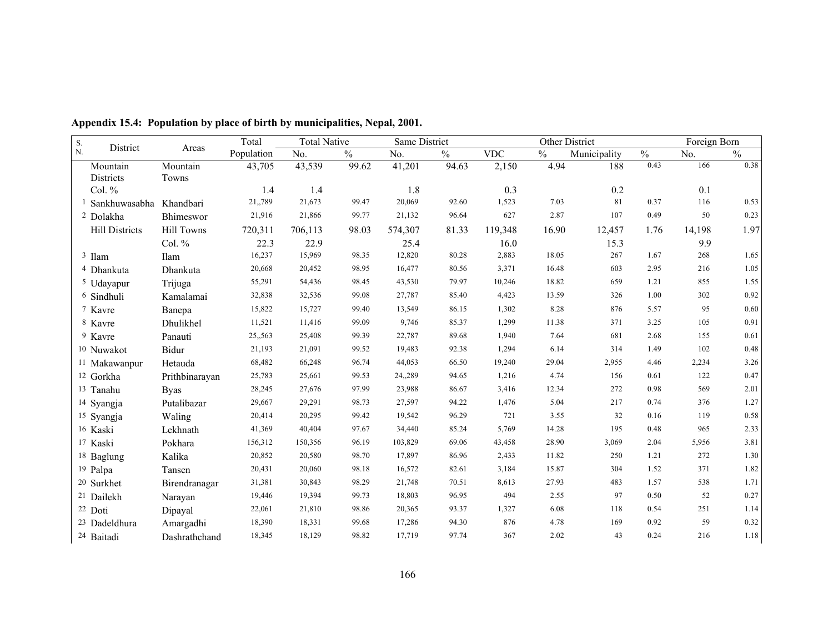| S.                       | District                   |                   | Total      | <b>Total Native</b> |               | Same District  |               |            | Other District |              |               | Foreign Born |               |
|--------------------------|----------------------------|-------------------|------------|---------------------|---------------|----------------|---------------|------------|----------------|--------------|---------------|--------------|---------------|
| N.                       |                            | Areas             | Population | No.                 | $\frac{0}{0}$ | N <sub>0</sub> | $\frac{0}{0}$ | <b>VDC</b> | $\frac{0}{0}$  | Municipality | $\frac{0}{0}$ | No.          | $\frac{0}{0}$ |
| Mountain                 |                            | Mountain          | 43,705     | 43,539              | 99.62         | 41,201         | 94.63         | 2,150      | 4.94           | 188          | 0.43          | 166          | 0.38          |
| Districts                |                            | Towns             |            |                     |               |                |               |            |                |              |               |              |               |
| Col. $%$                 |                            |                   | 1.4        | 1.4                 |               | 1.8            |               | 0.3        |                | 0.2          |               | 0.1          |               |
|                          | <sup>1</sup> Sankhuwasabha | Khandbari         | 21,,789    | 21,673              | 99.47         | 20,069         | 92.60         | 1,523      | 7.03           | 81           | 0.37          | 116          | 0.53          |
| <sup>2</sup> Dolakha     |                            | Bhimeswor         | 21,916     | 21,866              | 99.77         | 21,132         | 96.64         | 627        | 2.87           | 107          | 0.49          | 50           | 0.23          |
|                          | <b>Hill Districts</b>      | <b>Hill Towns</b> | 720,311    | 706,113             | 98.03         | 574,307        | 81.33         | 119,348    | 16.90          | 12,457       | 1.76          | 14,198       | 1.97          |
|                          |                            | Col. %            | 22.3       | 22.9                |               | 25.4           |               | 16.0       |                | 15.3         |               | 9.9          |               |
| 3 Ilam                   |                            | Ilam              | 16,237     | 15,969              | 98.35         | 12,820         | 80.28         | 2,883      | 18.05          | 267          | 1.67          | 268          | 1.65          |
| <sup>4</sup> Dhankuta    |                            | Dhankuta          | 20,668     | 20,452              | 98.95         | 16,477         | 80.56         | 3,371      | 16.48          | 603          | 2.95          | 216          | 1.05          |
| <sup>5</sup> Udayapur    |                            | Trijuga           | 55,291     | 54,436              | 98.45         | 43,530         | 79.97         | 10,246     | 18.82          | 659          | 1.21          | 855          | 1.55          |
| <sup>6</sup> Sindhuli    |                            | Kamalamai         | 32,838     | 32,536              | 99.08         | 27,787         | 85.40         | 4,423      | 13.59          | 326          | 1.00          | 302          | 0.92          |
| 7 Kavre                  |                            | Banepa            | 15,822     | 15,727              | 99.40         | 13,549         | 86.15         | 1,302      | 8.28           | 876          | 5.57          | 95           | 0.60          |
| 8 Kavre                  |                            | Dhulikhel         | 11,521     | 11,416              | 99.09         | 9,746          | 85.37         | 1,299      | 11.38          | 371          | 3.25          | 105          | 0.91          |
| <sup>9</sup> Kavre       |                            | Panauti           | 25,,563    | 25,408              | 99.39         | 22,787         | 89.68         | 1,940      | 7.64           | 681          | 2.68          | 155          | 0.61          |
| <sup>10</sup> Nuwakot    |                            | Bidur             | 21,193     | 21,091              | 99.52         | 19,483         | 92.38         | 1,294      | 6.14           | 314          | 1.49          | 102          | 0.48          |
| <sup>11</sup> Makawanpur |                            | Hetauda           | 68,482     | 66,248              | 96.74         | 44,053         | 66.50         | 19,240     | 29.04          | 2,955        | 4.46          | 2,234        | 3.26          |
| 12 Gorkha                |                            | Prithbinarayan    | 25,783     | 25,661              | 99.53         | 24,,289        | 94.65         | 1,216      | 4.74           | 156          | 0.61          | 122          | 0.47          |
| <sup>13</sup> Tanahu     |                            | <b>Byas</b>       | 28,245     | 27,676              | 97.99         | 23,988         | 86.67         | 3,416      | 12.34          | 272          | 0.98          | 569          | 2.01          |
| <sup>14</sup> Syangja    |                            | Putalibazar       | 29,667     | 29,291              | 98.73         | 27,597         | 94.22         | 1,476      | 5.04           | 217          | 0.74          | 376          | 1.27          |
| 15 Syangja               |                            | Waling            | 20,414     | 20,295              | 99.42         | 19,542         | 96.29         | 721        | 3.55           | 32           | 0.16          | 119          | 0.58          |
| 16 Kaski                 |                            | Lekhnath          | 41,369     | 40,404              | 97.67         | 34,440         | 85.24         | 5,769      | 14.28          | 195          | 0.48          | 965          | 2.33          |
| 17 Kaski                 |                            | Pokhara           | 156,312    | 150,356             | 96.19         | 103,829        | 69.06         | 43,458     | 28.90          | 3,069        | 2.04          | 5,956        | 3.81          |
| <sup>18</sup> Baglung    |                            | Kalika            | 20,852     | 20,580              | 98.70         | 17,897         | 86.96         | 2,433      | 11.82          | 250          | 1.21          | 272          | 1.30          |
| <sup>19</sup> Palpa      |                            | Tansen            | 20,431     | 20,060              | 98.18         | 16,572         | 82.61         | 3,184      | 15.87          | 304          | 1.52          | 371          | 1.82          |
| <sup>20</sup> Surkhet    |                            | Birendranagar     | 31,381     | 30,843              | 98.29         | 21,748         | 70.51         | 8,613      | 27.93          | 483          | 1.57          | 538          | 1.71          |
| <sup>21</sup> Dailekh    |                            | Narayan           | 19,446     | 19,394              | 99.73         | 18,803         | 96.95         | 494        | 2.55           | 97           | 0.50          | 52           | 0.27          |
| 22 Doti                  |                            | Dipayal           | 22,061     | 21,810              | 98.86         | 20,365         | 93.37         | 1,327      | 6.08           | 118          | 0.54          | 251          | 1.14          |
| <sup>23</sup> Dadeldhura |                            | Amargadhi         | 18,390     | 18,331              | 99.68         | 17,286         | 94.30         | 876        | 4.78           | 169          | 0.92          | 59           | 0.32          |
| 24 Baitadi               |                            | Dashrathchand     | 18,345     | 18,129              | 98.82         | 17,719         | 97.74         | 367        | 2.02           | 43           | 0.24          | 216          | 1.18          |

**Appendix 15.4: Population by place of birth by municipalities, Nepal, 2001.**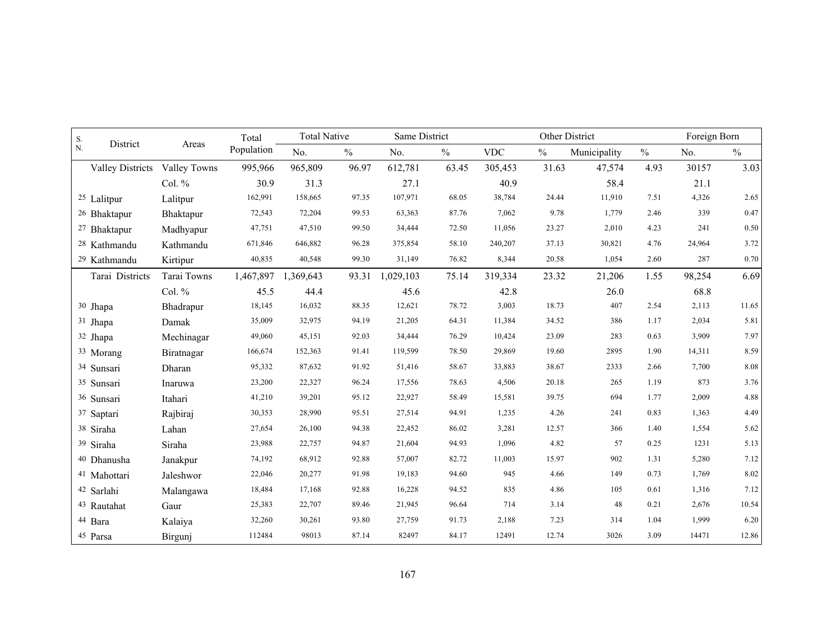| ${\bf S}.$<br>District<br>$N$ . |              | Total      | <b>Total Native</b> |               | Same District |               |            |               | Other District |               | Foreign Born |               |
|---------------------------------|--------------|------------|---------------------|---------------|---------------|---------------|------------|---------------|----------------|---------------|--------------|---------------|
|                                 | Areas        | Population | No.                 | $\frac{0}{0}$ | No.           | $\frac{0}{0}$ | <b>VDC</b> | $\frac{0}{0}$ | Municipality   | $\frac{0}{0}$ | No.          | $\frac{0}{0}$ |
| <b>Valley Districts</b>         | Valley Towns | 995,966    | 965,809             | 96.97         | 612,781       | 63.45         | 305,453    | 31.63         | 47,574         | 4.93          | 30157        | 3.03          |
|                                 | Col. $%$     | 30.9       | 31.3                |               | 27.1          |               | 40.9       |               | 58.4           |               | 21.1         |               |
| <sup>25</sup> Lalitpur          | Lalitpur     | 162,991    | 158,665             | 97.35         | 107,971       | 68.05         | 38,784     | 24.44         | 11,910         | 7.51          | 4,326        | 2.65          |
| <sup>26</sup> Bhaktapur         | Bhaktapur    | 72,543     | 72,204              | 99.53         | 63,363        | 87.76         | 7,062      | 9.78          | 1,779          | 2.46          | 339          | 0.47          |
| <sup>27</sup> Bhaktapur         | Madhyapur    | 47,751     | 47,510              | 99.50         | 34,444        | 72.50         | 11,056     | 23.27         | 2,010          | 4.23          | 241          | 0.50          |
| <sup>28</sup> Kathmandu         | Kathmandu    | 671,846    | 646,882             | 96.28         | 375,854       | 58.10         | 240,207    | 37.13         | 30,821         | 4.76          | 24,964       | 3.72          |
| <sup>29</sup> Kathmandu         | Kirtipur     | 40,835     | 40,548              | 99.30         | 31,149        | 76.82         | 8,344      | 20.58         | 1,054          | 2.60          | 287          | 0.70          |
| Tarai Districts                 | Tarai Towns  | 1,467,897  | 1,369,643           | 93.31         | 1,029,103     | 75.14         | 319,334    | 23.32         | 21,206         | 1.55          | 98,254       | 6.69          |
|                                 | Col. %       | 45.5       | 44.4                |               | 45.6          |               | 42.8       |               | 26.0           |               | 68.8         |               |
| 30 Jhapa                        | Bhadrapur    | 18,145     | 16,032              | 88.35         | 12,621        | 78.72         | 3,003      | 18.73         | 407            | 2.54          | 2,113        | 11.65         |
| 31 Jhapa                        | Damak        | 35,009     | 32,975              | 94.19         | 21,205        | 64.31         | 11,384     | 34.52         | 386            | 1.17          | 2,034        | 5.81          |
| 32 Jhapa                        | Mechinagar   | 49,060     | 45,151              | 92.03         | 34,444        | 76.29         | 10,424     | 23.09         | 283            | 0.63          | 3,909        | 7.97          |
| 33 Morang                       | Biratnagar   | 166,674    | 152,363             | 91.41         | 119,599       | 78.50         | 29,869     | 19.60         | 2895           | 1.90          | 14,311       | 8.59          |
| 34 Sunsari                      | Dharan       | 95,332     | 87,632              | 91.92         | 51,416        | 58.67         | 33,883     | 38.67         | 2333           | 2.66          | 7,700        | 8.08          |
| 35 Sunsari                      | Inaruwa      | 23,200     | 22,327              | 96.24         | 17,556        | 78.63         | 4,506      | 20.18         | 265            | 1.19          | 873          | 3.76          |
| 36 Sunsari                      | Itahari      | 41,210     | 39,201              | 95.12         | 22,927        | 58.49         | 15,581     | 39.75         | 694            | 1.77          | 2,009        | 4.88          |
| 37 Saptari                      | Rajbiraj     | 30,353     | 28,990              | 95.51         | 27,514        | 94.91         | 1,235      | 4.26          | 241            | 0.83          | 1,363        | 4.49          |
| 38 Siraha                       | Lahan        | 27,654     | 26,100              | 94.38         | 22,452        | 86.02         | 3,281      | 12.57         | 366            | 1.40          | 1,554        | 5.62          |
| 39 Siraha                       | Siraha       | 23,988     | 22,757              | 94.87         | 21,604        | 94.93         | 1,096      | 4.82          | 57             | 0.25          | 1231         | 5.13          |
| 40 Dhanusha                     | Janakpur     | 74,192     | 68,912              | 92.88         | 57,007        | 82.72         | 11,003     | 15.97         | 902            | 1.31          | 5,280        | 7.12          |
| 41 Mahottari                    | Jaleshwor    | 22,046     | 20,277              | 91.98         | 19,183        | 94.60         | 945        | 4.66          | 149            | 0.73          | 1,769        | 8.02          |
| 42 Sarlahi                      | Malangawa    | 18,484     | 17,168              | 92.88         | 16,228        | 94.52         | 835        | 4.86          | 105            | 0.61          | 1,316        | 7.12          |
| <sup>43</sup> Rautahat          | Gaur         | 25,383     | 22,707              | 89.46         | 21,945        | 96.64         | 714        | 3.14          | 48             | 0.21          | 2,676        | 10.54         |
| 44 Bara                         | Kalaiya      | 32,260     | 30,261              | 93.80         | 27,759        | 91.73         | 2,188      | 7.23          | 314            | 1.04          | 1,999        | 6.20          |
| 45 Parsa                        | Birgunj      | 112484     | 98013               | 87.14         | 82497         | 84.17         | 12491      | 12.74         | 3026           | 3.09          | 14471        | 12.86         |